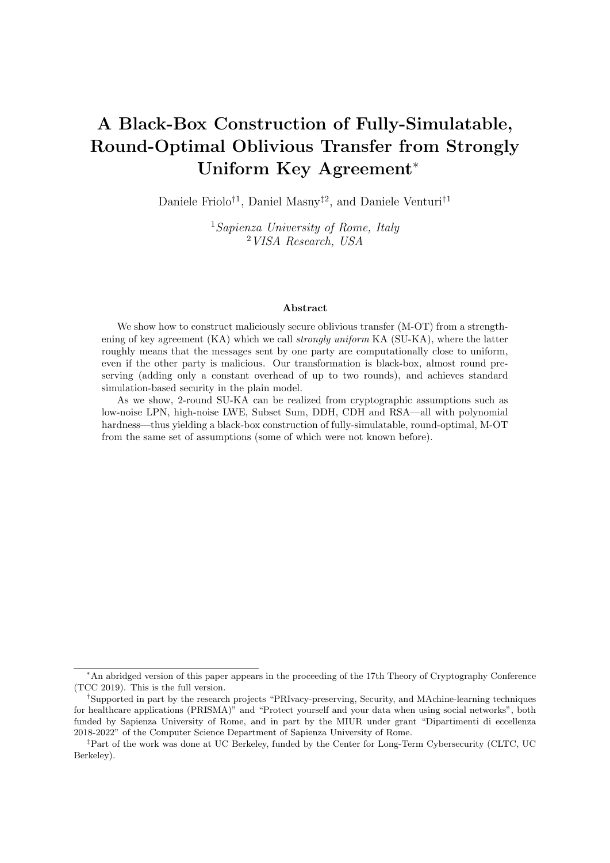# A Black-Box Construction of Fully-Simulatable, Round-Optimal Oblivious Transfer from Strongly Uniform Key Agreement<sup>∗</sup>

Daniele Friolo<sup>†1</sup>, Daniel Masny<sup>‡2</sup>, and Daniele Venturi<sup>†1</sup>

<sup>1</sup>Sapienza University of Rome, Italy <sup>2</sup>VISA Research, USA

#### Abstract

We show how to construct maliciously secure oblivious transfer (M-OT) from a strengthening of key agreement  $(KA)$  which we call *strongly uniform*  $KA(SU-KA)$ , where the latter roughly means that the messages sent by one party are computationally close to uniform, even if the other party is malicious. Our transformation is black-box, almost round preserving (adding only a constant overhead of up to two rounds), and achieves standard simulation-based security in the plain model.

As we show, 2-round SU-KA can be realized from cryptographic assumptions such as low-noise LPN, high-noise LWE, Subset Sum, DDH, CDH and RSA—all with polynomial hardness—thus yielding a black-box construction of fully-simulatable, round-optimal, M-OT from the same set of assumptions (some of which were not known before).

<sup>∗</sup>An abridged version of this paper appears in the proceeding of the 17th Theory of Cryptography Conference (TCC 2019). This is the full version.

<sup>†</sup>Supported in part by the research projects "PRIvacy-preserving, Security, and MAchine-learning techniques for healthcare applications (PRISMA)" and "Protect yourself and your data when using social networks", both funded by Sapienza University of Rome, and in part by the MIUR under grant "Dipartimenti di eccellenza 2018-2022" of the Computer Science Department of Sapienza University of Rome.

<sup>‡</sup>Part of the work was done at UC Berkeley, funded by the Center for Long-Term Cybersecurity (CLTC, UC Berkeley).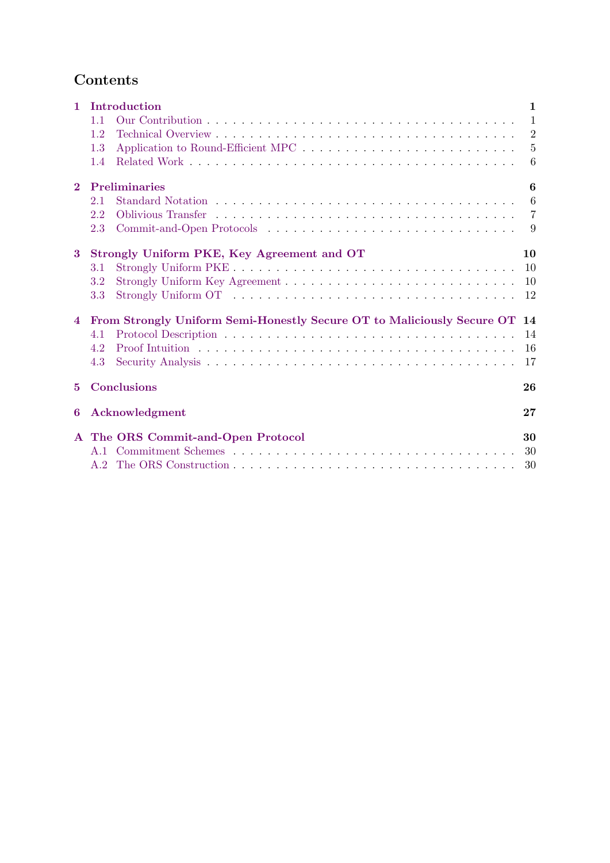## Contents

| $\mathbf{1}$   | Introduction<br>1.1<br>1.2<br>1.3<br>1.4                                                                          | $\mathbf{1}$<br>$\overline{1}$<br>2<br>-5<br>6 |
|----------------|-------------------------------------------------------------------------------------------------------------------|------------------------------------------------|
| $\bf{2}$       | <b>Preliminaries</b><br>2.1<br>2.2<br>2.3                                                                         | 6<br>6<br>$\overline{7}$<br>-9                 |
| $\bf{3}$       | Strongly Uniform PKE, Key Agreement and OT<br>3.1<br>3.2<br>3.3                                                   | 10<br>10<br>10<br>12                           |
| $\overline{4}$ | From Strongly Uniform Semi-Honestly Secure OT to Maliciously Secure OT<br>4.1<br>4.2<br>4.3<br><b>Conclusions</b> | 14<br>14<br>16<br>17                           |
| 5.             |                                                                                                                   | 26                                             |
| 6              | Acknowledgment                                                                                                    | 27                                             |
|                | A The ORS Commit-and-Open Protocol<br>A.1                                                                         | 30<br>30<br>30                                 |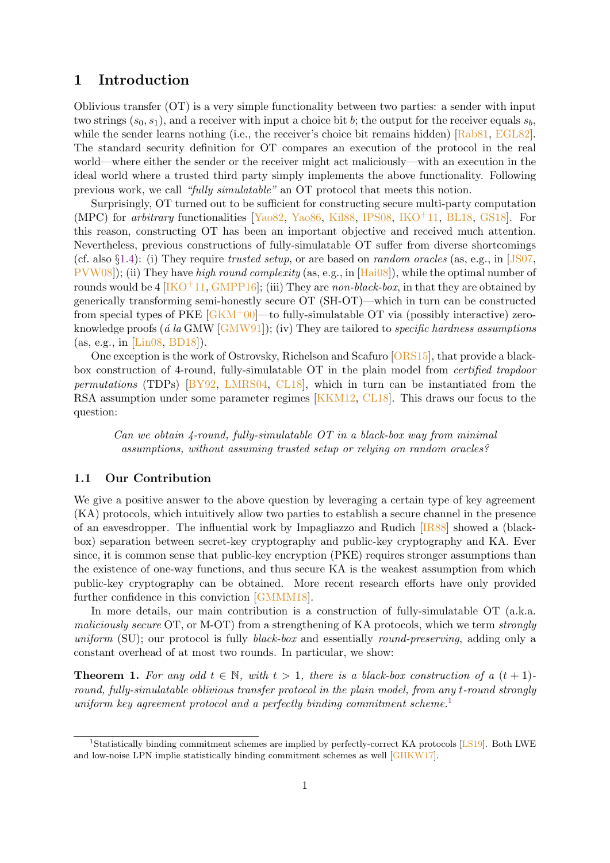### <span id="page-2-0"></span>1 Introduction

Oblivious transfer (OT) is a very simple functionality between two parties: a sender with input two strings  $(s_0, s_1)$ , and a receiver with input a choice bit b; the output for the receiver equals  $s_b$ , while the sender learns nothing (i.e., the receiver's choice bit remains hidden) [\[Rab81,](#page-31-3) [EGL82\]](#page-29-0). The standard security definition for OT compares an execution of the protocol in the real world—where either the sender or the receiver might act maliciously—with an execution in the ideal world where a trusted third party simply implements the above functionality. Following previous work, we call "fully simulatable" an OT protocol that meets this notion.

Surprisingly, OT turned out to be sufficient for constructing secure multi-party computation (MPC) for arbitrary functionalities [\[Yao82,](#page-31-4) [Yao86,](#page-31-5) [Kil88,](#page-30-0) [IPS08,](#page-30-1) [IKO](#page-30-2)+11, [BL18,](#page-28-1) [GS18\]](#page-29-1). For this reason, constructing OT has been an important objective and received much attention. Nevertheless, previous constructions of fully-simulatable OT suffer from diverse shortcomings (cf. also  $\S 1.4$ ): (i) They require trusted setup, or are based on *random oracles* (as, e.g., in [\[JS07,](#page-30-3) [PVW08\]](#page-31-6)); (ii) They have high round complexity (as, e.g., in [\[Hai08\]](#page-29-2)), while the optimal number of rounds would be 4  $[IKO+11, GMPP16]$  $[IKO+11, GMPP16]$  $[IKO+11, GMPP16]$ ; (iii) They are non-black-box, in that they are obtained by generically transforming semi-honestly secure OT (SH-OT)—which in turn can be constructed from special types of PKE  $\sqrt{|\text{GKM}^+00|}$ —to fully-simulatable OT via (possibly interactive) zeroknowledge proofs ( $\acute{a}$  la GMW [\[GMW91\]](#page-29-5)); (iv) They are tailored to *specific hardness assumptions* (as, e.g., in [\[Lin08,](#page-30-4) [BD18\]](#page-28-2)).

One exception is the work of Ostrovsky, Richelson and Scafuro [\[ORS15\]](#page-31-7), that provide a blackbox construction of 4-round, fully-simulatable OT in the plain model from certified trapdoor *permutations* (TDPs)  $[BY92, LMRS04, CL18]$  $[BY92, LMRS04, CL18]$  $[BY92, LMRS04, CL18]$  $[BY92, LMRS04, CL18]$  $[BY92, LMRS04, CL18]$ , which in turn can be instantiated from the RSA assumption under some parameter regimes [\[KKM12,](#page-30-6) [CL18\]](#page-28-4). This draws our focus to the question:

Can we obtain  $\chi$ -round, fully-simulatable OT in a black-box way from minimal assumptions, without assuming trusted setup or relying on random oracles?

#### <span id="page-2-1"></span>1.1 Our Contribution

We give a positive answer to the above question by leveraging a certain type of key agreement (KA) protocols, which intuitively allow two parties to establish a secure channel in the presence of an eavesdropper. The influential work by Impagliazzo and Rudich [\[IR88\]](#page-30-7) showed a (blackbox) separation between secret-key cryptography and public-key cryptography and KA. Ever since, it is common sense that public-key encryption (PKE) requires stronger assumptions than the existence of one-way functions, and thus secure KA is the weakest assumption from which public-key cryptography can be obtained. More recent research efforts have only provided further confidence in this conviction [\[GMMM18\]](#page-29-6).

In more details, our main contribution is a construction of fully-simulatable OT (a.k.a. maliciously secure OT, or M-OT) from a strengthening of KA protocols, which we term strongly uniform (SU); our protocol is fully *black-box* and essentially *round-preserving*, adding only a constant overhead of at most two rounds. In particular, we show:

<span id="page-2-3"></span>**Theorem 1.** For any odd  $t \in \mathbb{N}$ , with  $t > 1$ , there is a black-box construction of a  $(t + 1)$ round, fully-simulatable oblivious transfer protocol in the plain model, from any t-round strongly uniform key agreement protocol and a perfectly binding commitment scheme.<sup>[1](#page-2-2)</sup>

<span id="page-2-2"></span><sup>&</sup>lt;sup>1</sup>Statistically binding commitment schemes are implied by perfectly-correct KA protocols [\[LS19\]](#page-30-8). Both LWE and low-noise LPN implie statistically binding commitment schemes as well [\[GHKW17\]](#page-29-7).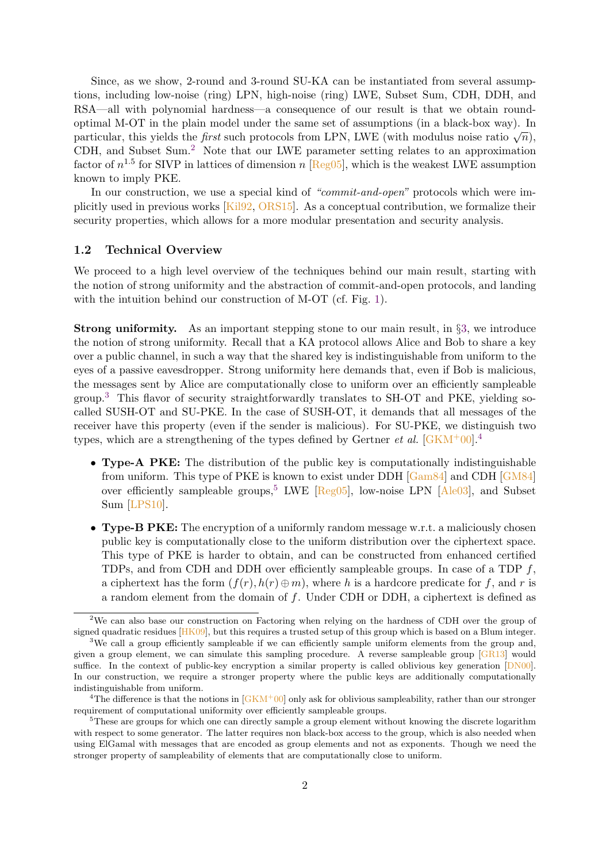Since, as we show, 2-round and 3-round SU-KA can be instantiated from several assumptions, including low-noise (ring) LPN, high-noise (ring) LWE, Subset Sum, CDH, DDH, and RSA—all with polynomial hardness—a consequence of our result is that we obtain roundoptimal M-OT in the plain model under the same set of assumptions (in a black-box way). In particular, this yields the *first* such protocols from LPN, LWE (with modulus noise ratio  $\sqrt{n}$ ), CDH, and Subset Sum.[2](#page-3-1) Note that our LWE parameter setting relates to an approximation factor of  $n^{1.5}$  for SIVP in lattices of dimension n [\[Reg05\]](#page-31-8), which is the weakest LWE assumption known to imply PKE.

In our construction, we use a special kind of "commit-and-open" protocols which were implicitly used in previous works [\[Kil92,](#page-30-9) [ORS15\]](#page-31-7). As a conceptual contribution, we formalize their security properties, which allows for a more modular presentation and security analysis.

#### <span id="page-3-0"></span>1.2 Technical Overview

We proceed to a high level overview of the techniques behind our main result, starting with the notion of strong uniformity and the abstraction of commit-and-open protocols, and landing with the intuition behind our construction of M-OT (cf. Fig. [1\)](#page-4-0).

Strong uniformity. As an important stepping stone to our main result, in §[3,](#page-11-0) we introduce the notion of strong uniformity. Recall that a KA protocol allows Alice and Bob to share a key over a public channel, in such a way that the shared key is indistinguishable from uniform to the eyes of a passive eavesdropper. Strong uniformity here demands that, even if Bob is malicious, the messages sent by Alice are computationally close to uniform over an efficiently sampleable group.[3](#page-3-2) This flavor of security straightforwardly translates to SH-OT and PKE, yielding socalled SUSH-OT and SU-PKE. In the case of SUSH-OT, it demands that all messages of the receiver have this property (even if the sender is malicious). For SU-PKE, we distinguish two types, which are a strengthening of the types defined by Gertner *et al.*  $\left[\frac{GKM^+00}{4}\right]$  $\left[\frac{GKM^+00}{4}\right]$  $\left[\frac{GKM^+00}{4}\right]$ 

- Type-A PKE: The distribution of the public key is computationally indistinguishable from uniform. This type of PKE is known to exist under DDH [\[Gam84\]](#page-29-8) and CDH [\[GM84\]](#page-29-9) over efficiently sampleable groups,<sup>[5](#page-3-4)</sup> LWE  $[Reg05]$ , low-noise LPN  $[Ale03]$ , and Subset Sum [\[LPS10\]](#page-30-10).
- Type-B PKE: The encryption of a uniformly random message w.r.t. a maliciously chosen public key is computationally close to the uniform distribution over the ciphertext space. This type of PKE is harder to obtain, and can be constructed from enhanced certified TDPs, and from CDH and DDH over efficiently sampleable groups. In case of a TDP  $f$ , a ciphertext has the form  $(f(r), h(r) \oplus m)$ , where h is a hardcore predicate for f, and r is a random element from the domain of  $f$ . Under CDH or DDH, a ciphertext is defined as

<span id="page-3-1"></span><sup>2</sup>We can also base our construction on Factoring when relying on the hardness of CDH over the group of signed quadratic residues  $[HK09]$ , but this requires a trusted setup of this group which is based on a Blum integer.

<span id="page-3-2"></span><sup>&</sup>lt;sup>3</sup>We call a group efficiently sampleable if we can efficiently sample uniform elements from the group and, given a group element, we can simulate this sampling procedure. A reverse sampleable group [\[GR13\]](#page-29-11) would suffice. In the context of public-key encryption a similar property is called oblivious key generation [\[DN00\]](#page-29-12). In our construction, we require a stronger property where the public keys are additionally computationally indistinguishable from uniform.

<span id="page-3-3"></span><sup>&</sup>lt;sup>4</sup>The difference is that the notions in  $[GKM^+00]$  $[GKM^+00]$  only ask for oblivious sampleability, rather than our stronger requirement of computational uniformity over efficiently sampleable groups.

<span id="page-3-4"></span><sup>&</sup>lt;sup>5</sup>These are groups for which one can directly sample a group element without knowing the discrete logarithm with respect to some generator. The latter requires non black-box access to the group, which is also needed when using ElGamal with messages that are encoded as group elements and not as exponents. Though we need the stronger property of sampleability of elements that are computationally close to uniform.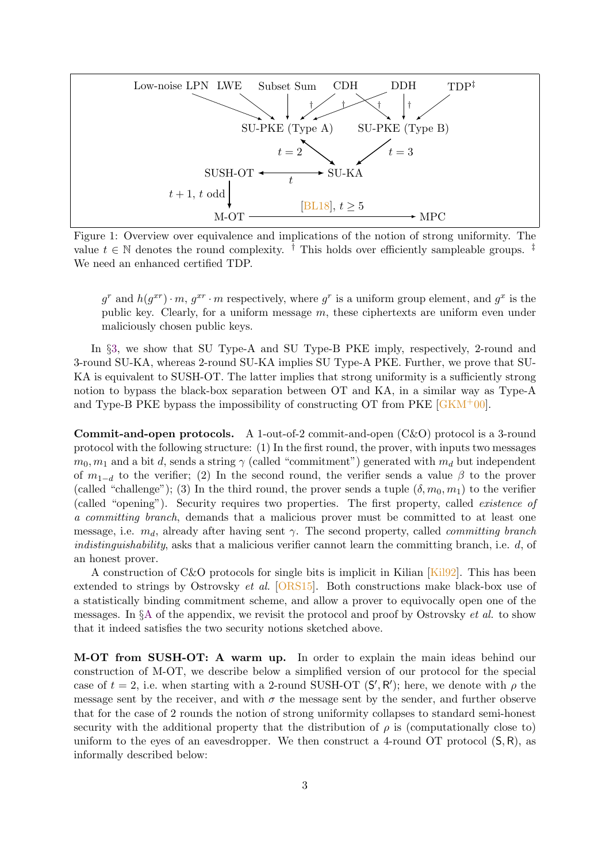<span id="page-4-0"></span>

Figure 1: Overview over equivalence and implications of the notion of strong uniformity. The value  $t \in \mathbb{N}$  denotes the round complexity. <sup>†</sup> This holds over efficiently sampleable groups. We need an enhanced certified TDP.

 $g^r$  and  $h(g^{xr})\cdot m$ ,  $g^{xr}\cdot m$  respectively, where  $g^r$  is a uniform group element, and  $g^x$  is the public key. Clearly, for a uniform message  $m$ , these ciphertexts are uniform even under maliciously chosen public keys.

In §[3,](#page-11-0) we show that SU Type-A and SU Type-B PKE imply, respectively, 2-round and 3-round SU-KA, whereas 2-round SU-KA implies SU Type-A PKE. Further, we prove that SU-KA is equivalent to SUSH-OT. The latter implies that strong uniformity is a sufficiently strong notion to bypass the black-box separation between OT and KA, in a similar way as Type-A and Type-B PKE bypass the impossibility of constructing OT from PKE  $\overline{GKM^+00}$ .

Commit-and-open protocols. A 1-out-of-2 commit-and-open (C&O) protocol is a 3-round protocol with the following structure: (1) In the first round, the prover, with inputs two messages  $m_0, m_1$  and a bit d, sends a string  $\gamma$  (called "commitment") generated with  $m_d$  but independent of  $m_{1-d}$  to the verifier; (2) In the second round, the verifier sends a value  $\beta$  to the prover (called "challenge"); (3) In the third round, the prover sends a tuple  $(\delta, m_0, m_1)$  to the verifier (called "opening"). Security requires two properties. The first property, called existence of a committing branch, demands that a malicious prover must be committed to at least one message, i.e.  $m_d$ , already after having sent  $\gamma$ . The second property, called *committing branch* indistinguishability, asks that a malicious verifier cannot learn the committing branch, i.e.  $d$ , of an honest prover.

A construction of C&O protocols for single bits is implicit in Kilian [\[Kil92\]](#page-30-9). This has been extended to strings by Ostrovsky et al. [\[ORS15\]](#page-31-7). Both constructions make black-box use of a statistically binding commitment scheme, and allow a prover to equivocally open one of the messages. In  $\S$ <sup>[A](#page-31-0)</sup> of the appendix, we revisit the protocol and proof by Ostrovsky *et al.* to show that it indeed satisfies the two security notions sketched above.

M-OT from SUSH-OT: A warm up. In order to explain the main ideas behind our construction of M-OT, we describe below a simplified version of our protocol for the special case of  $t = 2$ , i.e. when starting with a 2-round SUSH-OT  $(S', R')$ ; here, we denote with  $\rho$  the message sent by the receiver, and with  $\sigma$  the message sent by the sender, and further observe that for the case of 2 rounds the notion of strong uniformity collapses to standard semi-honest security with the additional property that the distribution of  $\rho$  is (computationally close to) uniform to the eyes of an eavesdropper. We then construct a 4-round OT protocol  $(S, R)$ , as informally described below: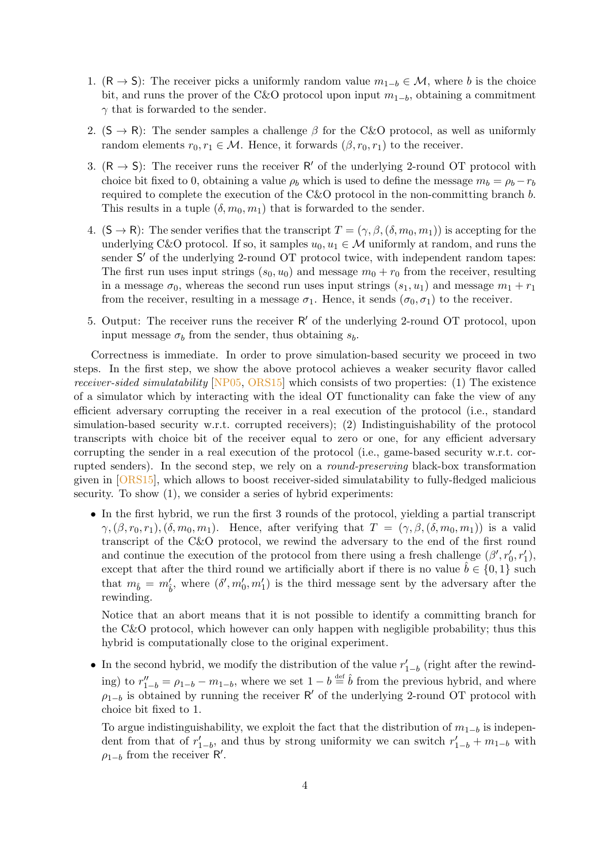- 1. (R → S): The receiver picks a uniformly random value  $m_{1-b} \in \mathcal{M}$ , where b is the choice bit, and runs the prover of the C&O protocol upon input  $m_{1-b}$ , obtaining a commitment  $\gamma$  that is forwarded to the sender.
- 2.  $(S \rightarrow R)$ : The sender samples a challenge  $\beta$  for the C&O protocol, as well as uniformly random elements  $r_0, r_1 \in \mathcal{M}$ . Hence, it forwards  $(\beta, r_0, r_1)$  to the receiver.
- 3.  $(R \rightarrow S)$ : The receiver runs the receiver R' of the underlying 2-round OT protocol with choice bit fixed to 0, obtaining a value  $\rho_b$  which is used to define the message  $m_b = \rho_b - r_b$ required to complete the execution of the C&O protocol in the non-committing branch b. This results in a tuple  $(\delta, m_0, m_1)$  that is forwarded to the sender.
- 4.  $(S \to \mathsf{R})$ : The sender verifies that the transcript  $T = (\gamma, \beta, (\delta, m_0, m_1))$  is accepting for the underlying C&O protocol. If so, it samples  $u_0, u_1 \in \mathcal{M}$  uniformly at random, and runs the sender S' of the underlying 2-round OT protocol twice, with independent random tapes: The first run uses input strings  $(s_0, u_0)$  and message  $m_0 + r_0$  from the receiver, resulting in a message  $\sigma_0$ , whereas the second run uses input strings  $(s_1, u_1)$  and message  $m_1 + r_1$ from the receiver, resulting in a message  $\sigma_1$ . Hence, it sends  $(\sigma_0, \sigma_1)$  to the receiver.
- 5. Output: The receiver runs the receiver  $R'$  of the underlying 2-round OT protocol, upon input message  $\sigma_b$  from the sender, thus obtaining  $s_b$ .

Correctness is immediate. In order to prove simulation-based security we proceed in two steps. In the first step, we show the above protocol achieves a weaker security flavor called receiver-sided simulatability [\[NP05,](#page-31-9) [ORS15\]](#page-31-7) which consists of two properties: (1) The existence of a simulator which by interacting with the ideal OT functionality can fake the view of any efficient adversary corrupting the receiver in a real execution of the protocol (i.e., standard simulation-based security w.r.t. corrupted receivers); (2) Indistinguishability of the protocol transcripts with choice bit of the receiver equal to zero or one, for any efficient adversary corrupting the sender in a real execution of the protocol (i.e., game-based security w.r.t. corrupted senders). In the second step, we rely on a round-preserving black-box transformation given in [\[ORS15\]](#page-31-7), which allows to boost receiver-sided simulatability to fully-fledged malicious security. To show  $(1)$ , we consider a series of hybrid experiments:

• In the first hybrid, we run the first 3 rounds of the protocol, yielding a partial transcript  $\gamma,(\beta, r_0, r_1),(\delta, m_0, m_1)$ . Hence, after verifying that  $T = (\gamma, \beta, (\delta, m_0, m_1))$  is a valid transcript of the C&O protocol, we rewind the adversary to the end of the first round and continue the execution of the protocol from there using a fresh challenge  $(\beta', r'_0, r'_1)$ , except that after the third round we artificially abort if there is no value  $b \in \{0,1\}$  such that  $m_{\hat{b}} = m'_{\hat{b}}$ , where  $(\delta', m'_{0}, m'_{1})$  is the third message sent by the adversary after the rewinding.

Notice that an abort means that it is not possible to identify a committing branch for the C&O protocol, which however can only happen with negligible probability; thus this hybrid is computationally close to the original experiment.

• In the second hybrid, we modify the distribution of the value  $r'_{1-b}$  (right after the rewinding) to  $r''_{1-b} = \rho_{1-b} - m_{1-b}$ , where we set  $1-b \stackrel{\text{def}}{=} \hat{b}$  from the previous hybrid, and where  $\rho_{1-b}$  is obtained by running the receiver R' of the underlying 2-round OT protocol with choice bit fixed to 1.

To argue indistinguishability, we exploit the fact that the distribution of  $m_{1-b}$  is independent from that of  $r'_{1-b}$ , and thus by strong uniformity we can switch  $r'_{1-b} + m_{1-b}$  with  $\rho_{1-b}$  from the receiver R'.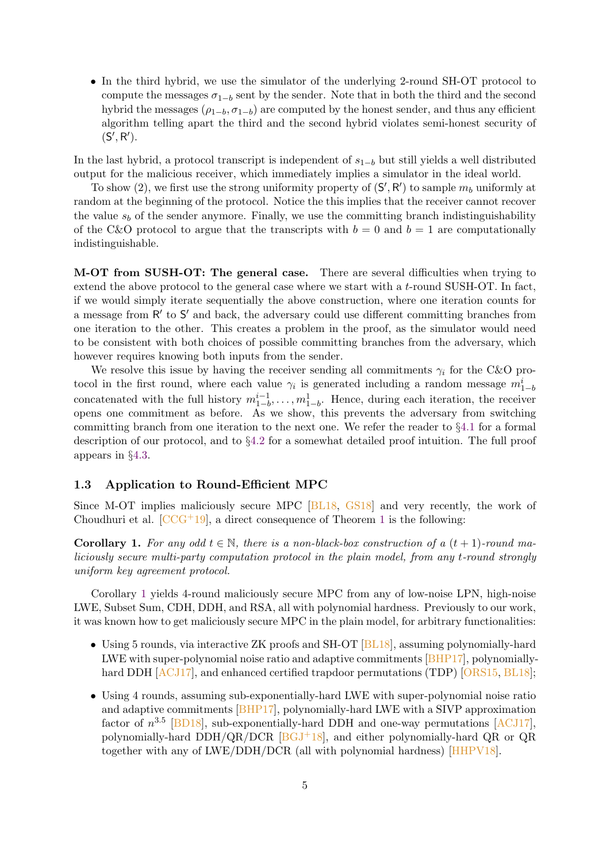• In the third hybrid, we use the simulator of the underlying 2-round SH-OT protocol to compute the messages  $\sigma_{1-b}$  sent by the sender. Note that in both the third and the second hybrid the messages  $(\rho_{1-b}, \sigma_{1-b})$  are computed by the honest sender, and thus any efficient algorithm telling apart the third and the second hybrid violates semi-honest security of  $(S', R').$ 

In the last hybrid, a protocol transcript is independent of  $s_{1-b}$  but still yields a well distributed output for the malicious receiver, which immediately implies a simulator in the ideal world.

To show (2), we first use the strong uniformity property of  $(S', R')$  to sample  $m_b$  uniformly at random at the beginning of the protocol. Notice the this implies that the receiver cannot recover the value  $s_b$  of the sender anymore. Finally, we use the committing branch indistinguishability of the C&O protocol to argue that the transcripts with  $b = 0$  and  $b = 1$  are computationally indistinguishable.

M-OT from SUSH-OT: The general case. There are several difficulties when trying to extend the above protocol to the general case where we start with a t-round SUSH-OT. In fact, if we would simply iterate sequentially the above construction, where one iteration counts for a message from  $R'$  to  $S'$  and back, the adversary could use different committing branches from one iteration to the other. This creates a problem in the proof, as the simulator would need to be consistent with both choices of possible committing branches from the adversary, which however requires knowing both inputs from the sender.

We resolve this issue by having the receiver sending all commitments  $\gamma_i$  for the C&O protocol in the first round, where each value  $\gamma_i$  is generated including a random message  $m_{1-t}^i$ concatenated with the full history  $m_{1-b}^{i-1}, \ldots, m_{1-b}^1$ . Hence, during each iteration, the receiver opens one commitment as before. As we show, this prevents the adversary from switching committing branch from one iteration to the next one. We refer the reader to §[4.1](#page-15-1) for a formal description of our protocol, and to §[4.2](#page-17-0) for a somewhat detailed proof intuition. The full proof appears in §[4.3.](#page-18-0)

#### <span id="page-6-0"></span>1.3 Application to Round-Efficient MPC

Since M-OT implies maliciously secure MPC [\[BL18,](#page-28-1) [GS18\]](#page-29-1) and very recently, the work of Choudhuri et al.  $[CCG^+19]$  $[CCG^+19]$  $[CCG^+19]$  $[CCG^+19]$ , a direct consequence of Theorem 1 is the following:

<span id="page-6-1"></span>**Corollary 1.** For any odd  $t \in \mathbb{N}$ , there is a non-black-box construction of a  $(t + 1)$ -round maliciously secure multi-party computation protocol in the plain model, from any t-round strongly uniform key agreement protocol.

Corollary [1](#page-6-1) yields 4-round maliciously secure MPC from any of low-noise LPN, high-noise LWE, Subset Sum, CDH, DDH, and RSA, all with polynomial hardness. Previously to our work, it was known how to get maliciously secure MPC in the plain model, for arbitrary functionalities:

- Using 5 rounds, via interactive ZK proofs and SH-OT [\[BL18\]](#page-28-1), assuming polynomially-hard LWE with super-polynomial noise ratio and adaptive commitments [\[BHP17\]](#page-28-7), polynomiallyhard DDH  $[ACJ17]$ , and enhanced certified trapdoor permutations (TDP)  $[ORS15, BL18]$  $[ORS15, BL18]$  $[ORS15, BL18]$ ;
- Using 4 rounds, assuming sub-exponentially-hard LWE with super-polynomial noise ratio and adaptive commitments [\[BHP17\]](#page-28-7), polynomially-hard LWE with a SIVP approximation factor of  $n^{3.5}$  [\[BD18\]](#page-28-2), sub-exponentially-hard DDH and one-way permutations [\[ACJ17\]](#page-28-8), polynomially-hard DDH/QR/DCR  $[BGJ+18]$  $[BGJ+18]$ , and either polynomially-hard QR or QR together with any of LWE/DDH/DCR (all with polynomial hardness) [\[HHPV18\]](#page-29-13).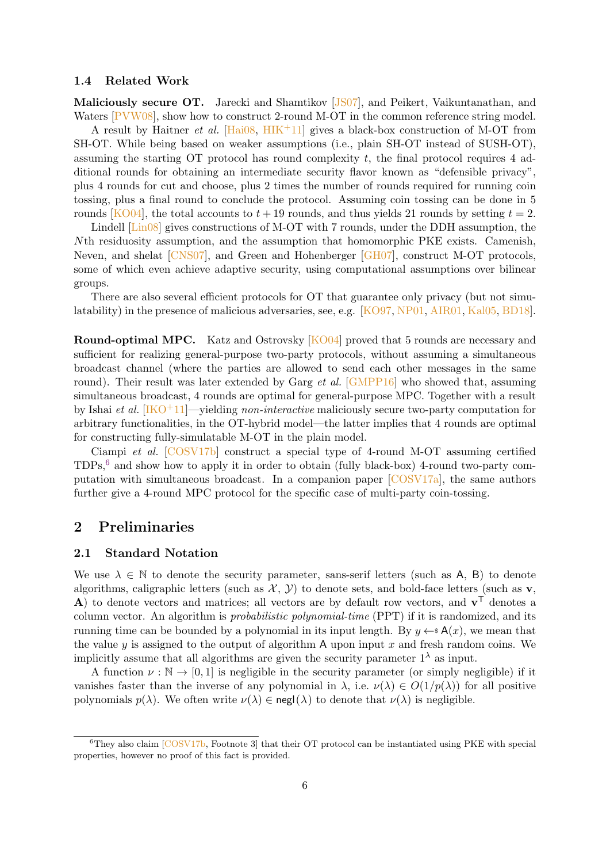#### <span id="page-7-0"></span>1.4 Related Work

Maliciously secure OT. Jarecki and Shamtikov [\[JS07\]](#page-30-3), and Peikert, Vaikuntanathan, and Waters [\[PVW08\]](#page-31-6), show how to construct 2-round M-OT in the common reference string model.

A result by Haitner *et al.* [\[Hai08,](#page-29-2)  $HHK+11$ ] gives a black-box construction of M-OT from SH-OT. While being based on weaker assumptions (i.e., plain SH-OT instead of SUSH-OT), assuming the starting OT protocol has round complexity t, the final protocol requires 4 additional rounds for obtaining an intermediate security flavor known as "defensible privacy", plus 4 rounds for cut and choose, plus 2 times the number of rounds required for running coin tossing, plus a final round to conclude the protocol. Assuming coin tossing can be done in 5 rounds [\[KO04\]](#page-30-11), the total accounts to  $t + 19$  rounds, and thus yields 21 rounds by setting  $t = 2$ .

Lindell [\[Lin08\]](#page-30-4) gives constructions of M-OT with 7 rounds, under the DDH assumption, the Nth residuosity assumption, and the assumption that homomorphic PKE exists. Camenish, Neven, and shelat [\[CNS07\]](#page-28-10), and Green and Hohenberger [\[GH07\]](#page-29-15), construct M-OT protocols, some of which even achieve adaptive security, using computational assumptions over bilinear groups.

There are also several efficient protocols for OT that guarantee only privacy (but not simulatability) in the presence of malicious adversaries, see, e.g. [\[KO97,](#page-30-12) [NP01,](#page-30-13) [AIR01,](#page-28-11) [Kal05,](#page-30-14) [BD18\]](#page-28-2).

Round-optimal MPC. Katz and Ostrovsky [\[KO04\]](#page-30-11) proved that 5 rounds are necessary and sufficient for realizing general-purpose two-party protocols, without assuming a simultaneous broadcast channel (where the parties are allowed to send each other messages in the same round). Their result was later extended by Garg *et al.* [\[GMPP16\]](#page-29-3) who showed that, assuming simultaneous broadcast, 4 rounds are optimal for general-purpose MPC. Together with a result by Ishai et al.  $[\text{IKO}^+11]$ —yielding non-interactive maliciously secure two-party computation for arbitrary functionalities, in the OT-hybrid model—the latter implies that 4 rounds are optimal for constructing fully-simulatable M-OT in the plain model.

Ciampi et al. [\[COSV17b\]](#page-28-12) construct a special type of 4-round M-OT assuming certified  $TDPs<sup>6</sup>$  $TDPs<sup>6</sup>$  $TDPs<sup>6</sup>$  and show how to apply it in order to obtain (fully black-box) 4-round two-party computation with simultaneous broadcast. In a companion paper [\[COSV17a\]](#page-28-13), the same authors further give a 4-round MPC protocol for the specific case of multi-party coin-tossing.

### <span id="page-7-1"></span>2 Preliminaries

#### <span id="page-7-2"></span>2.1 Standard Notation

We use  $\lambda \in \mathbb{N}$  to denote the security parameter, sans-serif letters (such as A, B) to denote algorithms, caligraphic letters (such as  $\mathcal{X}, \mathcal{Y}$ ) to denote sets, and bold-face letters (such as  $\mathbf{v},$ A) to denote vectors and matrices; all vectors are by default row vectors, and  $v^T$  denotes a column vector. An algorithm is probabilistic polynomial-time (PPT) if it is randomized, and its running time can be bounded by a polynomial in its input length. By  $y \leftarrow A(x)$ , we mean that the value y is assigned to the output of algorithm A upon input  $x$  and fresh random coins. We implicitly assume that all algorithms are given the security parameter  $1^{\lambda}$  as input.

A function  $\nu : \mathbb{N} \to [0, 1]$  is negligible in the security parameter (or simply negligible) if it vanishes faster than the inverse of any polynomial in  $\lambda$ , i.e.  $\nu(\lambda) \in O(1/p(\lambda))$  for all positive polynomials  $p(\lambda)$ . We often write  $\nu(\lambda) \in \text{negl}(\lambda)$  to denote that  $\nu(\lambda)$  is negligible.

<span id="page-7-3"></span> $6$ They also claim  $\sqrt{\text{COSV17b}}$ , Footnote 3 that their OT protocol can be instantiated using PKE with special properties, however no proof of this fact is provided.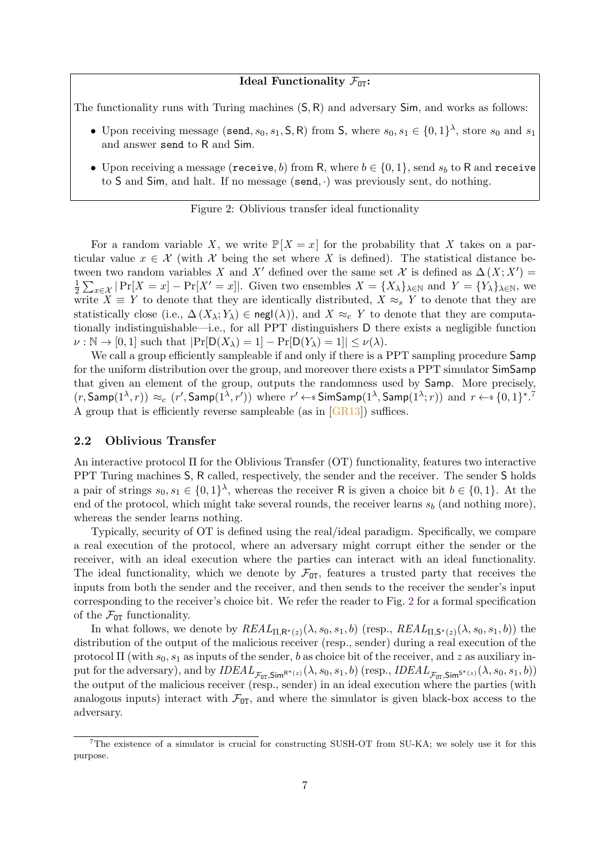#### Ideal Functionality  $\mathcal{F}_{0T}$ :

<span id="page-8-2"></span>The functionality runs with Turing machines (S, R) and adversary Sim, and works as follows:

- Upon receiving message (send,  $s_0, s_1, S, R$ ) from S, where  $s_0, s_1 \in \{0, 1\}^{\lambda}$ , store  $s_0$  and  $s_1$ and answer send to R and Sim.
- Upon receiving a message (receive, b) from R, where  $b \in \{0, 1\}$ , send  $s_b$  to R and receive to S and Sim, and halt. If no message (send, ·) was previously sent, do nothing.

#### Figure 2: Oblivious transfer ideal functionality

For a random variable X, we write  $\mathbb{P}[X=x]$  for the probability that X takes on a particular value  $x \in \mathcal{X}$  (with  $\mathcal{X}$  being the set where X is defined). The statistical distance between two random variables X and X' defined over the same set X is defined as  $\Delta(X; X') =$ 1  $\frac{1}{2}\sum_{x\in\mathcal{X}}|\Pr[X=x]-\Pr[X'=x]|.$  Given two ensembles  $X=\{X_{\lambda}\}_{\lambda\in\mathbb{N}}$  and  $Y=\{Y_{\lambda}\}_{\lambda\in\mathbb{N}}$ , we write  $X \equiv Y$  to denote that they are identically distributed,  $X \approx_{s} Y$  to denote that they are statistically close (i.e.,  $\Delta(X_\lambda; Y_\lambda) \in \text{negl}(\lambda)$ ), and  $X \approx_c Y$  to denote that they are computationally indistinguishable—i.e., for all PPT distinguishers D there exists a negligible function  $\nu : \mathbb{N} \to [0, 1]$  such that  $|\Pr[\mathsf{D}(X_\lambda) = 1] - \Pr[\mathsf{D}(Y_\lambda) = 1]| \leq \nu(\lambda)$ .

We call a group efficiently sampleable if and only if there is a PPT sampling procedure Samp for the uniform distribution over the group, and moreover there exists a PPT simulator SimSamp that given an element of the group, outputs the randomness used by Samp. More precisely,  $(r, \mathsf{Samp}(1^{\lambda}, r)) \approx_c (r', \mathsf{Samp}(1^{\lambda}, r'))$  where  $r' \leftarrow s \mathsf{SimSamp}(1^{\lambda}, \mathsf{Samp}(1^{\lambda}; r))$  and  $r \leftarrow s \{0, 1\}^{*.7}$  $r \leftarrow s \{0, 1\}^{*.7}$  $r \leftarrow s \{0, 1\}^{*.7}$ A group that is efficiently reverse sampleable (as in [\[GR13\]](#page-29-11)) suffices.

#### <span id="page-8-0"></span>2.2 Oblivious Transfer

An interactive protocol Π for the Oblivious Transfer (OT) functionality, features two interactive PPT Turing machines S, R called, respectively, the sender and the receiver. The sender S holds a pair of strings  $s_0, s_1 \in \{0,1\}^{\lambda}$ , whereas the receiver R is given a choice bit  $b \in \{0,1\}$ . At the end of the protocol, which might take several rounds, the receiver learns  $s<sub>b</sub>$  (and nothing more), whereas the sender learns nothing.

Typically, security of OT is defined using the real/ideal paradigm. Specifically, we compare a real execution of the protocol, where an adversary might corrupt either the sender or the receiver, with an ideal execution where the parties can interact with an ideal functionality. The ideal functionality, which we denote by  $\mathcal{F}_{OT}$ , features a trusted party that receives the inputs from both the sender and the receiver, and then sends to the receiver the sender's input corresponding to the receiver's choice bit. We refer the reader to Fig. [2](#page-8-2) for a formal specification of the  $\mathcal{F}_{\text{OT}}$  functionality.

In what follows, we denote by  $REAL_{\Pi,\mathsf{R}^*(z)}(\lambda,s_0,s_1,b)$  (resp.,  $REAL_{\Pi,\mathsf{S}^*(z)}(\lambda,s_0,s_1,b)$ ) the distribution of the output of the malicious receiver (resp., sender) during a real execution of the protocol  $\Pi$  (with  $s_0$ ,  $s_1$  as inputs of the sender, b as choice bit of the receiver, and z as auxiliary input for the adversary), and by  $IDEAL_{\mathcal{F}_{OT},\mathsf{Sim}^{R^*(z)}}(\lambda, s_0, s_1, b)$  (resp.,  $IDEAL_{\mathcal{F}_{OT},\mathsf{Sim}^{S^*(z)}}(\lambda, s_0, s_1, b))$ the output of the malicious receiver (resp., sender) in an ideal execution where the parties (with analogous inputs) interact with  $\mathcal{F}_{\text{OT}}$ , and where the simulator is given black-box access to the adversary.

<span id="page-8-1"></span><sup>7</sup>The existence of a simulator is crucial for constructing SUSH-OT from SU-KA; we solely use it for this purpose.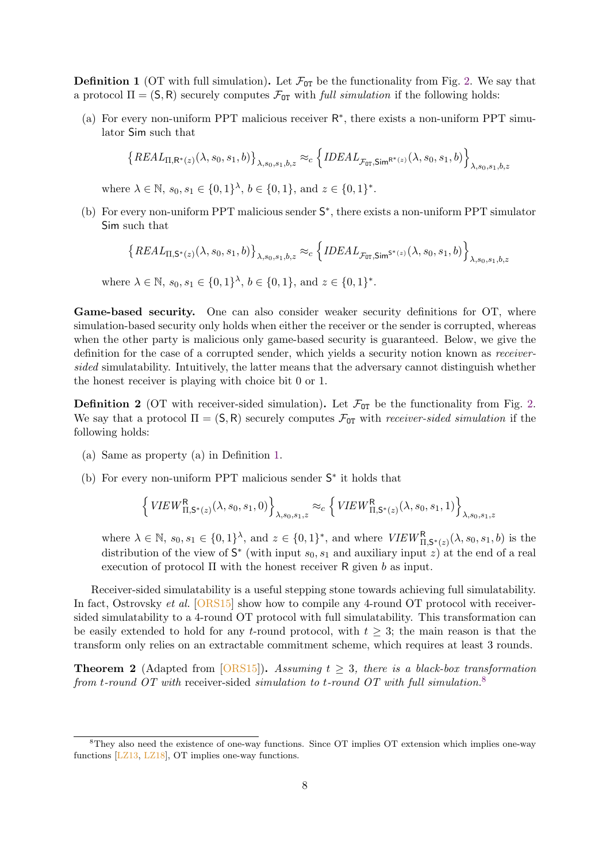<span id="page-9-0"></span>**Definition 1** (OT with full simulation). Let  $\mathcal{F}_{0T}$  be the functionality from Fig. [2.](#page-8-2) We say that a protocol  $\Pi = (S, R)$  securely computes  $\mathcal{F}_{OT}$  with *full simulation* if the following holds:

(a) For every non-uniform PPT malicious receiver  $R^*$ , there exists a non-uniform PPT simulator Sim such that

$$
\left\{ REAL_{\Pi,\mathsf{R}^*(z)}(\lambda,s_0,s_1,b)\right\}_{\lambda,s_0,s_1,b,z} \approx_c \left\{ IDEAL_{\mathcal{F}_{\text{OT}},\mathsf{Sim}^{\mathsf{R}^*(z)}}(\lambda,s_0,s_1,b)\right\}_{\lambda,s_0,s_1,b,z}
$$

where  $\lambda \in \mathbb{N}$ ,  $s_0, s_1 \in \{0, 1\}^{\lambda}$ ,  $b \in \{0, 1\}$ , and  $z \in \{0, 1\}^*$ .

(b) For every non-uniform PPT malicious sender  $S^*$ , there exists a non-uniform PPT simulator Sim such that

$$
\left\{REAL_{\Pi,\mathsf{S}^*(z)}(\lambda,s_0,s_1,b)\right\}_{\lambda,s_0,s_1,b,z} \approx_c \left\{IDEAL_{\mathcal{F}_{\text{OT}},\mathsf{Sim}^{\mathsf{S}^*(z)}}(\lambda,s_0,s_1,b)\right\}_{\lambda,s_0,s_1,b,z}
$$

where  $\lambda \in \mathbb{N}$ ,  $s_0, s_1 \in \{0, 1\}^{\lambda}$ ,  $b \in \{0, 1\}$ , and  $z \in \{0, 1\}^*$ .

Game-based security. One can also consider weaker security definitions for OT, where simulation-based security only holds when either the receiver or the sender is corrupted, whereas when the other party is malicious only game-based security is guaranteed. Below, we give the definition for the case of a corrupted sender, which yields a security notion known as receiversided simulatability. Intuitively, the latter means that the adversary cannot distinguish whether the honest receiver is playing with choice bit 0 or 1.

<span id="page-9-2"></span>**Definition 2** (OT with receiver-sided simulation). Let  $\mathcal{F}_{\text{OT}}$  be the functionality from Fig. [2.](#page-8-2) We say that a protocol  $\Pi = (S, R)$  securely computes  $\mathcal{F}_{OT}$  with *receiver-sided simulation* if the following holds:

- (a) Same as property (a) in Definition [1.](#page-9-0)
- (b) For every non-uniform PPT malicious sender  $S^*$  it holds that

$$
\left\{ VIEW_{\Pi,\mathsf{S}^*(z)}^{\mathsf{R}}(\lambda,s_0,s_1,0) \right\}_{\lambda,s_0,s_1,z} \approx_c \left\{ VIEW_{\Pi,\mathsf{S}^*(z)}^{\mathsf{R}}(\lambda,s_0,s_1,1) \right\}_{\lambda,s_0,s_1,z}
$$

where  $\lambda \in \mathbb{N}$ ,  $s_0, s_1 \in \{0, 1\}^{\lambda}$ , and  $z \in \{0, 1\}^*$ , and where  $VIEW_{\Pi, \mathsf{S}^*(z)}^{\mathsf{R}}(\lambda, s_0, s_1, b)$  is the distribution of the view of  $S^*$  (with input  $s_0, s_1$  and auxiliary input z) at the end of a real execution of protocol  $\Pi$  with the honest receiver R given b as input.

Receiver-sided simulatability is a useful stepping stone towards achieving full simulatability. In fact, Ostrovsky *et al.* [\[ORS15\]](#page-31-7) show how to compile any 4-round OT protocol with receiversided simulatability to a 4-round OT protocol with full simulatability. This transformation can be easily extended to hold for any t-round protocol, with  $t > 3$ ; the main reason is that the transform only relies on an extractable commitment scheme, which requires at least 3 rounds.

<span id="page-9-3"></span>**Theorem 2** (Adapted from [\[ORS15\]](#page-31-7)). Assuming  $t \geq 3$ , there is a black-box transformation from t-round OT with receiver-sided simulation to t-round OT with full simulation.<sup>[8](#page-9-1)</sup>

<span id="page-9-1"></span><sup>8</sup>They also need the existence of one-way functions. Since OT implies OT extension which implies one-way functions  $[LZ13, LZ18]$  $[LZ13, LZ18]$  $[LZ13, LZ18]$ , OT implies one-way functions.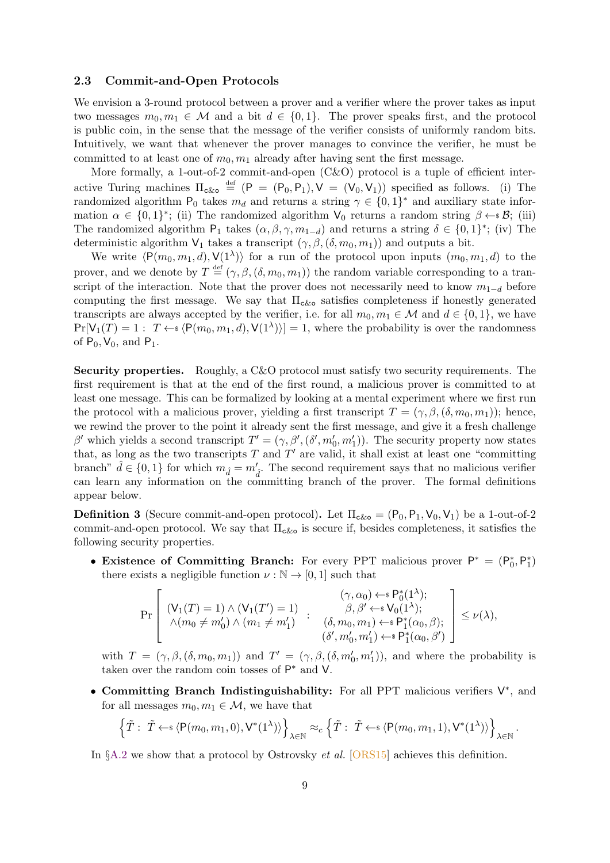#### <span id="page-10-0"></span>2.3 Commit-and-Open Protocols

We envision a 3-round protocol between a prover and a verifier where the prover takes as input two messages  $m_0, m_1 \in \mathcal{M}$  and a bit  $d \in \{0, 1\}$ . The prover speaks first, and the protocol is public coin, in the sense that the message of the verifier consists of uniformly random bits. Intuitively, we want that whenever the prover manages to convince the verifier, he must be committed to at least one of  $m_0, m_1$  already after having sent the first message.

More formally, a 1-out-of-2 commit-and-open (C&O) protocol is a tuple of efficient interactive Turing machines  $\Pi_{\text{c&o}} \stackrel{\text{def}}{=} (P = (P_0, P_1), V = (V_0, V_1))$  specified as follows. (i) The randomized algorithm  $P_0$  takes  $m_d$  and returns a string  $\gamma \in \{0,1\}^*$  and auxiliary state information  $\alpha \in \{0,1\}^*$ ; (ii) The randomized algorithm  $V_0$  returns a random string  $\beta \leftarrow \beta$ ; (iii) The randomized algorithm  $P_1$  takes  $(\alpha, \beta, \gamma, m_{1-d})$  and returns a string  $\delta \in \{0, 1\}^*$ ; (iv) The deterministic algorithm  $V_1$  takes a transcript  $(\gamma, \beta, (\delta, m_0, m_1))$  and outputs a bit.

We write  $\langle P(m_0, m_1, d), V(1^{\lambda})\rangle$  for a run of the protocol upon inputs  $(m_0, m_1, d)$  to the prover, and we denote by  $T \stackrel{\text{def}}{=} (\gamma, \beta, (\delta, m_0, m_1))$  the random variable corresponding to a transcript of the interaction. Note that the prover does not necessarily need to know  $m_{1-d}$  before computing the first message. We say that  $\Pi_{\alpha\&\alpha}$  satisfies completeness if honestly generated transcripts are always accepted by the verifier, i.e. for all  $m_0, m_1 \in \mathcal{M}$  and  $d \in \{0, 1\}$ , we have  $Pr[V_1(T) = 1: T \leftarrow \{P(m_0, m_1, d), V(1^{\lambda})\}] = 1$ , where the probability is over the randomness of  $P_0$ ,  $V_0$ , and  $P_1$ .

Security properties. Roughly, a C&O protocol must satisfy two security requirements. The first requirement is that at the end of the first round, a malicious prover is committed to at least one message. This can be formalized by looking at a mental experiment where we first run the protocol with a malicious prover, yielding a first transcript  $T = (\gamma, \beta, (\delta, m_0, m_1))$ ; hence, we rewind the prover to the point it already sent the first message, and give it a fresh challenge β' which yields a second transcript  $T' = (\gamma, \beta', (\delta', m'_0, m'_1))$ . The security property now states that, as long as the two transcripts  $T$  and  $T'$  are valid, it shall exist at least one "committing branch"  $\hat{d} \in \{0,1\}$  for which  $m_{\hat{d}} = m_{\hat{d}}'$ . The second requirement says that no malicious verifier can learn any information on the committing branch of the prover. The formal definitions appear below.

**Definition 3** (Secure commit-and-open protocol). Let  $\Pi_{c\&c} = (P_0, P_1, V_0, V_1)$  be a 1-out-of-2 commit-and-open protocol. We say that  $\Pi_{c&\sigma}$  is secure if, besides completeness, it satisfies the following security properties.

• Existence of Committing Branch: For every PPT malicious prover  $P^* = (P_0^*, P_1^*)$ there exists a negligible function  $\nu : \mathbb{N} \to [0, 1]$  such that

$$
\Pr\left[\begin{array}{cc}(\mathsf{V}_1(T)=1)\wedge(\mathsf{V}_1(T')=1)&(\gamma,\alpha_0)\leftarrow *\mathsf{P}_0^*(1^\lambda);\\ \wedge(m_0\neq m_0')\wedge(m_1\neq m_1')&\qquad (\delta,m_0,m_1)\leftarrow *\mathsf{P}_1^*(\alpha_0,\beta);\\ (\delta',m_0',m_1')\leftarrow *\mathsf{P}_1^*(\alpha_0,\beta')\end{array}\right]\leq \nu(\lambda),
$$

with  $T = (\gamma, \beta, (\delta, m_0, m_1))$  and  $T' = (\gamma, \beta, (\delta, m'_0, m'_1)),$  and where the probability is taken over the random coin tosses of  $P^*$  and V.

• Committing Branch Indistinguishability: For all PPT malicious verifiers  $V^*$ , and for all messages  $m_0, m_1 \in \mathcal{M}$ , we have that

$$
\left\{\tilde{T}: \ \tilde{T}\leftarrow \mathbf{I} \left\langle \mathsf{P}(m_0,m_1,0),\mathsf{V}^*(1^\lambda)\right\rangle \right\}_{\lambda\in\mathbb{N}} \approx_c \left\{\tilde{T}: \ \tilde{T}\leftarrow \mathbf{I} \left\langle \mathsf{P}(m_0,m_1,1),\mathsf{V}^*(1^\lambda)\right\rangle \right\}_{\lambda\in\mathbb{N}}.
$$

In §[A.2](#page-31-2) we show that a protocol by Ostrovsky et al. [\[ORS15\]](#page-31-7) achieves this definition.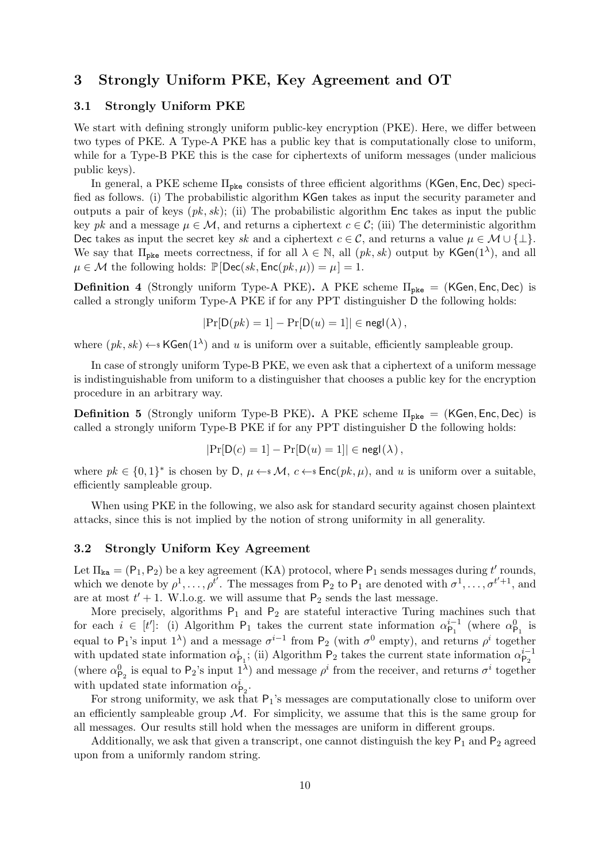## <span id="page-11-0"></span>3 Strongly Uniform PKE, Key Agreement and OT

#### <span id="page-11-1"></span>3.1 Strongly Uniform PKE

We start with defining strongly uniform public-key encryption (PKE). Here, we differ between two types of PKE. A Type-A PKE has a public key that is computationally close to uniform, while for a Type-B PKE this is the case for ciphertexts of uniform messages (under malicious public keys).

In general, a PKE scheme  $\Pi_{\text{pke}}$  consists of three efficient algorithms (KGen, Enc, Dec) specified as follows. (i) The probabilistic algorithm KGen takes as input the security parameter and outputs a pair of keys  $(pk, sk)$ ; (ii) The probabilistic algorithm Enc takes as input the public key pk and a message  $\mu \in \mathcal{M}$ , and returns a ciphertext  $c \in \mathcal{C}$ ; (iii) The deterministic algorithm Dec takes as input the secret key sk and a ciphertext  $c \in \mathcal{C}$ , and returns a value  $\mu \in \mathcal{M} \cup \{\perp\}.$ We say that  $\Pi_{\text{pke}}$  meets correctness, if for all  $\lambda \in \mathbb{N}$ , all  $(pk, sk)$  output by KGen $(1^{\lambda})$ , and all  $\mu \in \mathcal{M}$  the following holds:  $\mathbb{P}[\text{Dec}(sk, \text{Enc}(pk, \mu)) = \mu] = 1.$ 

**Definition 4** (Strongly uniform Type-A PKE). A PKE scheme  $\Pi_{\text{pke}} = (KGen, Enc, Dec)$  is called a strongly uniform Type-A PKE if for any PPT distinguisher D the following holds:

$$
|\Pr[\mathsf{D}(pk) = 1] - \Pr[\mathsf{D}(u) = 1]| \in \mathsf{negl}(\lambda),
$$

where  $(pk, sk) \leftarrow kGen(1^{\lambda})$  and u is uniform over a suitable, efficiently sampleable group.

In case of strongly uniform Type-B PKE, we even ask that a ciphertext of a uniform message is indistinguishable from uniform to a distinguisher that chooses a public key for the encryption procedure in an arbitrary way.

**Definition 5** (Strongly uniform Type-B PKE). A PKE scheme  $\Pi_{\text{pke}} = (KGen, Enc, Dec)$  is called a strongly uniform Type-B PKE if for any PPT distinguisher D the following holds:

$$
|\Pr[\mathsf{D}(c) = 1] - \Pr[\mathsf{D}(u) = 1]| \in \mathsf{negl}(\lambda),
$$

where  $pk \in \{0,1\}^*$  is chosen by D,  $\mu \leftarrow^* M$ ,  $c \leftarrow^* Enc(pk, \mu)$ , and u is uniform over a suitable, efficiently sampleable group.

When using PKE in the following, we also ask for standard security against chosen plaintext attacks, since this is not implied by the notion of strong uniformity in all generality.

#### <span id="page-11-2"></span>3.2 Strongly Uniform Key Agreement

Let  $\Pi_{\text{ka}} = (P_1, P_2)$  be a key agreement (KA) protocol, where  $P_1$  sends messages during t' rounds, which we denote by  $\rho^1, \ldots, \rho^{\bar{t'}}$ . The messages from  $P_2$  to  $P_1$  are denoted with  $\sigma^1, \ldots, \sigma^{t'+1}$ , and are at most  $t' + 1$ . W.l.o.g. we will assume that  $P_2$  sends the last message.

More precisely, algorithms  $P_1$  and  $P_2$  are stateful interactive Turing machines such that for each  $i \in [t']$ : (i) Algorithm  $P_1$  takes the current state information  $\alpha_{P_1}^{i-1}$  $\frac{i-1}{P_1}$  (where  $\alpha_{P_1}^0$  is equal to P<sub>1</sub>'s input 1<sup> $\lambda$ </sup>) and a message  $\sigma^{i-1}$  from P<sub>2</sub> (with  $\sigma^0$  empty), and returns  $\rho^i$  together with updated state information  $\alpha_{\mathsf{P}_1}^i$ ; (ii) Algorithm  $\mathsf{P}_2$  takes the current state information  $\alpha_{\mathsf{P}_2}^{i-1}$  $P<sub>2</sub>$ (where  $\alpha_{\mathsf{P}_2}^0$  is equal to  $\mathsf{P}_2$ 's input  $1^{\lambda}$ ) and message  $\rho^i$  from the receiver, and returns  $\sigma^i$  together with updated state information  $\alpha_{\mathsf{P}_2}^i$ .

For strong uniformity, we ask that  $P_1$ 's messages are computationally close to uniform over an efficiently sampleable group  $\mathcal M$ . For simplicity, we assume that this is the same group for all messages. Our results still hold when the messages are uniform in different groups.

Additionally, we ask that given a transcript, one cannot distinguish the key  $P_1$  and  $P_2$  agreed upon from a uniformly random string.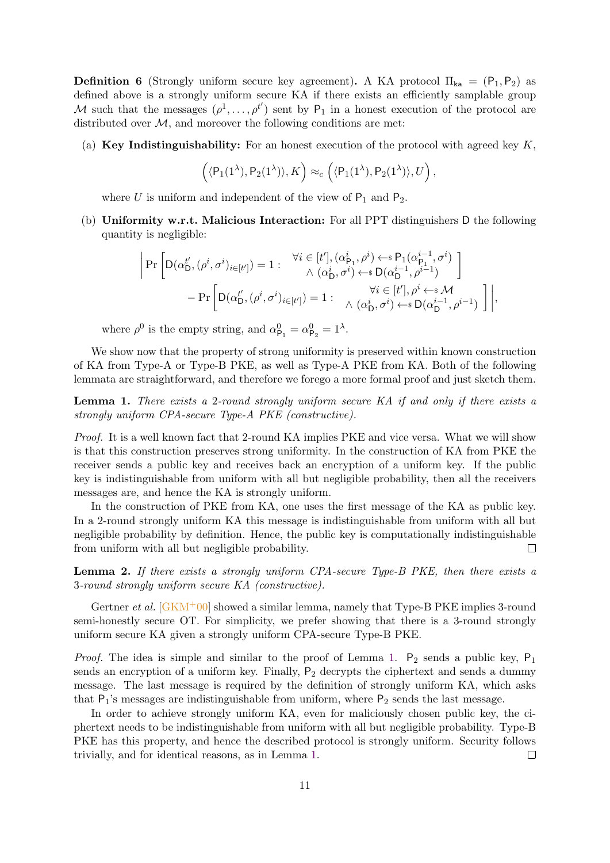**Definition 6** (Strongly uniform secure key agreement). A KA protocol  $\Pi_{ka} = (P_1, P_2)$  as defined above is a strongly uniform secure KA if there exists an efficiently samplable group M such that the messages  $(\rho^1, \ldots, \rho^{t'})$  sent by  $P_1$  in a honest execution of the protocol are distributed over  $M$ , and moreover the following conditions are met:

(a) **Key Indistinguishability:** For an honest execution of the protocol with agreed key  $K$ ,

$$
(\langle P_1(1^{\lambda}), P_2(1^{\lambda})\rangle, K) \approx_c (\langle P_1(1^{\lambda}), P_2(1^{\lambda})\rangle, U),
$$

where U is uniform and independent of the view of  $P_1$  and  $P_2$ .

(b) Uniformity w.r.t. Malicious Interaction: For all PPT distinguishers D the following quantity is negligible:

$$
\begin{split} \bigg| \Pr\bigg[ \mathrm{D}(\alpha_{\mathrm{D}}^{t'}, (\rho^i, \sigma^i)_{i \in [t']}) = 1: & \begin{array}{c} \forall i \in [t'], (\alpha_{\mathrm{P}_1}^i, \rho^i) \leftarrow \mathrm{s} \mathrm{P}_1(\alpha_{\mathrm{P}_1}^{i-1}, \sigma^i) \\ \wedge (\alpha_{\mathrm{D}}^i, \sigma^i) \leftarrow \mathrm{s} \mathrm{D}(\alpha_{\mathrm{D}}^{i-1}, \rho^{i-1}) \end{array} \bigg] \\ & - \Pr\bigg[ \mathrm{D}(\alpha_{\mathrm{D}}^{t'}, (\rho^i, \sigma^i)_{i \in [t']} ) = 1: & \begin{array}{c} \forall i \in [t'], \rho^i \leftarrow \mathrm{s} \mathcal{M} \\ \wedge (\alpha_{\mathrm{D}}^i, \sigma^i) \leftarrow \mathrm{s} \mathrm{D}(\alpha_{\mathrm{D}}^{i-1}, \rho^{i-1}) \end{array} \bigg] \bigg|, \end{split}
$$

where  $\rho^0$  is the empty string, and  $\alpha_{\mathsf{P}_1}^0 = \alpha_{\mathsf{P}_2}^0 = 1^\lambda$ .

We show now that the property of strong uniformity is preserved within known construction of KA from Type-A or Type-B PKE, as well as Type-A PKE from KA. Both of the following lemmata are straightforward, and therefore we forego a more formal proof and just sketch them.

<span id="page-12-0"></span>Lemma 1. There exists a 2-round strongly uniform secure KA if and only if there exists a strongly uniform CPA-secure Type-A PKE (constructive).

Proof. It is a well known fact that 2-round KA implies PKE and vice versa. What we will show is that this construction preserves strong uniformity. In the construction of KA from PKE the receiver sends a public key and receives back an encryption of a uniform key. If the public key is indistinguishable from uniform with all but negligible probability, then all the receivers messages are, and hence the KA is strongly uniform.

In the construction of PKE from KA, one uses the first message of the KA as public key. In a 2-round strongly uniform KA this message is indistinguishable from uniform with all but negligible probability by definition. Hence, the public key is computationally indistinguishable from uniform with all but negligible probability.  $\Box$ 

Lemma 2. If there exists a strongly uniform CPA-secure Type-B PKE, then there exists a 3-round strongly uniform secure KA (constructive).

Gertner et al.  $[GKM^+00]$  $[GKM^+00]$  showed a similar lemma, namely that Type-B PKE implies 3-round semi-honestly secure OT. For simplicity, we prefer showing that there is a 3-round strongly uniform secure KA given a strongly uniform CPA-secure Type-B PKE.

*Proof.* The idea is simple and similar to the proof of Lemma [1.](#page-12-0)  $P_2$  sends a public key,  $P_1$ sends an encryption of a uniform key. Finally,  $P_2$  decrypts the ciphertext and sends a dummy message. The last message is required by the definition of strongly uniform KA, which asks that  $P_1$ 's messages are indistinguishable from uniform, where  $P_2$  sends the last message.

In order to achieve strongly uniform KA, even for maliciously chosen public key, the ciphertext needs to be indistinguishable from uniform with all but negligible probability. Type-B PKE has this property, and hence the described protocol is strongly uniform. Security follows trivially, and for identical reasons, as in Lemma [1.](#page-12-0)  $\Box$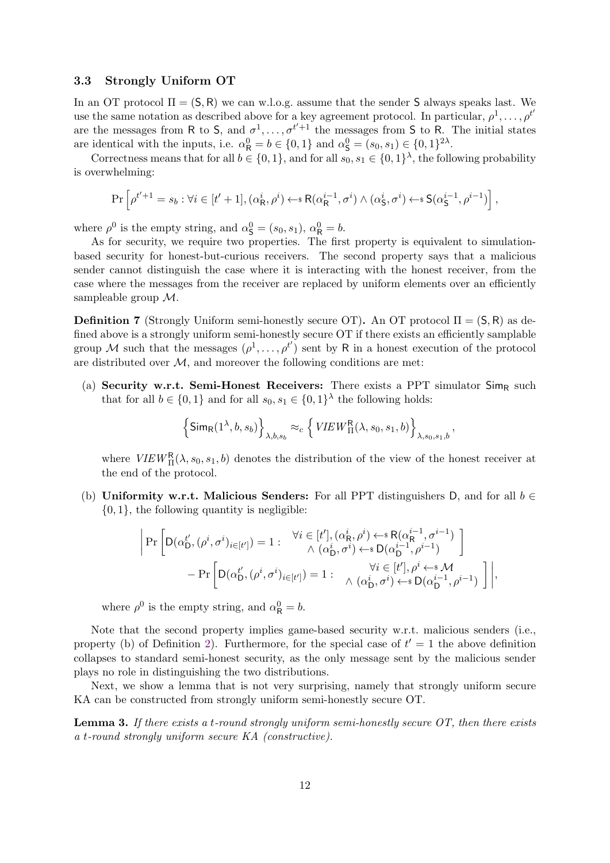#### <span id="page-13-0"></span>3.3 Strongly Uniform OT

In an OT protocol  $\Pi = (S, R)$  we can w.l.o.g. assume that the sender S always speaks last. We use the same notation as described above for a key agreement protocol. In particular,  $\rho^1, \ldots, \rho^{t'}$ are the messages from R to S, and  $\sigma^1, \ldots, \sigma^{t'+1}$  the messages from S to R. The initial states are identical with the inputs, i.e.  $\alpha_{\mathsf{R}}^0 = b \in \{0, 1\}$  and  $\alpha_{\mathsf{S}}^0 = (s_0, s_1) \in \{0, 1\}^{2\lambda}$ .

Correctness means that for all  $b \in \{0,1\}$ , and for all  $s_0, s_1 \in \{0,1\}^{\lambda}$ , the following probability is overwhelming:

$$
\Pr\left[\rho^{t'+1} = s_b : \forall i \in [t'+1], (\alpha^i_{\mathsf{R}}, \rho^i) \leftarrow \Re(\alpha^{i-1}_{\mathsf{R}}, \sigma^i) \land (\alpha^i_{\mathsf{S}}, \sigma^i) \leftarrow \Re(\alpha^{i-1}_{\mathsf{S}}, \rho^{i-1})\right],
$$

where  $\rho^0$  is the empty string, and  $\alpha_{\mathsf{S}}^0 = (s_0, s_1), \alpha_{\mathsf{R}}^0 = b$ .

As for security, we require two properties. The first property is equivalent to simulationbased security for honest-but-curious receivers. The second property says that a malicious sender cannot distinguish the case where it is interacting with the honest receiver, from the case where the messages from the receiver are replaced by uniform elements over an efficiently sampleable group M.

<span id="page-13-1"></span>**Definition 7** (Strongly Uniform semi-honestly secure OT). An OT protocol  $\Pi = (S, R)$  as defined above is a strongly uniform semi-honestly secure OT if there exists an efficiently samplable group M such that the messages  $(\rho^1, \ldots, \rho^{t'})$  sent by R in a honest execution of the protocol are distributed over  $M$ , and moreover the following conditions are met:

(a) Security w.r.t. Semi-Honest Receivers: There exists a PPT simulator  $\mathsf{Sim}_{\mathsf{R}}$  such that for all  $b \in \{0,1\}$  and for all  $s_0, s_1 \in \{0,1\}^{\lambda}$  the following holds:

$$
\left\{\text{Sim}_{\text{R}}(1^{\lambda}, b, s_b)\right\}_{\lambda, b, s_b} \approx_c \left\{\text{VIEW}_{\Pi}^{\text{R}}(\lambda, s_0, s_1, b)\right\}_{\lambda, s_0, s_1, b}
$$

,

where  $VIEW_{\Pi}^{R}(\lambda, s_0, s_1, b)$  denotes the distribution of the view of the honest receiver at the end of the protocol.

(b) Uniformity w.r.t. Malicious Senders: For all PPT distinguishers D, and for all  $b \in$  $\{0, 1\}$ , the following quantity is negligible:

$$
\begin{split} \bigg| \Pr\bigg[ \mathrm{D}(\alpha_{\mathrm{D}}^{t'}, (\rho^i, \sigma^i)_{i \in [t']}) = 1: & \begin{array}{c} \forall i \in [t'], (\alpha_{\mathrm{R}}^i, \rho^i) \leftarrow \mathrm{s} \, \mathrm{R}(\alpha_{\mathrm{R}}^{i-1}, \sigma^{i-1}) \\ \wedge (\alpha_{\mathrm{D}}^i, \sigma^i) \leftarrow \mathrm{s} \, \mathrm{D}(\alpha_{\mathrm{D}}^{i-1}, \rho^{i-1}) \end{array} \bigg] \\ & - \Pr\bigg[ \mathrm{D}(\alpha_{\mathrm{D}}^{t'}, (\rho^i, \sigma^i)_{i \in [t']} ) = 1: & \begin{array}{c} \forall i \in [t'], \rho^i \leftarrow \mathrm{s} \, \mathcal{M} \\ \wedge (\alpha_{\mathrm{D}}^i, \sigma^i) \leftarrow \mathrm{s} \, \mathrm{D}(\alpha_{\mathrm{D}}^{i-1}, \rho^{i-1}) \end{array} \bigg] \bigg|, \end{split}
$$

where  $\rho^0$  is the empty string, and  $\alpha_{\mathsf{R}}^0 = b$ .

Note that the second property implies game-based security w.r.t. malicious senders (i.e., property (b) of Definition [2\)](#page-9-2). Furthermore, for the special case of  $t' = 1$  the above definition collapses to standard semi-honest security, as the only message sent by the malicious sender plays no role in distinguishing the two distributions.

Next, we show a lemma that is not very surprising, namely that strongly uniform secure KA can be constructed from strongly uniform semi-honestly secure OT.

**Lemma 3.** If there exists a t-round strongly uniform semi-honestly secure  $OT$ , then there exists a t-round strongly uniform secure KA (constructive).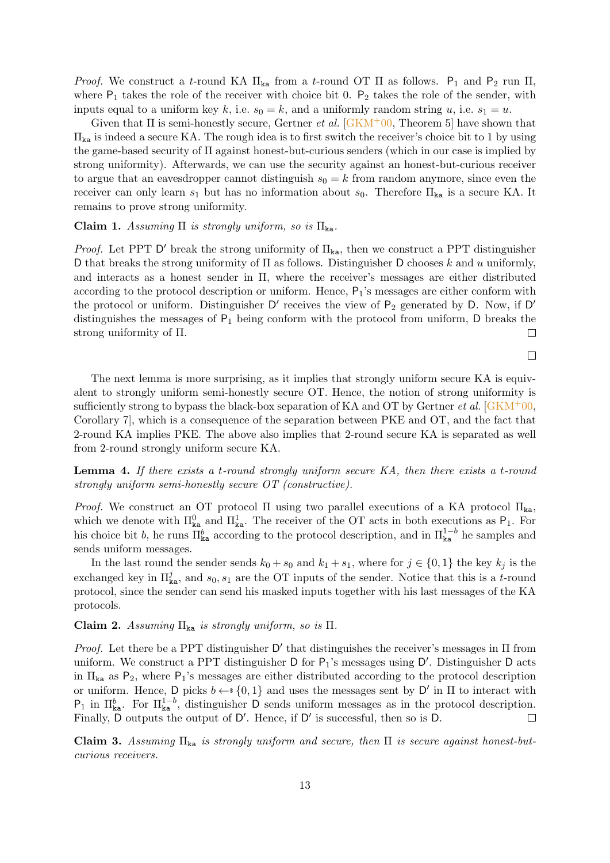*Proof.* We construct a t-round KA  $\Pi_{\text{ka}}$  from a t-round OT  $\Pi$  as follows.  $P_1$  and  $P_2$  run  $\Pi$ , where  $P_1$  takes the role of the receiver with choice bit 0.  $P_2$  takes the role of the sender, with inputs equal to a uniform key k, i.e.  $s_0 = k$ , and a uniformly random string u, i.e.  $s_1 = u$ .

Given that  $\Pi$  is semi-honestly secure, Gertner *et al.* [\[GKM](#page-29-4)<sup>+</sup>00, Theorem 5] have shown that  $\Pi_{\text{ka}}$  is indeed a secure KA. The rough idea is to first switch the receiver's choice bit to 1 by using the game-based security of Π against honest-but-curious senders (which in our case is implied by strong uniformity). Afterwards, we can use the security against an honest-but-curious receiver to argue that an eavesdropper cannot distinguish  $s_0 = k$  from random anymore, since even the receiver can only learn  $s_1$  but has no information about  $s_0$ . Therefore  $\Pi_{\text{ka}}$  is a secure KA. It remains to prove strong uniformity.

#### Claim 1. Assuming  $\Pi$  is strongly uniform, so is  $\Pi_{ka}$ .

*Proof.* Let PPT  $D'$  break the strong uniformity of  $\Pi_{ka}$ , then we construct a PPT distinguisher D that breaks the strong uniformity of  $\Pi$  as follows. Distinguisher D chooses k and u uniformly, and interacts as a honest sender in Π, where the receiver's messages are either distributed according to the protocol description or uniform. Hence,  $P_1$ 's messages are either conform with the protocol or uniform. Distinguisher  $D'$  receives the view of  $P_2$  generated by D. Now, if D' distinguishes the messages of  $P_1$  being conform with the protocol from uniform, D breaks the strong uniformity of Π.  $\Box$ 

 $\Box$ 

The next lemma is more surprising, as it implies that strongly uniform secure KA is equivalent to strongly uniform semi-honestly secure OT. Hence, the notion of strong uniformity is sufficiently strong to bypass the black-box separation of KA and OT by Gertner *et al.*  $\sqrt{GKM^+00}$ , Corollary 7], which is a consequence of the separation between PKE and OT, and the fact that 2-round KA implies PKE. The above also implies that 2-round secure KA is separated as well from 2-round strongly uniform secure KA.

Lemma 4. If there exists a t-round strongly uniform secure KA, then there exists a t-round strongly uniform semi-honestly secure OT (constructive).

*Proof.* We construct an OT protocol  $\Pi$  using two parallel executions of a KA protocol  $\Pi_{\text{ka}}$ , which we denote with  $\Pi_{\text{ka}}^0$  and  $\Pi_{\text{ka}}^1$ . The receiver of the OT acts in both executions as  $P_1$ . For his choice bit b, he runs  $\overline{\Pi}_{\text{ka}}^{b}$  according to the protocol description, and in  $\Pi_{\text{ka}}^{1-b}$  he samples and sends uniform messages.

In the last round the sender sends  $k_0 + s_0$  and  $k_1 + s_1$ , where for  $j \in \{0, 1\}$  the key  $k_j$  is the exchanged key in  $\Pi_{\text{ka}}^j$ , and  $s_0, s_1$  are the OT inputs of the sender. Notice that this is a t-round protocol, since the sender can send his masked inputs together with his last messages of the KA protocols.

#### Claim 2. Assuming  $\Pi_{\text{ka}}$  is strongly uniform, so is  $\Pi$ .

*Proof.* Let there be a PPT distinguisher  $D'$  that distinguishes the receiver's messages in  $\Pi$  from uniform. We construct a PPT distinguisher  $D$  for  $P_1$ 's messages using  $D'$ . Distinguisher  $D$  acts in  $\Pi_{\text{ka}}$  as P<sub>2</sub>, where P<sub>1</sub>'s messages are either distributed according to the protocol description or uniform. Hence, D picks  $b \leftarrow s \{0, 1\}$  and uses the messages sent by D' in  $\Pi$  to interact with  $P_1$  in  $\Pi_{\text{ka}}^b$ . For  $\Pi_{\text{ka}}^{1-b}$ , distinguisher D sends uniform messages as in the protocol description. Finally, D outputs the output of D'. Hence, if D' is successful, then so is D.  $\Box$ 

Claim 3. Assuming  $\Pi_{ka}$  is strongly uniform and secure, then  $\Pi$  is secure against honest-butcurious receivers.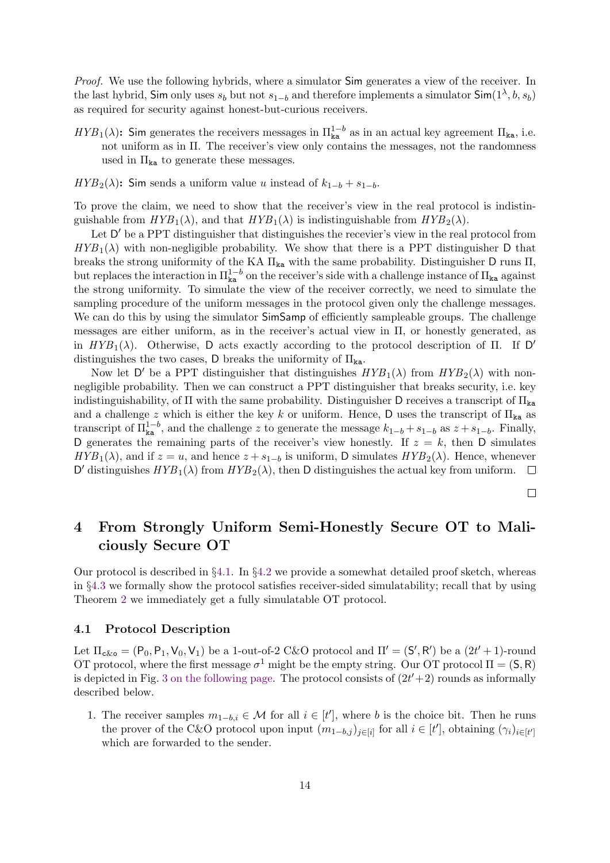Proof. We use the following hybrids, where a simulator Sim generates a view of the receiver. In the last hybrid, Sim only uses  $s_b$  but not  $s_{1-b}$  and therefore implements a simulator Sim $(1^{\lambda}, b, s_b)$ as required for security against honest-but-curious receivers.

- $HYB_1(\lambda)$ : Sim generates the receivers messages in  $\Pi_{\mathbf{k}a}^{1-b}$  as in an actual key agreement  $\Pi_{\mathbf{k}a}$ , i.e. not uniform as in Π. The receiver's view only contains the messages, not the randomness used in  $\Pi_{\text{ka}}$  to generate these messages.
- $HYB_2(\lambda)$ : Sim sends a uniform value u instead of  $k_{1-b} + s_{1-b}$ .

To prove the claim, we need to show that the receiver's view in the real protocol is indistinguishable from  $HYB_1(\lambda)$ , and that  $HYB_1(\lambda)$  is indistinguishable from  $HYB_2(\lambda)$ .

Let D' be a PPT distinguisher that distinguishes the recevier's view in the real protocol from  $HYB_1(\lambda)$  with non-negligible probability. We show that there is a PPT distinguisher D that breaks the strong uniformity of the KA  $\Pi_{\text{ka}}$  with the same probability. Distinguisher D runs  $\Pi$ , but replaces the interaction in  $\Pi_{\textbf{k}a}^{1-b}$  on the receiver's side with a challenge instance of  $\Pi_{\textbf{k}a}$  against the strong uniformity. To simulate the view of the receiver correctly, we need to simulate the sampling procedure of the uniform messages in the protocol given only the challenge messages. We can do this by using the simulator  $SimSamp$  of efficiently sampleable groups. The challenge messages are either uniform, as in the receiver's actual view in Π, or honestly generated, as in  $HYB_1(\lambda)$ . Otherwise, D acts exactly according to the protocol description of  $\Pi$ . If D' distinguishes the two cases, D breaks the uniformity of  $\Pi_{\text{ka}}$ .

Now let D' be a PPT distinguisher that distinguishes  $HYB_1(\lambda)$  from  $HYB_2(\lambda)$  with nonnegligible probability. Then we can construct a PPT distinguisher that breaks security, i.e. key indistinguishability, of  $\Pi$  with the same probability. Distinguisher D receives a transcript of  $\Pi_{ka}$ and a challenge z which is either the key k or uniform. Hence, D uses the transcript of  $\Pi_{\text{ka}}$  as transcript of  $\Pi_{\text{ka}}^{1-b}$ , and the challenge z to generate the message  $k_{1-b} + s_{1-b}$  as  $z + s_{1-b}$ . Finally, D generates the remaining parts of the receiver's view honestly. If  $z = k$ , then D simulates  $HYB_1(\lambda)$ , and if  $z = u$ , and hence  $z + s_{1-b}$  is uniform, D simulates  $HYB_2(\lambda)$ . Hence, whenever D' distinguishes  $HYB_1(\lambda)$  from  $HYB_2(\lambda)$ , then D distinguishes the actual key from uniform.  $\Box$ 

 $\Box$ 

## <span id="page-15-0"></span>4 From Strongly Uniform Semi-Honestly Secure OT to Maliciously Secure OT

Our protocol is described in §[4.1.](#page-15-1) In §[4.2](#page-17-0) we provide a somewhat detailed proof sketch, whereas in §[4.3](#page-18-0) we formally show the protocol satisfies receiver-sided simulatability; recall that by using Theorem [2](#page-9-3) we immediately get a fully simulatable OT protocol.

#### <span id="page-15-1"></span>4.1 Protocol Description

Let  $\Pi_{c&\sigma} = (\mathsf{P}_0, \mathsf{P}_1, \mathsf{V}_0, \mathsf{V}_1)$  be a 1-out-of-2 C&O protocol and  $\Pi' = (\mathsf{S}', \mathsf{R}')$  be a  $(2t' + 1)$ -round OT protocol, where the first message  $\sigma^1$  might be the empty string. Our OT protocol  $\Pi = (S, R)$ is depicted in Fig. [3 on the following page.](#page-16-0) The protocol consists of  $(2t'+2)$  rounds as informally described below.

1. The receiver samples  $m_{1-b,i} \in \mathcal{M}$  for all  $i \in [t']$ , where b is the choice bit. Then he runs the prover of the C&O protocol upon input  $(m_{1-b,j})_{j\in[i]}$  for all  $i \in [t']$ , obtaining  $(\gamma_i)_{i\in[t']}$ which are forwarded to the sender.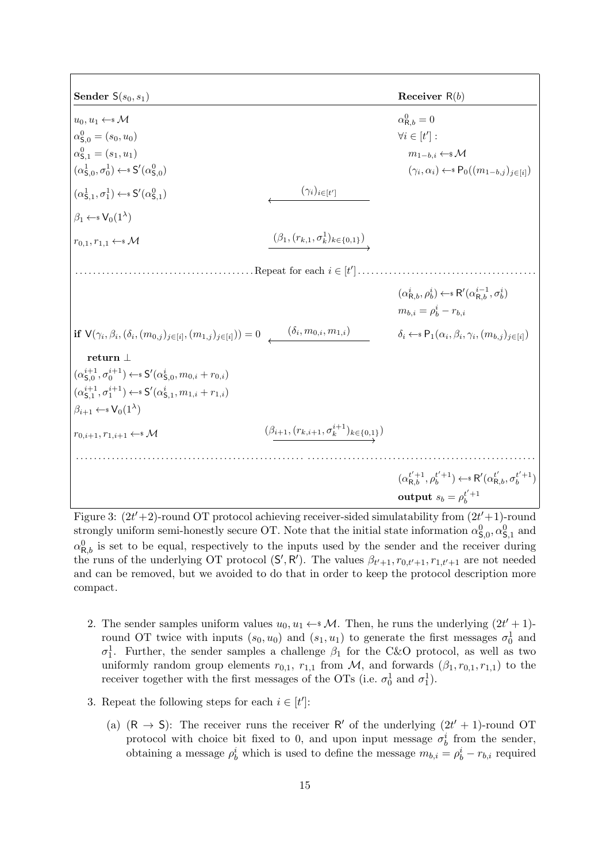<span id="page-16-0"></span>Sender  $S(s_0, s_1)$  Receiver R(b)  $u_0, u_1 \leftarrow^* M$  $R_{R,b}^{0}=0$  $\alpha_{\mathsf{S},0}^0 = (s_0,u_0)$   $\forall i \in [t]$  $^{\prime}]$  :  $\alpha_{\mathsf{S}}^0$  $m_{1-b,i} \leftarrow^* M$  $(\alpha_{\mathsf{S},0}^1, \sigma_0^1) \leftarrow \mathsf{s} S'(\alpha_{\mathsf{S},0}^0)$ )  $(\gamma_i$  $(\gamma_i, \alpha_i) \leftarrow \mathbb{P}_0((m_{1-b,j})_{j \in [i]})$  $(\alpha_{\mathsf{S},1}^1, \sigma_1^1) \leftarrow \mathsf{s} S'(\alpha_{\mathsf{S},1}^0)$  $(\gamma_i)_{i\in[t']}$  $\beta_1 \leftarrow \s V_0(1^{\lambda})$  $r_{0,1}, r_{1,1} \leftarrow^* \mathcal{M}$  ( $\beta_1, (r_{k,1}, \sigma_k^1)_{k \in \{0,1\}}$ )  $\dots\dots\dots\dots\dots\dots\dots\dots\dots\text{Repeat for each } i \in [t']$ ] . . . . . . . . . . . . . . . . . . . . . . . . . . . . . . . . . . . . . . . .  $(\alpha_{{\sf R},b}^i,\rho_b^i) \leftarrow \; {\sf R}'(\alpha_{{\sf R},b}^{i-1},\sigma_b^i)$  $m_{b,i} = \rho_b^i - r_{b,i}$  $\textbf{if} \,\, \mathsf{V}(\gamma_i,\beta_i,(\delta_i,(m_{0,j})_{j\in [i]},(m_{1,j})_{j\in [i]})) = 0 \,\, \,\,\,\,\,\,\,\,\,\,\,\,\,\,\,\, (\delta_i, m_{0,i},m_{1,i})$  $\delta_i \leftarrow \mathbb{P}_1(\alpha_i, \beta_i, \gamma_i, (m_{b,j})_{j \in [i]})$ return ⊥  $(\alpha_{\mathsf{S},0}^{i+1},\sigma_0^{i+1}) \leftarrow \mathsf{s}^{\prime\prime}(\alpha_{\mathsf{S},0}^{i},m_{0,i}+r_{0,i})$  $(\alpha_{\mathsf{S},1}^{i+1},\sigma_1^{i+1}) \leftarrow \mathsf{s} S'(\alpha_{\mathsf{S},1}^i,m_{1,i}+r_{1,i})$  $\beta_{i+1} \leftarrow \{ \mathsf{V}_0(1^{\lambda})$  $r_{0,i+1}, r_{1,i+1} \leftarrow^* \mathcal{M}$  ( $\beta_{i+1}, (r_{k,i+1}, \sigma_k^{i+1})_{k \in \{0,1\}}$ ) . . . . . . . . . . . . . . . . . . . . . . . . . . . . . . . . . . . . . . . . . . . . . . . . . . . . . . . . . . . . . . . . . . . . . . . . . . . . . . . . . . . . . . . . . . . . . . . . . . . . . .  $(\boldsymbol{\alpha}_{\mathsf{R},b}^{t'+1},\boldsymbol{\rho}_{b}^{t'+1}) \leftarrow \mathsf{s} \; \mathsf{R}'(\boldsymbol{\alpha}_{\mathsf{R},b}^{t'},\boldsymbol{\sigma}_{b}^{t'+1})$ output  $s_b = \rho_b^{t'+1}$ 

Figure 3:  $(2t'+2)$ -round OT protocol achieving receiver-sided simulatability from  $(2t'+1)$ -round strongly uniform semi-honestly secure OT. Note that the initial state information  $\alpha_{\mathsf{S},0}^0, \alpha_{\mathsf{S},1}^0$  and  $\alpha_{\mathsf{R},b}^0$  is set to be equal, respectively to the inputs used by the sender and the receiver during the runs of the underlying OT protocol  $(S', R')$ . The values  $\beta_{t'+1}, r_{0,t'+1}, r_{1,t'+1}$  are not needed and can be removed, but we avoided to do that in order to keep the protocol description more compact.

- 2. The sender samples uniform values  $u_0, u_1 \leftarrow^* \mathcal{M}$ . Then, he runs the underlying  $(2t' + 1)$ round OT twice with inputs  $(s_0, u_0)$  and  $(s_1, u_1)$  to generate the first messages  $\sigma_0^1$  and  $\sigma_1^1$ . Further, the sender samples a challenge  $\beta_1$  for the C&O protocol, as well as two uniformly random group elements  $r_{0,1}$ ,  $r_{1,1}$  from M, and forwards  $(\beta_1, r_{0,1}, r_{1,1})$  to the receiver together with the first messages of the OTs (i.e.  $\sigma_0^1$  and  $\sigma_1^1$ ).
- 3. Repeat the following steps for each  $i \in [t']$ :
	- (a)  $(R \rightarrow S)$ : The receiver runs the receiver R' of the underlying  $(2t' + 1)$ -round OT protocol with choice bit fixed to 0, and upon input message  $\sigma_b^i$  from the sender, obtaining a message  $\rho_b^i$  which is used to define the message  $m_{b,i} = \rho_b^i - r_{b,i}$  required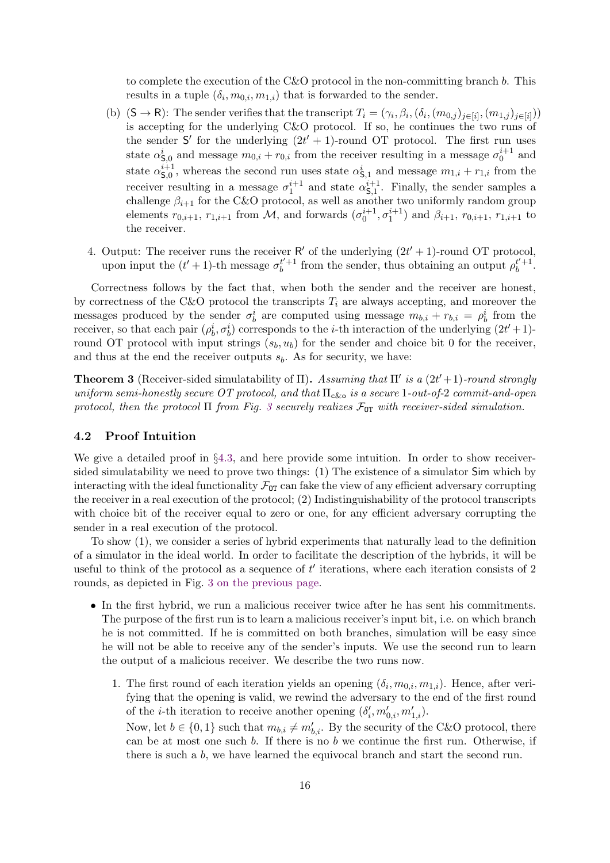to complete the execution of the C&O protocol in the non-committing branch b. This results in a tuple  $(\delta_i, m_{0,i}, m_{1,i})$  that is forwarded to the sender.

- (b)  $(S \to R)$ : The sender verifies that the transcript  $T_i = (\gamma_i, \beta_i, (\delta_i, (m_{0,i})_{j \in [i]}, (m_{1,i})_{j \in [i]})$ is accepting for the underlying C&O protocol. If so, he continues the two runs of the sender S' for the underlying  $(2t' + 1)$ -round OT protocol. The first run uses state  $\alpha_{\mathsf{S},0}^i$  and message  $m_{0,i} + r_{0,i}$  from the receiver resulting in a message  $\sigma_0^{i+1}$  and state  $\alpha_{\mathsf{S}^0}^{i+1}$  $s_{5,0}^{i+1}$ , whereas the second run uses state  $\alpha_{\mathsf{S},1}^{i}$  and message  $m_{1,i} + r_{1,i}$  from the receiver resulting in a message  $\sigma_1^{i+1}$  and state  $\alpha_{\mathsf{S},1}^{i+1}$  $S_{,1}^{i+1}$ . Finally, the sender samples a challenge  $\beta_{i+1}$  for the C&O protocol, as well as another two uniformly random group elements  $r_{0,i+1}$ ,  $r_{1,i+1}$  from M, and forwards  $(\sigma_0^{i+1}, \sigma_1^{i+1})$  and  $\beta_{i+1}$ ,  $r_{0,i+1}$ ,  $r_{1,i+1}$  to the receiver.
- 4. Output: The receiver runs the receiver  $R'$  of the underlying  $(2t' + 1)$ -round OT protocol, upon input the  $(t'+1)$ -th message  $\sigma_b^{t'+1}$  $t'_{b}$ <sup>+1</sup> from the sender, thus obtaining an output  $\rho_b^{t'+1}$  $b^{t'+1}$ .

Correctness follows by the fact that, when both the sender and the receiver are honest, by correctness of the C&O protocol the transcripts  $T_i$  are always accepting, and moreover the messages produced by the sender  $\sigma_b^i$  are computed using message  $m_{b,i} + r_{b,i} = \rho_b^i$  from the receiver, so that each pair  $(\rho_b^i, \sigma_b^i)$  corresponds to the *i*-th interaction of the underlying  $(2t' + 1)$ round OT protocol with input strings  $(s_b, u_b)$  for the sender and choice bit 0 for the receiver, and thus at the end the receiver outputs  $s<sub>b</sub>$ . As for security, we have:

**Theorem 3** (Receiver-sided simulatability of  $\Pi$ ). Assuming that  $\Pi'$  is a  $(2t'+1)$ -round strongly uniform semi-honestly secure OT protocol, and that  $\Pi_{c\&c}$  is a secure 1-out-of-2 commit-and-open protocol, then the protocol  $\Pi$  from Fig. [3](#page-16-0) securely realizes  $\mathcal{F}_{OT}$  with receiver-sided simulation.

#### <span id="page-17-0"></span>4.2 Proof Intuition

We give a detailed proof in §[4.3,](#page-18-0) and here provide some intuition. In order to show receiversided simulatability we need to prove two things: (1) The existence of a simulator Sim which by interacting with the ideal functionality  $\mathcal{F}_{\text{OT}}$  can fake the view of any efficient adversary corrupting the receiver in a real execution of the protocol; (2) Indistinguishability of the protocol transcripts with choice bit of the receiver equal to zero or one, for any efficient adversary corrupting the sender in a real execution of the protocol.

To show (1), we consider a series of hybrid experiments that naturally lead to the definition of a simulator in the ideal world. In order to facilitate the description of the hybrids, it will be useful to think of the protocol as a sequence of  $t'$  iterations, where each iteration consists of 2 rounds, as depicted in Fig. [3 on the previous page.](#page-16-0)

- In the first hybrid, we run a malicious receiver twice after he has sent his commitments. The purpose of the first run is to learn a malicious receiver's input bit, i.e. on which branch he is not committed. If he is committed on both branches, simulation will be easy since he will not be able to receive any of the sender's inputs. We use the second run to learn the output of a malicious receiver. We describe the two runs now.
	- 1. The first round of each iteration yields an opening  $(\delta_i, m_{0,i}, m_{1,i})$ . Hence, after verifying that the opening is valid, we rewind the adversary to the end of the first round of the *i*-th iteration to receive another opening  $(\delta'_i, m'_{0,i}, m'_{1,i})$ .

Now, let  $b \in \{0, 1\}$  such that  $m_{b,i} \neq m'_{b,i}$ . By the security of the C&O protocol, there can be at most one such b. If there is no b we continue the first run. Otherwise, if there is such a b, we have learned the equivocal branch and start the second run.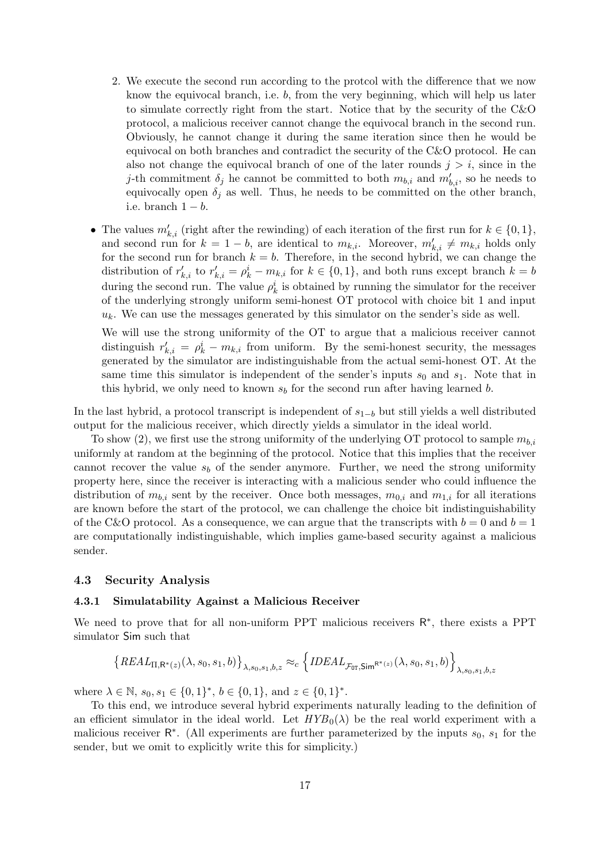- 2. We execute the second run according to the protcol with the difference that we now know the equivocal branch, i.e. b, from the very beginning, which will help us later to simulate correctly right from the start. Notice that by the security of the C&O protocol, a malicious receiver cannot change the equivocal branch in the second run. Obviously, he cannot change it during the same iteration since then he would be equivocal on both branches and contradict the security of the C&O protocol. He can also not change the equivocal branch of one of the later rounds  $j > i$ , since in the *j*-th commitment  $\delta_j$  he cannot be committed to both  $m_{b,i}$  and  $m'_{b,i}$ , so he needs to equivocally open  $\delta_i$  as well. Thus, he needs to be committed on the other branch, i.e. branch  $1 - b$ .
- The values  $m'_{k,i}$  (right after the rewinding) of each iteration of the first run for  $k \in \{0,1\}$ , and second run for  $k = 1 - b$ , are identical to  $m_{k,i}$ . Moreover,  $m'_{k,i} \neq m_{k,i}$  holds only for the second run for branch  $k = b$ . Therefore, in the second hybrid, we can change the distribution of  $r'_{k,i}$  to  $r'_{k,i} = \rho^i_k - m_{k,i}$  for  $k \in \{0,1\}$ , and both runs except branch  $k = b$ during the second run. The value  $\rho_k^i$  is obtained by running the simulator for the receiver of the underlying strongly uniform semi-honest OT protocol with choice bit 1 and input  $u_k$ . We can use the messages generated by this simulator on the sender's side as well.

We will use the strong uniformity of the OT to argue that a malicious receiver cannot distinguish  $r'_{k,i} = \rho_k^i - m_{k,i}$  from uniform. By the semi-honest security, the messages generated by the simulator are indistinguishable from the actual semi-honest OT. At the same time this simulator is independent of the sender's inputs  $s_0$  and  $s_1$ . Note that in this hybrid, we only need to known  $s_b$  for the second run after having learned b.

In the last hybrid, a protocol transcript is independent of  $s_{1-b}$  but still yields a well distributed output for the malicious receiver, which directly yields a simulator in the ideal world.

To show (2), we first use the strong uniformity of the underlying OT protocol to sample  $m_{b,i}$ uniformly at random at the beginning of the protocol. Notice that this implies that the receiver cannot recover the value  $s<sub>b</sub>$  of the sender anymore. Further, we need the strong uniformity property here, since the receiver is interacting with a malicious sender who could influence the distribution of  $m_{b,i}$  sent by the receiver. Once both messages,  $m_{0,i}$  and  $m_{1,i}$  for all iterations are known before the start of the protocol, we can challenge the choice bit indistinguishability of the C&O protocol. As a consequence, we can argue that the transcripts with  $b = 0$  and  $b = 1$ are computationally indistinguishable, which implies game-based security against a malicious sender.

#### <span id="page-18-0"></span>4.3 Security Analysis

#### 4.3.1 Simulatability Against a Malicious Receiver

We need to prove that for all non-uniform PPT malicious receivers  $R^*$ , there exists a PPT simulator Sim such that

$$
\left\{ REAL_{\Pi,\mathsf{R}^*(z)}(\lambda,s_0,s_1,b)\right\}_{\lambda,s_0,s_1,b,z} \approx_c \left\{ IDEAL_{\mathcal{F}_{\text{OT}},\mathsf{Sim}^{\mathsf{R}^*(z)}}(\lambda,s_0,s_1,b)\right\}_{\lambda,s_0,s_1,b,z}
$$

where  $\lambda \in \mathbb{N}, s_0, s_1 \in \{0, 1\}^*, b \in \{0, 1\}, \text{ and } z \in \{0, 1\}^*.$ 

To this end, we introduce several hybrid experiments naturally leading to the definition of an efficient simulator in the ideal world. Let  $HYB_0(\lambda)$  be the real world experiment with a malicious receiver  $\mathsf{R}^*$ . (All experiments are further parameterized by the inputs  $s_0$ ,  $s_1$  for the sender, but we omit to explicitly write this for simplicity.)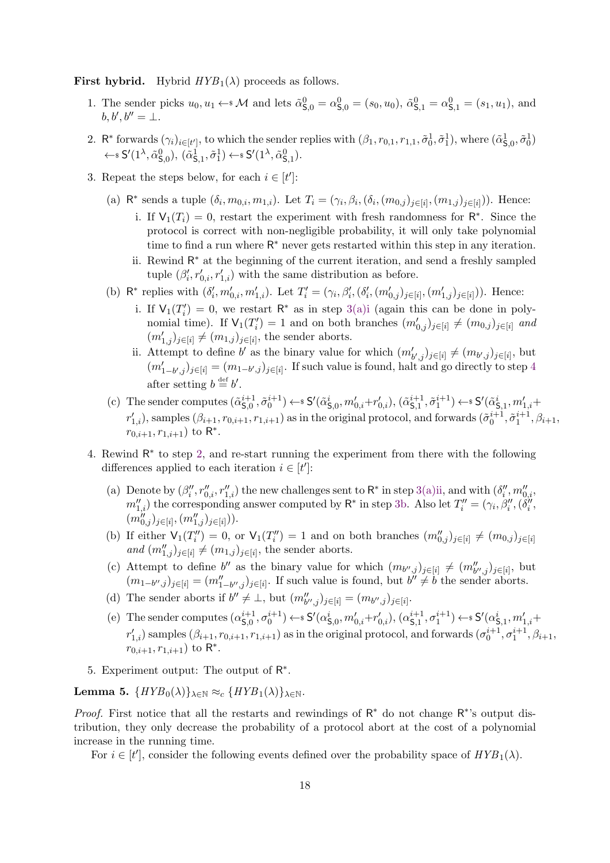<span id="page-19-9"></span>**First hybrid.** Hybrid  $HYB_1(\lambda)$  proceeds as follows.

- 1. The sender picks  $u_0, u_1 \leftarrow^* \mathcal{M}$  and lets  $\tilde{\alpha}_{\mathsf{S},0}^0 = \alpha_{\mathsf{S},0}^0 = (s_0, u_0), \tilde{\alpha}_{\mathsf{S},1}^0 = \alpha_{\mathsf{S},1}^0 = (s_1, u_1),$  and  $b, b', b'' = \bot.$
- <span id="page-19-2"></span>2. R<sup>\*</sup> forwards  $(\gamma_i)_{i \in [t']}$ , to which the sender replies with  $(\beta_1, r_{0,1}, r_{1,1}, \tilde{\sigma}_0^1, \tilde{\sigma}_1^1)$ , where  $(\tilde{\alpha}_{\mathsf{S},0}^1, \tilde{\sigma}_0^1)$  $\leftarrow$  s S'(1<sup> $\lambda$ </sup>,  $\tilde{\alpha}_{\mathsf{S},0}^{0}$ ),  $(\tilde{\alpha}_{\mathsf{S},1}^{1}, \tilde{\sigma}_{1}^{1}) \leftarrow$  s S'(1<sup> $\lambda$ </sup>,  $\tilde{\alpha}_{\mathsf{S},1}^{0}$ ).
- <span id="page-19-5"></span><span id="page-19-4"></span><span id="page-19-3"></span><span id="page-19-0"></span>3. Repeat the steps below, for each  $i \in [t']$ :
	- (a)  $\mathsf{R}^*$  sends a tuple  $(\delta_i, m_{0,i}, m_{1,i})$ . Let  $T_i = (\gamma_i, \beta_i, (\delta_i, (m_{0,j})_{j \in [i]}, (m_{1,j})_{j \in [i]}))$ . Hence:
		- i. If  $V_1(T_i) = 0$ , restart the experiment with fresh randomness for  $\mathbb{R}^*$ . Since the protocol is correct with non-negligible probability, it will only take polynomial time to find a run where R<sup>\*</sup> never gets restarted within this step in any iteration.
		- ii. Rewind R <sup>∗</sup> at the beginning of the current iteration, and send a freshly sampled tuple  $(\beta'_i, r'_{0,i}, r'_{1,i})$  with the same distribution as before.
	- (b)  $\mathsf{R}^*$  replies with  $(\delta'_i, m'_{0,i}, m'_{1,i})$ . Let  $T'_i = (\gamma_i, \beta'_i, (\delta'_i, (m'_{0,j})_{j \in [i]}, (m'_{1,j})_{j \in [i]}))$ . Hence:
		- i. If  $V_1(T'_i) = 0$ , we restart  $R^*$  as in step [3\(a\)i](#page-19-0) (again this can be done in polynomial time). If  $V_1(T_i') = 1$  and on both branches  $(m'_{0,j})_{j \in [i]} \neq (m_{0,j})_{j \in [i]}$  and  $(m'_{1,j})_{j\in[i]}\neq (m_{1,j})_{j\in[i]}$ , the sender aborts.
		- ii. Attempt to define b' as the binary value for which  $(m'_{b',j})_{j\in[i]} \neq (m_{b',j})_{j\in[i]}$ , but  $(m'_{1-b',j})_{j\in[i]} = (m_{1-b',j})_{j\in[i]}$ . If such value is found, halt and go directly to step [4](#page-19-1) after setting  $b \stackrel{\text{def}}{=} b'$ .
	- (c) The sender computes  $(\tilde{\alpha}_{\mathsf{S}^0}^{i+1})$  $(\tilde{s}_{\mathsf{S},0}^{i+1}, \tilde{\sigma}_0^{i+1}) \leftarrow \mathsf{s} S'(\tilde{\alpha}_{\mathsf{S},0}^i, m_{0,i}' + r_{0,i}'), (\tilde{\alpha}_{\mathsf{S},1}^{i+1})$  $(\tilde{s}_{\mathsf{S},1}^{i+1},\tilde{\sigma}_1^{i+1}) \leftarrow \$   $\mathsf{S}'(\tilde{\alpha}_{\mathsf{S},1}^{i},m_{1,i}' +$  $r'_{1,i}$ ), samples  $(\beta_{i+1}, r_{0,i+1}, r_{1,i+1})$  as in the original protocol, and forwards  $(\tilde{\sigma}_0^{i+1}, \tilde{\sigma}_1^{i+1}, \beta_{i+1},$  $r_{0,i+1}, r_{1,i+1}$ ) to R<sup>\*</sup>.
- <span id="page-19-12"></span><span id="page-19-11"></span><span id="page-19-6"></span><span id="page-19-1"></span>4. Rewind  $\mathsf{R}^*$  to step [2,](#page-19-2) and re-start running the experiment from there with the following differences applied to each iteration  $i \in [t']$ :
	- (a) Denote by  $(\beta''_i, r''_{0,i}, r''_{1,i})$  the new challenges sent to  $\mathsf{R}^*$  in step [3\(a\)ii,](#page-19-3) and with  $(\delta''_i, m''_{0,i},$  $m_{1,i}''$ ) the corresponding answer computed by  $\mathsf{R}^*$  in step [3b.](#page-19-4) Also let  $T''_i = (\gamma_i, \beta''_i, (\delta''_i, \delta''_i, \delta''_i, \delta''_i, \delta''_i, \delta''_i, \delta''_i, \delta''_i, \delta''_i, \delta''_i, \delta''_i, \delta''_i, \delta''_i, \delta''_i, \delta''_i, \delta''_i, \delta''_i, \delta''_i, \delta''_i, \delta''_i, \delta''_i,$  $(m_{0,j}^{"})_{j\in[i]},(m_{1,j}^{"})_{j\in[i]}).$
	- (b) If either  $\mathsf{V}_1(T''_i) = 0$ , or  $\mathsf{V}_1(T''_i) = 1$  and on both branches  $(m''_{0,j})_{j \in [i]} \neq (m_{0,j})_{j \in [i]}$ and  $(m''_{1,j})_{j\in[i]}\neq (m_{1,j})_{j\in[i]}$ , the sender aborts.
	- (c) Attempt to define b'' as the binary value for which  $(m_{b'',j})_{j\in[i]}\neq (m''_{b'',j})_{j\in[i]},$  but  $(m_{1-b'',j})_{j\in[i]} = (m''_{1-b'',j})_{j\in[i]}$ . If such value is found, but  $b'' \neq b$  the sender aborts.
	- (d) The sender aborts if  $b'' \neq \bot$ , but  $(m''_{b'',j})_{j \in [i]} = (m_{b'',j})_{j \in [i]}$ .
	- (e) The sender computes  $(\alpha_{\mathsf{S}_0}^{i+1})$  $(S_0^{i+1}, \sigma_0^{i+1}) \leftarrow \$S'(\alpha_{\mathsf{S},0}^i, m_{0,i}' + r_{0,i}'), (\alpha_{\mathsf{S},1}^{i+1})$  $(s_{5,1}^{i+1}, \sigma_1^{i+1}) \leftarrow s S'(\alpha_{\mathsf{S},1}^i, m_{1,i}' +$  $r'_{1,i}$ ) samples  $(\beta_{i+1}, r_{0,i+1}, r_{1,i+1})$  as in the original protocol, and forwards  $(\sigma_0^{i+1}, \sigma_1^{i+1}, \beta_{i+1},$  $r_{0,i+1}, r_{1,i+1}$ ) to R<sup>\*</sup>.
- <span id="page-19-13"></span><span id="page-19-8"></span><span id="page-19-7"></span>5. Experiment output: The output of  $\mathsf{R}^*$ .

<span id="page-19-10"></span>Lemma 5.  $\{HYB_0(\lambda)\}_{\lambda \in \mathbb{N}} \approx_c \{HYB_1(\lambda)\}_{\lambda \in \mathbb{N}}$ .

*Proof.* First notice that all the restarts and rewindings of  $R^*$  do not change  $R^*$ 's output distribution, they only decrease the probability of a protocol abort at the cost of a polynomial increase in the running time.

For  $i \in [t']$ , consider the following events defined over the probability space of  $HYB_1(\lambda)$ .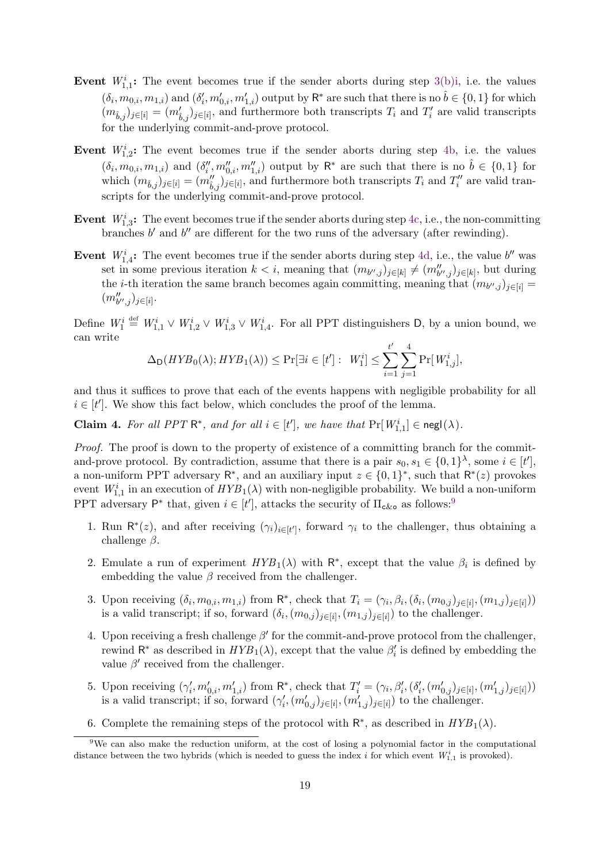- Event  $W_{1,1}^i$ : The event becomes true if the sender aborts during step [3\(b\)i,](#page-19-5) i.e. the values  $(\delta_i, m_{0,i}, m_{1,i})$  and  $(\delta'_i, m'_{0,i}, m'_{1,i})$  output by  $\mathsf{R}^*$  are such that there is no  $\hat{b} \in \{0, 1\}$  for which  $(m_{\hat{b},j})_{j\in[i]} = (m'_{\hat{b},j})_{j\in[i]}$ , and furthermore both transcripts  $T_i$  and  $T'_i$  are valid transcripts for the underlying commit-and-prove protocol.
- Event  $W_{1,2}^i$ : The event becomes true if the sender aborts during step [4b,](#page-19-6) i.e. the values  $(\delta_i, m_{0,i}, m_{1,i})$  and  $(\delta_i'', m_{0,i}'', m_{1,i}'')$  output by  $\mathsf{R}^*$  are such that there is no  $\hat{b} \in \{0,1\}$  for which  $(m_{\hat{b},j})_{j\in[i]} = (m''_{\hat{b},j})_{j\in[i]}$ , and furthermore both transcripts  $T_i$  and  $T''_i$  are valid transcripts for the underlying commit-and-prove protocol.
- Event  $W_{1,3}^i$ : The event becomes true if the sender aborts during step [4c,](#page-19-7) i.e., the non-committing branches  $b'$  and  $b''$  are different for the two runs of the adversary (after rewinding).
- Event  $W_{1,4}^i$ : The event becomes true if the sender aborts during step [4d,](#page-19-8) i.e., the value b'' was set in some previous iteration  $k < i$ , meaning that  $(m_{b'',j})_{j \in [k]} \neq (m_{b'',j}'')_{j \in [k]}$ , but during the *i*-th iteration the same branch becomes again committing, meaning that  $(m_{b'',j})_{j\in[i]}$  $(m''_{b'',j})_{j\in[i]}.$

Define  $W_1^i \stackrel{\text{def}}{=} W_{1,1}^i \vee W_{1,2}^i \vee W_{1,3}^i \vee W_{1,4}^i$ . For all PPT distinguishers D, by a union bound, we can write

$$
\Delta_{\mathsf{D}}(HYB_0(\lambda);HYB_1(\lambda)) \le \Pr[\exists i \in [t']: W_1^i] \le \sum_{i=1}^{t'} \sum_{j=1}^4 \Pr[W_{1,j}^i],
$$

and thus it suffices to prove that each of the events happens with negligible probability for all  $i \in [t']$ . We show this fact below, which concludes the proof of the lemma.

**Claim 4.** For all PPT  $\mathbb{R}^*$ , and for all  $i \in [t']$ , we have that  $\Pr[W_{1,1}^i] \in \text{negl}(\lambda)$ .

Proof. The proof is down to the property of existence of a committing branch for the commitand-prove protocol. By contradiction, assume that there is a pair  $s_0, s_1 \in \{0, 1\}^{\lambda}$ , some  $i \in [t']$ , a non-uniform PPT adversary  $\mathsf{R}^*$ , and an auxiliary input  $z \in \{0,1\}^*$ , such that  $\mathsf{R}^*(z)$  provokes event  $W_{1,1}^i$  in an execution of  $HYB_1(\lambda)$  with non-negligible probability. We build a non-uniform PPT adversary  $P^*$  that, given  $i \in [t']$ , attacks the security of  $\Pi_{\text{c\&o}}$  as follows:<sup>[9](#page-20-0)</sup>

- 1. Run  $\mathsf{R}^*(z)$ , and after receiving  $(\gamma_i)_{i \in [t']}$ , forward  $\gamma_i$  to the challenger, thus obtaining a challenge  $\beta$ .
- 2. Emulate a run of experiment  $HYB_1(\lambda)$  with  $\mathsf{R}^*$ , except that the value  $\beta_i$  is defined by embedding the value  $\beta$  received from the challenger.
- 3. Upon receiving  $(\delta_i, m_{0,i}, m_{1,i})$  from  $\mathsf{R}^*$ , check that  $T_i = (\gamma_i, \beta_i, (\delta_i, (m_{0,j})_{j \in [i]}, (m_{1,j})_{j \in [i]}))$ is a valid transcript; if so, forward  $(\delta_i, (m_{0,j})_{j \in [i]}, (m_{1,j})_{j \in [i]})$  to the challenger.
- 4. Upon receiving a fresh challenge  $\beta'$  for the commit-and-prove protocol from the challenger, rewind  $\mathsf{R}^*$  as described in  $HYB_1(\lambda)$ , except that the value  $\beta_i'$  is defined by embedding the value  $\beta'$  received from the challenger.
- 5. Upon receiving  $(\gamma'_i, m'_{0,i}, m'_{1,i})$  from  $\mathsf{R}^*$ , check that  $T'_i = (\gamma_i, \beta'_i, (\delta'_i, (m'_{0,j})_{j \in [i]}, (m'_{1,j})_{j \in [i]}))$ is a valid transcript; if so, forward  $(\gamma'_i, (m'_{0,j})_{j\in[i]}, (m'_{1,j})_{j\in[i]})$  to the challenger.
- <span id="page-20-0"></span>6. Complete the remaining steps of the protocol with  $\mathsf{R}^*$ , as described in  $HYB_1(\lambda)$ .

<sup>&</sup>lt;sup>9</sup>We can also make the reduction uniform, at the cost of losing a polynomial factor in the computational distance between the two hybrids (which is needed to guess the index i for which event  $W_{1,1}^i$  is provoked).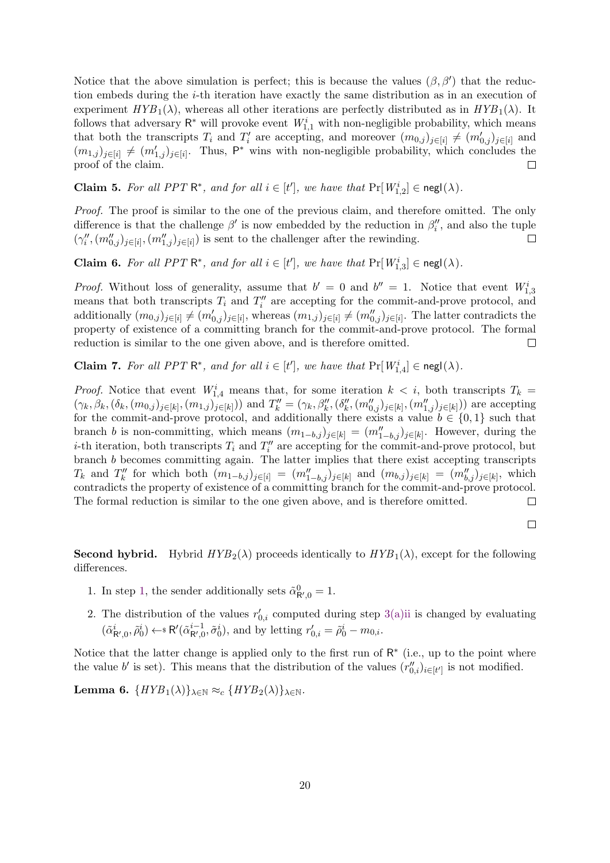Notice that the above simulation is perfect; this is because the values  $(\beta, \beta')$  that the reduction embeds during the i-th iteration have exactly the same distribution as in an execution of experiment  $HYB_1(\lambda)$ , whereas all other iterations are perfectly distributed as in  $HYB_1(\lambda)$ . It follows that adversary  $\mathsf{R}^*$  will provoke event  $W^i_{1,1}$  with non-negligible probability, which means that both the transcripts  $T_i$  and  $T'_i$  are accepting, and moreover  $(m_{0,j})_{j\in[i]}\neq (m'_{0,j})_{j\in[i]}$  and  $(m_{1,j})_{j\in[i]}\neq (m_{1,j}')_{j\in[i]}$ . Thus, P<sup>\*</sup> wins with non-negligible probability, which concludes the proof of the claim.  $\Box$ 

**Claim 5.** For all PPT  $\mathbb{R}^*$ , and for all  $i \in [t']$ , we have that  $\Pr[W_{1,2}^i] \in \text{negl}(\lambda)$ .

Proof. The proof is similar to the one of the previous claim, and therefore omitted. The only difference is that the challenge  $\beta'$  is now embedded by the reduction in  $\beta''_i$ , and also the tuple  $(\gamma''_i, (m''_{0,j})_{j\in[i]}, (m''_{1,j})_{j\in[i]})$  is sent to the challenger after the rewinding.  $\Box$ 

**Claim 6.** For all PPT  $\mathbb{R}^*$ , and for all  $i \in [t']$ , we have that  $\Pr[W_{1,3}^i] \in \text{negl}(\lambda)$ .

*Proof.* Without loss of generality, assume that  $b' = 0$  and  $b'' = 1$ . Notice that event  $W_{1,3}^i$ means that both transcripts  $T_i$  and  $T''_i$  are accepting for the commit-and-prove protocol, and additionally  $(m_{0,j})_{j\in[i]}\neq (m_{0,j}')_{j\in[i]},$  whereas  $(m_{1,j})_{j\in[i]}\neq (m_{0,j}'')_{j\in[i]}$ . The latter contradicts the property of existence of a committing branch for the commit-and-prove protocol. The formal reduction is similar to the one given above, and is therefore omitted.  $\Box$ 

**Claim 7.** For all PPT  $\mathbb{R}^*$ , and for all  $i \in [t']$ , we have that  $\Pr[W_{1,4}^i] \in \operatorname{negl}(\lambda)$ .

*Proof.* Notice that event  $W_{1,4}^i$  means that, for some iteration  $k < i$ , both transcripts  $T_k =$  $(\gamma_k, \beta_k, (\delta_k, (m_{0,j})_{j\in[k]}, (m_{1,j})_{j\in[k]}))$  and  $T''_k = (\gamma_k, \beta''_k, (\delta''_k, (m''_{0,j})_{j\in[k]}, (m''_{1,j})_{j\in[k]}))$  are accepting for the commit-and-prove protocol, and additionally there exists a value  $b \in \{0,1\}$  such that branch b is non-committing, which means  $(m_{1-b,j})_{j\in[k]} = (m''_{1-b,j})_{j\in[k]}$ . However, during the *i*-th iteration, both transcripts  $T_i$  and  $T''_i$  are accepting for the commit-and-prove protocol, but branch b becomes committing again. The latter implies that there exist accepting transcripts  $T_k$  and  $T''_k$  for which both  $(m_{1-b,j})_{j \in [i]} = (m''_{1-b,j})_{j \in [k]}$  and  $(m_{b,j})_{j \in [k]} = (m''_{b,j})_{j \in [k]}$ , which contradicts the property of existence of a committing branch for the commit-and-prove protocol. The formal reduction is similar to the one given above, and is therefore omitted.  $\Box$ 

 $\Box$ 

**Second hybrid.** Hybrid  $HYP_2(\lambda)$  proceeds identically to  $HYP_1(\lambda)$ , except for the following differences.

- 1. In step [1,](#page-19-9) the sender additionally sets  $\tilde{\alpha}^0_{\mathsf{R}',0} = 1$ .
- 2. The distribution of the values  $r'_{0,i}$  computed during step [3\(a\)ii](#page-19-3) is changed by evaluating  $(\tilde{\alpha}_{\mathsf{R}',0}^i, \tilde{\rho}_0^i) \leftarrow \mathbb{R}'(\tilde{\alpha}_{\mathsf{R}',0}^{i-1}, \tilde{\sigma}_0^i)$ , and by letting  $r'_{0,i} = \tilde{\rho}_0^i - m_{0,i}$ .

Notice that the latter change is applied only to the first run of  $R^*$  (i.e., up to the point where the value b' is set). This means that the distribution of the values  $(r''_{0,i})_{i\in[t']}$  is not modified.

<span id="page-21-0"></span>Lemma 6.  $\{HYB_1(\lambda)\}_{\lambda \in \mathbb{N}} \approx_c \{HYB_2(\lambda)\}_{\lambda \in \mathbb{N}}$ .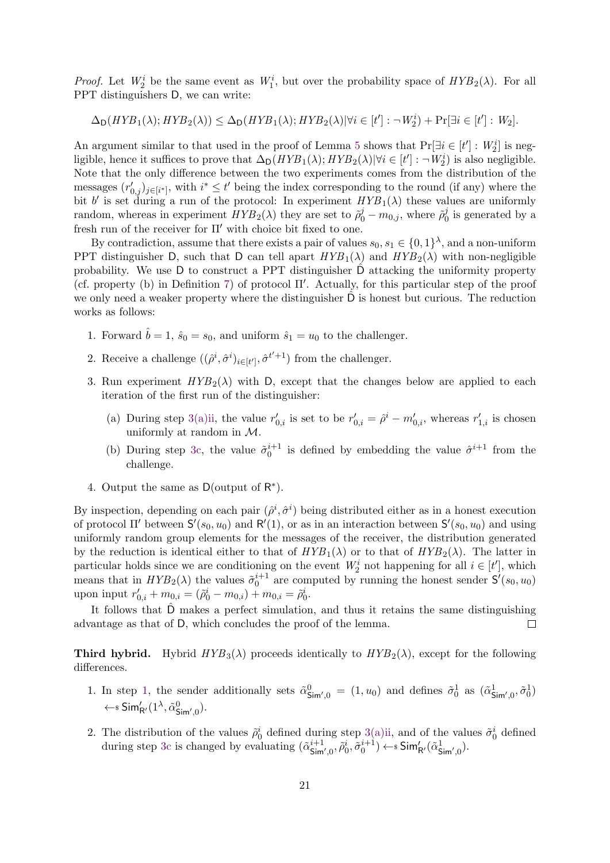*Proof.* Let  $W_2^i$  be the same event as  $W_1^i$ , but over the probability space of  $HYB_2(\lambda)$ . For all PPT distinguishers D, we can write:

$$
\Delta_{\mathsf{D}}(HYB_1(\lambda); HYB_2(\lambda)) \le \Delta_{\mathsf{D}}(HYB_1(\lambda); HYB_2(\lambda)| \forall i \in [t']: \neg W_2^i) + \Pr[\exists i \in [t']: W_2].
$$

An argument similar to that used in the proof of Lemma [5](#page-19-10) shows that  $Pr[\exists i \in [t'] : W_2^i]$  is negligible, hence it suffices to prove that  $\Delta_D(HYB_1(\lambda); HYB_2(\lambda)|\forall i \in [t']: \neg W_2^i$  is also negligible. Note that the only difference between the two experiments comes from the distribution of the messages  $(r'_{0,j})_{j\in[i^*]}$ , with  $i^*\leq t'$  being the index corresponding to the round (if any) where the bit b' is set during a run of the protocol: In experiment  $HYB_1(\lambda)$  these values are uniformly random, whereas in experiment  $HYB_2(\lambda)$  they are set to  $\tilde{\rho}_0^j - m_{0,j}$ , where  $\tilde{\rho}_0^j$  $\eta_0^j$  is generated by a fresh run of the receiver for  $\Pi'$  with choice bit fixed to one.

By contradiction, assume that there exists a pair of values  $s_0, s_1 \in \{0, 1\}^{\lambda}$ , and a non-uniform PPT distinguisher D, such that D can tell apart  $HYB_1(\lambda)$  and  $HYB_2(\lambda)$  with non-negligible probability. We use D to construct a PPT distinguisher Dˆ attacking the uniformity property (cf. property (b) in Definition [7\)](#page-13-1) of protocol  $\Pi'$ . Actually, for this particular step of the proof we only need a weaker property where the distinguisher  $\ddot{\mathrm{D}}$  is honest but curious. The reduction works as follows:

- 1. Forward  $\hat{b} = 1$ ,  $\hat{s}_0 = s_0$ , and uniform  $\hat{s}_1 = u_0$  to the challenger.
- 2. Receive a challenge  $((\hat{\rho}^i, \hat{\sigma}^i)_{i \in [t']}, \hat{\sigma}^{t'+1})$  from the challenger.
- 3. Run experiment  $HYB_2(\lambda)$  with D, except that the changes below are applied to each iteration of the first run of the distinguisher:
	- (a) During step [3\(a\)ii,](#page-19-3) the value  $r'_{0,i}$  is set to be  $r'_{0,i} = \hat{\rho}^i m'_{0,i}$ , whereas  $r'_{1,i}$  is chosen uniformly at random in M.
	- (b) During step [3c,](#page-19-11) the value  $\tilde{\sigma}_0^{i+1}$  is defined by embedding the value  $\hat{\sigma}_0^{i+1}$  from the challenge.
- 4. Output the same as  $D$ (output of  $R^*$ ).

By inspection, depending on each pair  $(\hat{\rho}^i, \hat{\sigma}^i)$  being distributed either as in a honest execution of protocol  $\Pi'$  between  $S'(s_0, u_0)$  and  $\mathsf{R}'(1)$ , or as in an interaction between  $S'(s_0, u_0)$  and using uniformly random group elements for the messages of the receiver, the distribution generated by the reduction is identical either to that of  $HYB_1(\lambda)$  or to that of  $HYB_2(\lambda)$ . The latter in particular holds since we are conditioning on the event  $W_2^i$  not happening for all  $i \in [t']$ , which means that in  $HYP_2(\lambda)$  the values  $\tilde{\sigma}_0^{i+1}$  are computed by running the honest sender  $S'(s_0, u_0)$ upon input  $r'_{0,i} + m_{0,i} = (\tilde{\rho}_0^i - m_{0,i}) + m_{0,i} = \tilde{\rho}_0^i$ .

It follows that  $\hat{D}$  makes a perfect simulation, and thus it retains the same distinguishing advantage as that of D, which concludes the proof of the lemma.  $\Box$ 

**Third hybrid.** Hybrid  $HYB_3(\lambda)$  proceeds identically to  $HYB_2(\lambda)$ , except for the following differences.

- 1. In step [1,](#page-19-9) the sender additionally sets  $\tilde{\alpha}_{\text{Sim}',0}^0 = (1, u_0)$  and defines  $\tilde{\sigma}_0^1$  as  $(\tilde{\alpha}_{\text{Sim}',0}^1, \tilde{\sigma}_0^1)$  $\leftarrow$  s Sim'<sub>R'</sub>  $(1^{\lambda}, \tilde{\alpha}_{\mathsf{Sim}',0}^0)$ .
- 2. The distribution of the values  $\tilde{\rho}_0^i$  defined during step [3\(a\)ii,](#page-19-3) and of the values  $\tilde{\sigma}_0^i$  defined during step [3c](#page-19-11) is changed by evaluating  $(\tilde{\alpha}_{\mathsf{Sim}',0}^{i+1}, \tilde{\rho}_0^i, \tilde{\sigma}_0^{i+1}) \leftarrow \mathsf{sSim}'_{\mathsf{R}'}(\tilde{\alpha}_{\mathsf{Sim}',0}^1)$ .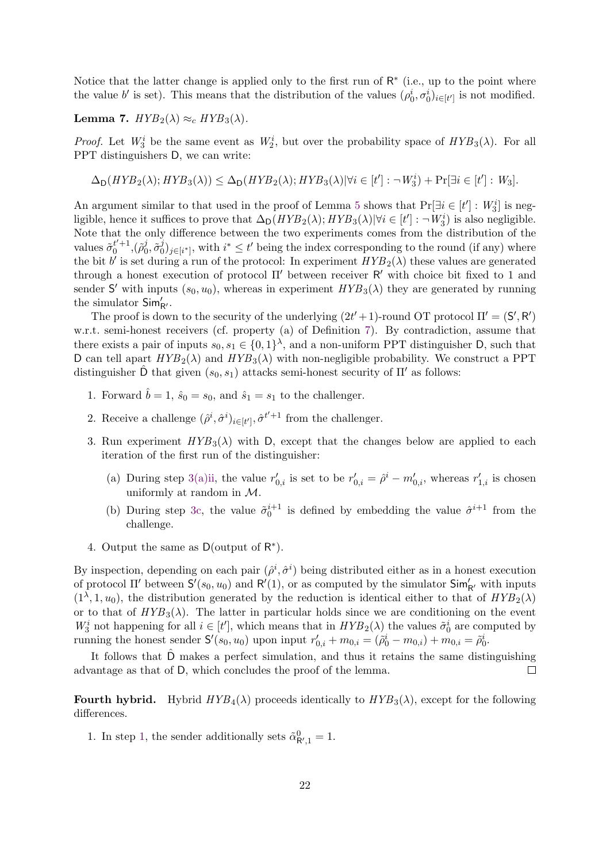Notice that the latter change is applied only to the first run of  $\mathsf{R}^*$  (i.e., up to the point where the value b' is set). This means that the distribution of the values  $(\rho_0^i, \sigma_0^i)_{i \in [t']}$  is not modified.

<span id="page-23-0"></span>Lemma 7.  $HYB_2(\lambda) \approx_c HYB_3(\lambda)$ .

*Proof.* Let  $W_3^i$  be the same event as  $W_2^i$ , but over the probability space of  $HYB_3(\lambda)$ . For all PPT distinguishers D, we can write:

$$
\Delta_{\mathsf{D}}(HYB_2(\lambda); HYB_3(\lambda)) \le \Delta_{\mathsf{D}}(HYB_2(\lambda); HYB_3(\lambda)| \forall i \in [t']: \neg W_3^i) + \Pr[\exists i \in [t']: W_3].
$$

An argument similar to that used in the proof of Lemma [5](#page-19-10) shows that  $Pr[\exists i \in [t'] : W_3^i]$  is negligible, hence it suffices to prove that  $\Delta_D(HYB_2(\lambda); HYB_3(\lambda)|\forall i \in [t']: \neg W_3^i$  is also negligible. Note that the only difference between the two experiments comes from the distribution of the values  $\tilde{\sigma}_0^{t'+1}, (\tilde{\rho}_0^j)$  $_{0}^{j},\tilde{\sigma}_{0}^{j}$  $(v_0^j)_{j\in[i^*]}$ , with  $i^* \leq t'$  being the index corresponding to the round (if any) where the bit b' is set during a run of the protocol: In experiment  $HYB_2(\lambda)$  these values are generated through a honest execution of protocol  $\Pi'$  between receiver  $R'$  with choice bit fixed to 1 and sender S' with inputs  $(s_0, u_0)$ , whereas in experiment  $HYB_3(\lambda)$  they are generated by running the simulator  $\mathsf{Sim}'_{\mathsf{R}'}$ .

The proof is down to the security of the underlying  $(2t' + 1)$ -round OT protocol  $\Pi' = (\mathsf{S}', \mathsf{R}')$ w.r.t. semi-honest receivers (cf. property (a) of Definition [7\)](#page-13-1). By contradiction, assume that there exists a pair of inputs  $s_0, s_1 \in \{0,1\}^{\lambda}$ , and a non-uniform PPT distinguisher D, such that D can tell apart  $HYP_2(\lambda)$  and  $HYB_3(\lambda)$  with non-negligible probability. We construct a PPT distinguisher  $\hat{D}$  that given  $(s_0, s_1)$  attacks semi-honest security of  $\Pi'$  as follows:

- 1. Forward  $\hat{b} = 1$ ,  $\hat{s}_0 = s_0$ , and  $\hat{s}_1 = s_1$  to the challenger.
- 2. Receive a challenge  $(\hat{\rho}^i, \hat{\sigma}^i)_{i \in [t]}, \hat{\sigma}^{t'+1}$  from the challenger.
- 3. Run experiment  $HYB_3(\lambda)$  with D, except that the changes below are applied to each iteration of the first run of the distinguisher:
	- (a) During step [3\(a\)ii,](#page-19-3) the value  $r'_{0,i}$  is set to be  $r'_{0,i} = \hat{\rho}^i m'_{0,i}$ , whereas  $r'_{1,i}$  is chosen uniformly at random in M.
	- (b) During step [3c,](#page-19-11) the value  $\tilde{\sigma}_0^{i+1}$  is defined by embedding the value  $\hat{\sigma}_1^{i+1}$  from the challenge.
- 4. Output the same as  $D$ (output of  $R^*$ ).

By inspection, depending on each pair  $(\hat{\rho}^i, \hat{\sigma}^i)$  being distributed either as in a honest execution of protocol  $\Pi'$  between  $S'(s_0, u_0)$  and  $\mathsf{R}'(1)$ , or as computed by the simulator  $\mathsf{Sim}'_{\mathsf{R}'}$  with inputs  $(1^{\lambda}, 1, u_0)$ , the distribution generated by the reduction is identical either to that of  $HYB_2(\lambda)$ or to that of  $HYB_3(\lambda)$ . The latter in particular holds since we are conditioning on the event  $W_3^i$  not happening for all  $i \in [t']$ , which means that in  $HYB_2(\lambda)$  the values  $\tilde{\sigma}_0^i$  are computed by running the honest sender  $S'(s_0, u_0)$  upon input  $r'_{0,i} + m_{0,i} = (\tilde{\rho}_0^i - m_{0,i}) + m_{0,i} = \tilde{\rho}_0^i$ .

It follows that Dˆ makes a perfect simulation, and thus it retains the same distinguishing advantage as that of D, which concludes the proof of the lemma.  $\Box$ 

**Fourth hybrid.** Hybrid  $HYB_4(\lambda)$  proceeds identically to  $HYB_3(\lambda)$ , except for the following differences.

1. In step [1,](#page-19-9) the sender additionally sets  $\tilde{\alpha}_{\mathsf{R}',1}^0 = 1$ .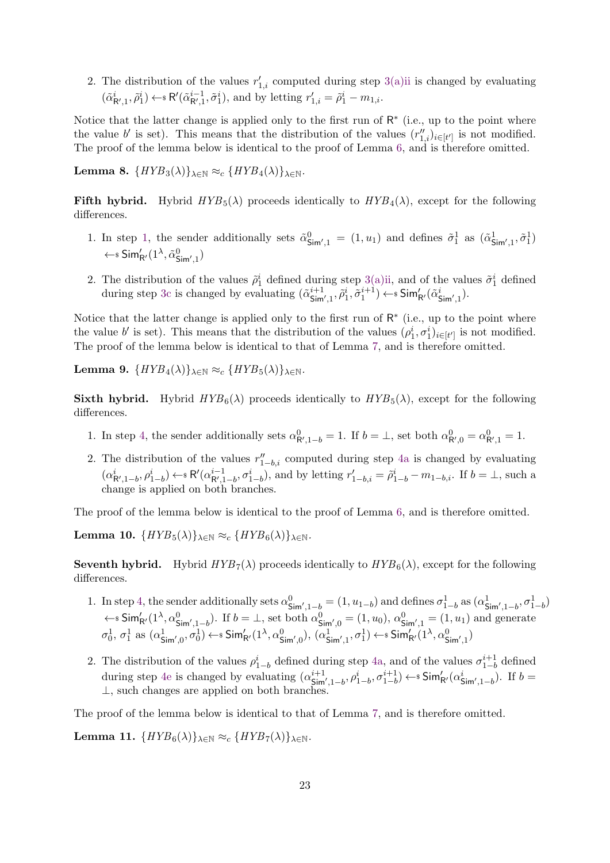2. The distribution of the values  $r'_{1,i}$  computed during step [3\(a\)ii](#page-19-3) is changed by evaluating  $(\tilde{\alpha}_{\mathsf{R}',1}^i, \tilde{\rho}_1^i) \leftarrow \mathbb{R}'(\tilde{\alpha}_{\mathsf{R}',1}^{i-1}, \tilde{\sigma}_1^i)$ , and by letting  $r'_{1,i} = \tilde{\rho}_1^i - m_{1,i}$ .

Notice that the latter change is applied only to the first run of  $R^*$  (i.e., up to the point where the value b' is set). This means that the distribution of the values  $(r''_{1,i})_{i\in[t']}$  is not modified. The proof of the lemma below is identical to the proof of Lemma [6,](#page-21-0) and is therefore omitted.

Lemma 8.  $\{HYB_3(\lambda)\}_{\lambda \in \mathbb{N}} \approx_c \{HYB_4(\lambda)\}_{\lambda \in \mathbb{N}}$ .

Fifth hybrid. Hybrid  $HYP_5(\lambda)$  proceeds identically to  $HYP_4(\lambda)$ , except for the following differences.

- 1. In step [1,](#page-19-9) the sender additionally sets  $\tilde{\alpha}_{\text{Sim}',1}^0 = (1, u_1)$  and defines  $\tilde{\sigma}_1^1$  as  $(\tilde{\alpha}_{\text{Sim}',1}^1, \tilde{\sigma}_1^1)$  $\leftarrow$ s Sim'<sub>R'</sub> $(1^{\lambda}, \tilde{\alpha}_{\mathsf{Sim}',1}^{0})$
- 2. The distribution of the values  $\tilde{\rho}_1^i$  defined during step [3\(a\)ii,](#page-19-3) and of the values  $\tilde{\sigma}_1^i$  defined during step [3c](#page-19-11) is changed by evaluating  $(\tilde{\alpha}_{\mathsf{Sim}',1}^{i+1}, \tilde{\rho}_1^i, \tilde{\sigma}_1^{i+1}) \leftarrow \text{s} \mathsf{Sim}'_{\mathsf{R}'}(\tilde{\alpha}_{\mathsf{Sim}',1}^i)$ .

Notice that the latter change is applied only to the first run of  $\mathsf{R}^*$  (i.e., up to the point where the value b' is set). This means that the distribution of the values  $(\rho_1^i, \sigma_1^i)_{i \in [t']}$  is not modified. The proof of the lemma below is identical to that of Lemma [7,](#page-23-0) and is therefore omitted.

Lemma 9.  $\{HYB_4(\lambda)\}_{\lambda \in \mathbb{N}} \approx_c \{HYB_5(\lambda)\}_{\lambda \in \mathbb{N}}$ .

**Sixth hybrid.** Hybrid  $HYB_6(\lambda)$  proceeds identically to  $HYB_5(\lambda)$ , except for the following differences.

- 1. In step [4,](#page-19-1) the sender additionally sets  $\alpha_{\mathsf{R}',1-b}^0 = 1$ . If  $b = \perp$ , set both  $\alpha_{\mathsf{R}',0}^0 = \alpha_{\mathsf{R}',1}^0 = 1$ .
- 2. The distribution of the values  $r''_{1-b,i}$  computed during step [4a](#page-19-12) is changed by evaluating  $(\alpha^{i}_{\mathsf{R}',1-b}, \rho^{i}_{1-b}) \leftarrow \mathsf{s} \; \mathsf{R}'(\alpha^{i-1}_{\mathsf{R}',1-b}, \sigma^{i}_{1-b})$ , and by letting  $r'_{1-b,i} = \tilde{\rho}^{i}_{1-b} - m_{1-b,i}$ . If  $b = \perp$ , such a change is applied on both branches.

The proof of the lemma below is identical to the proof of Lemma [6,](#page-21-0) and is therefore omitted.

**Lemma 10.**  $\{HYB_5(\lambda)\}_{\lambda \in \mathbb{N}} \approx_c \{HYB_6(\lambda)\}_{\lambda \in \mathbb{N}}$ .

**Seventh hybrid.** Hybrid  $HYB_7(\lambda)$  proceeds identically to  $HYB_6(\lambda)$ , except for the following differences.

- 1. In step [4,](#page-19-1) the sender additionally sets  $\alpha_{\text{Sim}',1-b}^0 = (1, u_{1-b})$  and defines  $\sigma_{1-b}^1$  as  $(\alpha_{\text{Sim}',1-b}^1, \sigma_{1-b}^1)$  $\leftarrow$  Sim'<sub>R'</sub>(1<sup>\2</sup>,  $\alpha_{\text{Sim}',1-b}^{0}$ ). If  $b = \perp$ , set both  $\alpha_{\text{Sim}',0}^{0} = (1, u_0)$ ,  $\alpha_{\text{Sim}',1}^{0} = (1, u_1)$  and generate  $\sigma_0^1$ ,  $\sigma_1^1$  as  $(\alpha_{\mathsf{Sim}' ,0}^1, \sigma_0^1) \leftarrow \mathsf{sSim}'_{\mathsf{R}'}(1^\lambda, \alpha_{\mathsf{Sim}' ,0}^0), (\alpha_{\mathsf{Sim}' ,1}^1, \sigma_1^1) \leftarrow \mathsf{sSim}'_{\mathsf{R}'}(1^\lambda, \alpha_{\mathsf{Sim}' ,1}^0)$
- 2. The distribution of the values  $\rho_{1-b}^i$  defined during step [4a,](#page-19-12) and of the values  $\sigma_{1-b}^{i+1}$  $a_{1-b}^{t+1}$  defined during step [4e](#page-19-13) is changed by evaluating  $(\alpha_{\text{Sim}',1-b}^{i+1}, \rho_{1-b}^{i}, \sigma_{1-b}^{i+1}) \leftarrow \text{Sim}'_{\text{R}'}(\alpha_{\text{Sim}',1-b}^{i})$ . If  $b =$ ⊥, such changes are applied on both branches.

The proof of the lemma below is identical to that of Lemma [7,](#page-23-0) and is therefore omitted.

**Lemma 11.**  $\{HYB_6(\lambda)\}_{\lambda \in \mathbb{N}} \approx_c \{HYB_7(\lambda)\}_{\lambda \in \mathbb{N}}$ .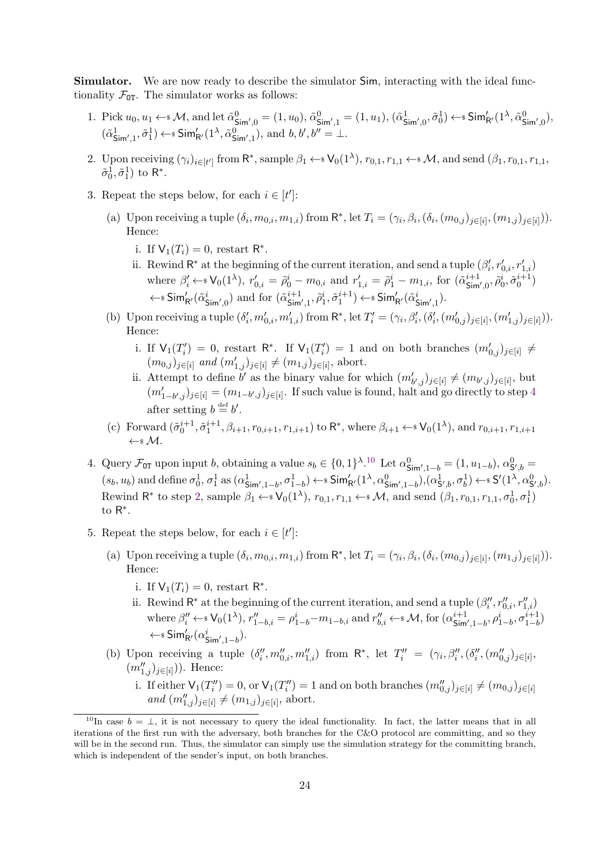Simulator. We are now ready to describe the simulator Sim, interacting with the ideal functionality  $\mathcal{F}_{\text{OT}}$ . The simulator works as follows:

- 1. Pick  $u_0, u_1 \leftarrow s \mathcal{M}$ , and let  $\tilde{\alpha}_{\text{Sim}',0}^0 = (1, u_0), \tilde{\alpha}_{\text{Sim}',1}^0 = (1, u_1), (\tilde{\alpha}_{\text{Sim}',0}^1, \tilde{\sigma}_0^1) \leftarrow s \text{Sim}'_{\text{R}'}(1^{\lambda}, \tilde{\alpha}_{\text{Sim}',0}^0),$  $(\tilde{\alpha}_{\mathsf{Sim}',1}^1, \tilde{\sigma}_1^1) \leftarrow \mathsf{sSim}'_{\mathsf{R}'}(1^\lambda, \tilde{\alpha}_{\mathsf{Sim}',1}^0), \text{ and } b, b', b'' = \bot.$
- <span id="page-25-2"></span>2. Upon receiving  $(\gamma_i)_{i \in [t']}$  from  $\mathsf{R}^*$ , sample  $\beta_1 \leftarrow \mathsf{sV}_0(1^{\lambda}), r_{0,1}, r_{1,1} \leftarrow \mathsf{sM}$ , and send  $(\beta_1, r_{0,1}, r_{1,1},$  $\tilde{\sigma}_0^1, \tilde{\sigma}_1^1$ ) to R<sup>\*</sup>.
- 3. Repeat the steps below, for each  $i \in [t']$ :
	- (a) Upon receiving a tuple  $(\delta_i, m_{0,i}, m_{1,i})$  from  $\mathsf{R}^*$ , let  $T_i = (\gamma_i, \beta_i, (\delta_i, (m_{0,i})_{j \in [i]}, (m_{1,i})_{j \in [i]})).$ Hence:
		- i. If  $V_1(T_i) = 0$ , restart  $R^*$ .
		- ii. Rewind  $\mathsf{R}^*$  at the beginning of the current iteration, and send a tuple  $(\beta'_i, r'_{0,i}, r'_{1,i})$ where  $\beta'_i \leftarrow \{V_0(1^{\lambda}), r'_{0,i} = \tilde{\rho}_0^i - m_{0,i} \text{ and } r'_{1,i} = \tilde{\rho}_1^i - m_{1,i}, \text{ for } (\tilde{\alpha}_{\text{Sim}',0}^{i+1}, \tilde{\rho}_0^i, \tilde{\sigma}_0^{i+1})$  $\leftarrow$  s Sim'<sub>R'</sub>( $\tilde{\alpha}_{\mathsf{Sim}',0}^i$ ) and for  $(\tilde{\alpha}_{\mathsf{Sim}',1}^{i+1}, \tilde{\rho}_1^i, \tilde{\sigma}_1^{i+1}) \leftarrow$  s Sim'<sub>R'</sub>( $\tilde{\alpha}_{\mathsf{Sim}',1}^i$ ).
	- (b) Upon receiving a tuple  $(\delta'_i, m'_{0,i}, m'_{1,i})$  from  $\mathsf{R}^*$ , let  $T'_i = (\gamma_i, \beta'_i, (\delta'_i, (m'_{0,j})_{j \in [i]}, (m'_{1,j})_{j \in [i]})).$ Hence:
		- i. If  $\mathsf{V}_1(T_i') = 0$ , restart  $\mathsf{R}^*$ . If  $\mathsf{V}_1(T_i') = 1$  and on both branches  $(m'_{0,j})_{j \in [i]} \neq$  $(m_{0,j})_{j\in[i]}$  and  $(m'_{1,j})_{j\in[i]}\neq (m_{1,j})_{j\in[i]},$  abort.
		- ii. Attempt to define b' as the binary value for which  $(m'_{b',j})_{j\in[i]} \neq (m_{b',j})_{j\in[i]}$ , but  $(m'_{1-b',j})_{j\in[i]} = (m_{1-b',j})_{j\in[i]}$ . If such value is found, halt and go directly to step [4](#page-25-0) after setting  $b \stackrel{\text{def}}{=} b'$ .
	- (c) Forward  $(\tilde{\sigma}_0^{i+1}, \tilde{\sigma}_1^{i+1}, \beta_{i+1}, r_{0,i+1}, r_{1,i+1})$  to  $\mathsf{R}^*$ , where  $\beta_{i+1} \leftarrow \mathsf{sV}_0(1^{\lambda})$ , and  $r_{0,i+1}, r_{1,i+1}$  $\leftarrow$ \$ M
- <span id="page-25-0"></span>4. Query  $\mathcal{F}_{\text{OT}}$  upon input b, obtaining a value  $s_b \in \{0,1\}^{\lambda}$ .<sup>[10](#page-25-1)</sup> Let  $\alpha_{\text{Sim}',1-b}^0 = (1, u_{1-b}), \alpha_{\text{S}',b}^0 =$  $(s_b, u_b)$  and define  $\sigma_0^1$ ,  $\sigma_1^1$  as  $(\alpha_{\mathsf{Sim}', 1-b}^1, \sigma_{1-b}^1) \leftarrow \mathsf{sSim}'_{\mathsf{R}'}(1^\lambda, \alpha_{\mathsf{Sim}', 1-b}^0, (\alpha_{\mathsf{S}', b}^1, \sigma_b^1) \leftarrow \mathsf{sS}'(1^\lambda, \alpha_{\mathsf{S}', b}^0)$ . Rewind R<sup>\*</sup> to step [2,](#page-25-2) sample  $\beta_1 \leftarrow \{V_0(1^{\lambda}), r_{0,1}, r_{1,1} \leftarrow \{W_0, \lambda\}$  and send  $(\beta_1, r_{0,1}, r_{1,1}, \sigma_0^1, \sigma_1^1)$ to R ∗ .
- <span id="page-25-3"></span>5. Repeat the steps below, for each  $i \in [t']$ :
	- (a) Upon receiving a tuple  $(\delta_i, m_{0,i}, m_{1,i})$  from  $\mathsf{R}^*$ , let  $T_i = (\gamma_i, \beta_i, (\delta_i, (m_{0,i})_{j \in [i]}, (m_{1,i})_{j \in [i]})).$ Hence:
		- i. If  $V_1(T_i) = 0$ , restart  $R^*$ .
		- ii. Rewind  $\mathsf{R}^*$  at the beginning of the current iteration, and send a tuple  $(\beta''_i, r''_{0,i}, r''_{1,i})$ where  $\beta''_i \leftarrow \{V_0(1^{\lambda}), r''_{1-b,i} = \rho^i_{1-b} - m_{1-b,i} \text{ and } r''_{b,i} \leftarrow \{M, \text{ for } (\alpha^{i+1}_{\text{Sim}',1-b}, \rho^i_{1-b}, \sigma^{i+1}_{1-b})$  $\leftarrow$ s Sim'<sub>R'</sub> ( $\alpha_{\mathsf{Sim}',1-b}^i$ ).
	- (b) Upon receiving a tuple  $(\delta''_i, m''_{0,i}, m''_{1,i})$  from  $\mathsf{R}^*$ , let  $T''_i = (\gamma_i, \beta''_i, (\delta''_i, (m''_{0,i})_{j \in [i]},$  $(m''_{1,j})_{j\in[i]}$ ). Hence:
		- i. If either  $\mathsf{V}_1(T''_i)=0$ , or  $\mathsf{V}_1(T''_i)=1$  and on both branches  $(m''_{0,j})_{j\in[i]}\neq (m_{0,j})_{j\in[i]}$ and  $(m''_{1,j})_{j \in [i]} \neq (m_{1,j})_{j \in [i]},$  abort.

<span id="page-25-1"></span><sup>&</sup>lt;sup>10</sup>In case  $b = \perp$ , it is not necessary to query the ideal functionality. In fact, the latter means that in all iterations of the first run with the adversary, both branches for the C&O protocol are committing, and so they will be in the second run. Thus, the simulator can simply use the simulation strategy for the committing branch, which is independent of the sender's input, on both branches.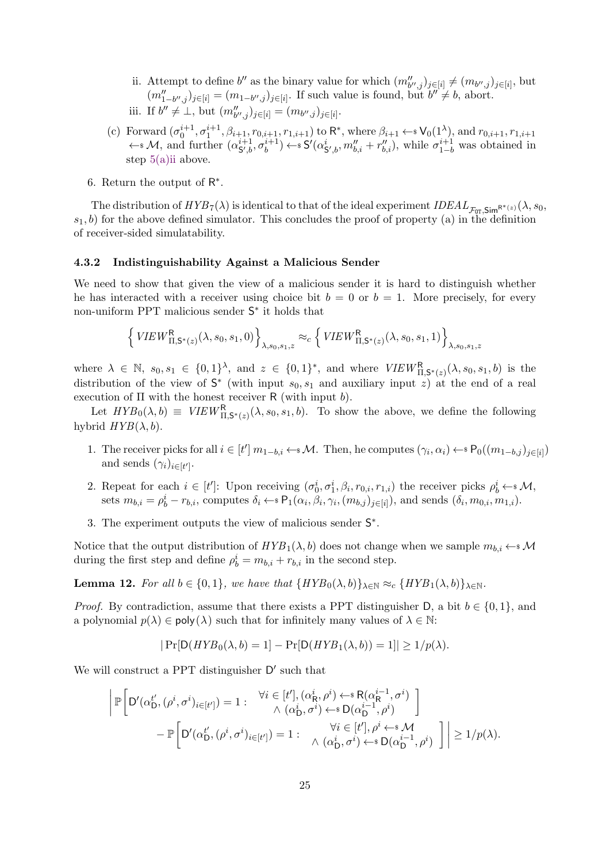- ii. Attempt to define b'' as the binary value for which  $(m''_{b'',j})_{j\in[i]}\neq (m_{b'',j})_{j\in[i]}$ , but  $(m''_{1-b'',j})_{j\in[i]} = (m_{1-b'',j})_{j\in[i]}$ . If such value is found, but  $b'' \neq b$ , abort. iii. If  $b'' \neq \bot$ , but  $(m''_{b'',j})_{j \in [i]} = (m_{b'',j})_{j \in [i]}$ .
- (c) Forward  $(\sigma_0^{i+1}, \sigma_1^{i+1}, \beta_{i+1}, r_{0,i+1}, r_{1,i+1})$  to  $\mathsf{R}^*$ , where  $\beta_{i+1} \leftarrow \mathsf{S} \mathsf{V}_0(1^{\lambda})$ , and  $r_{0,i+1}, r_{1,i+1}$  $\leftarrow$  *M*, and further  $(\alpha_{\mathsf{S}',b}^{i+1}, \sigma_b^{i+1}) \leftarrow$  *S'* $(\alpha_{\mathsf{S}',b}^i, m_{b,i}'' + r_{b,i}'')$ , while  $\sigma_{1-b}^{i+1}$  was obtained in step [5\(a\)ii](#page-25-3) above.
- 6. Return the output of  $R^*$ .

The distribution of  $HYB_7(\lambda)$  is identical to that of the ideal experiment  $IDEAL_{\mathcal{F}_{\text{OT}}}^{\mathcal{F}_{\text{S}}}(\lambda, s_0,$  $s_1, b$  for the above defined simulator. This concludes the proof of property (a) in the definition of receiver-sided simulatability.

#### 4.3.2 Indistinguishability Against a Malicious Sender

We need to show that given the view of a malicious sender it is hard to distinguish whether he has interacted with a receiver using choice bit  $b = 0$  or  $b = 1$ . More precisely, for every non-uniform PPT malicious sender S<sup>∗</sup> it holds that

$$
\left\{ VIEW_{\Pi,\mathsf{S}^*(z)}^{\mathsf{R}}(\lambda,s_0,s_1,0) \right\}_{\lambda,s_0,s_1,z} \approx_c \left\{ VIEW_{\Pi,\mathsf{S}^*(z)}^{\mathsf{R}}(\lambda,s_0,s_1,1) \right\}_{\lambda,s_0,s_1,z}
$$

where  $\lambda \in \mathbb{N}$ ,  $s_0, s_1 \in \{0, 1\}^{\lambda}$ , and  $z \in \{0, 1\}^*$ , and where  $VIEW_{\Pi, \mathsf{S}^*(z)}^{\mathsf{R}}(\lambda, s_0, s_1, b)$  is the distribution of the view of  $S^*$  (with input  $s_0, s_1$  and auxiliary input z) at the end of a real execution of  $\Pi$  with the honest receiver R (with input b).

Let  $HYB_0(\lambda, b) \equiv VIEW_{\Pi, \mathsf{S}^*(z)}^{\mathsf{R}}(\lambda, s_0, s_1, b)$ . To show the above, we define the following hybrid  $HYB(\lambda, b)$ .

- 1. The receiver picks for all  $i \in [t']$   $m_{1-b,i} \leftarrow M$ . Then, he computes  $(\gamma_i, \alpha_i) \leftarrow s \mathsf{P}_0((m_{1-b,j})_{j \in [i]})$ and sends  $(\gamma_i)_{i \in [t']}$ .
- 2. Repeat for each  $i \in [t']$ : Upon receiving  $(\sigma_0^i, \sigma_1^i, \beta_i, r_{0,i}, r_{1,i})$  the receiver picks  $\rho_b^i \leftarrow^* \mathcal{M}$ , sets  $m_{b,i} = \rho_b^i - r_{b,i}$ , computes  $\delta_i \leftarrow \{ \mathsf{P}_1(\alpha_i, \beta_i, \gamma_i, (m_{b,j})_{j \in [i]})$ , and sends  $(\delta_i, m_{0,i}, m_{1,i})$ .
- 3. The experiment outputs the view of malicious sender S<sup>∗</sup>.

Notice that the output distribution of  $HYB_1(\lambda, b)$  does not change when we sample  $m_{b,i} \leftarrow^* \mathcal{M}$ during the first step and define  $\rho_b^i = m_{b,i} + r_{b,i}$  in the second step.

**Lemma 12.** For all  $b \in \{0,1\}$ , we have that  $\{HYB_0(\lambda, b)\}_{\lambda \in \mathbb{N}} \approx_c \{HYB_1(\lambda, b)\}_{\lambda \in \mathbb{N}}$ .

*Proof.* By contradiction, assume that there exists a PPT distinguisher D, a bit  $b \in \{0, 1\}$ , and a polynomial  $p(\lambda) \in \text{poly}(\lambda)$  such that for infinitely many values of  $\lambda \in \mathbb{N}$ :

$$
|\Pr[\mathsf{D}(HYB_0(\lambda,b)=1]-\Pr[\mathsf{D}(HYB_1(\lambda,b))=1]| \geq 1/p(\lambda).
$$

We will construct a PPT distinguisher  $D'$  such that

$$
\left| \mathbb{P} \left[ D'(\alpha_{\mathsf{D}}^{t'}, (\rho^i, \sigma^i)_{i \in [t']} ) = 1 : \begin{array}{c} \forall i \in [t'], (\alpha_{\mathsf{R}}^i, \rho^i) \leftarrow^* \mathsf{R}(\alpha_{\mathsf{R}}^{i-1}, \sigma^i) \\ \wedge (\alpha_{\mathsf{D}}^i, \sigma^i) \leftarrow^* \mathsf{D}(\alpha_{\mathsf{D}}^{i-1}, \rho^i) \end{array} \right] - \mathbb{P} \left[ D'(\alpha_{\mathsf{D}}^{t'}, (\rho^i, \sigma^i)_{i \in [t']} ) = 1 : \begin{array}{c} \forall i \in [t'], \rho^i \leftarrow^* \mathsf{M} \\ \wedge (\alpha_{\mathsf{D}}^i, \sigma^i) \leftarrow^* \mathsf{D}(\alpha_{\mathsf{D}}^{i-1}, \rho^i) \end{array} \right] \right| \geq 1/p(\lambda).
$$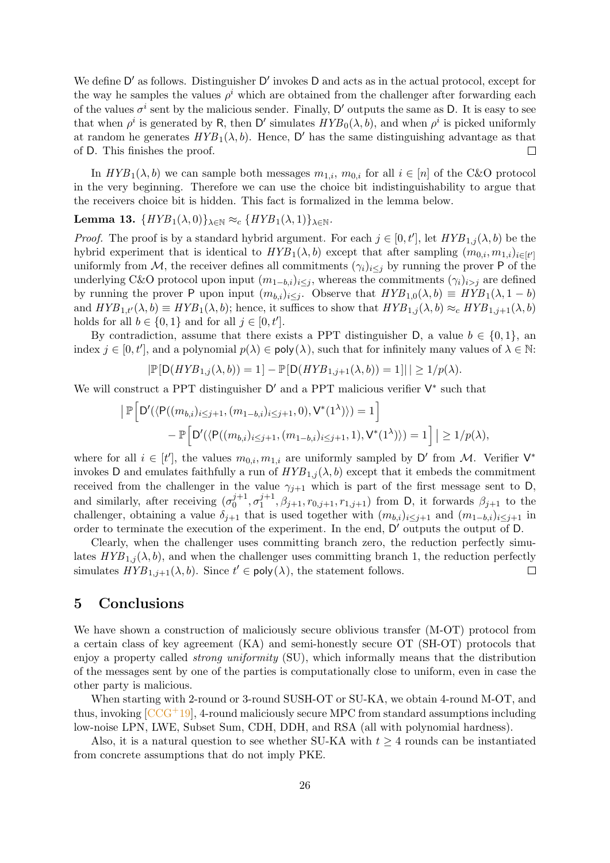We define D' as follows. Distinguisher D' invokes D and acts as in the actual protocol, except for the way he samples the values  $\rho^i$  which are obtained from the challenger after forwarding each of the values  $\sigma^i$  sent by the malicious sender. Finally, D' outputs the same as D. It is easy to see that when  $\rho^i$  is generated by R, then D' simulates  $HYP_0(\lambda, b)$ , and when  $\rho^i$  is picked uniformly at random he generates  $HYB_1(\lambda, b)$ . Hence, D' has the same distinguishing advantage as that of D. This finishes the proof.  $\Box$ 

In  $HYB_1(\lambda, b)$  we can sample both messages  $m_{1,i}$ ,  $m_{0,i}$  for all  $i \in [n]$  of the C&O protocol in the very beginning. Therefore we can use the choice bit indistinguishability to argue that the receivers choice bit is hidden. This fact is formalized in the lemma below.

### Lemma 13.  $\{HYB_1(\lambda,0)\}_{\lambda\in\mathbb{N}} \approx_c \{HYB_1(\lambda,1)\}_{\lambda\in\mathbb{N}}$ .

*Proof.* The proof is by a standard hybrid argument. For each  $j \in [0, t']$ , let  $HYB_{1,j}(\lambda, b)$  be the hybrid experiment that is identical to  $HYB_1(\lambda, b)$  except that after sampling  $(m_{0,i}, m_{1,i})_{i \in [t']}$ uniformly from M, the receiver defines all commitments  $(\gamma_i)_{i\leq j}$  by running the prover P of the underlying C&O protocol upon input  $(m_{1-b,i})_{i\leq j}$ , whereas the commitments  $(\gamma_i)_{i>j}$  are defined by running the prover P upon input  $(m_{b,i})_{i\leq j}$ . Observe that  $HYB_{1,0}(\lambda, b) \equiv HYB_1(\lambda, 1-b)$ and  $HYB_{1,t'}(\lambda, b) \equiv HYB_1(\lambda, b)$ ; hence, it suffices to show that  $HYB_{1,j}(\lambda, b) \approx_c HYB_{1,j+1}(\lambda, b)$ holds for all  $b \in \{0, 1\}$  and for all  $j \in [0, t']$ .

By contradiction, assume that there exists a PPT distinguisher D, a value  $b \in \{0, 1\}$ , an index  $j \in [0, t']$ , and a polynomial  $p(\lambda) \in \text{poly}(\lambda)$ , such that for infinitely many values of  $\lambda \in \mathbb{N}$ :

$$
|\mathbb{P}[\mathsf{D}(HYB_{1,j}(\lambda,b))=1]-\mathbb{P}[\mathsf{D}(HYB_{1,j+1}(\lambda,b))=1]| \geq 1/p(\lambda).
$$

We will construct a PPT distinguisher  $D'$  and a PPT malicious verifier  $V^*$  such that

$$
\begin{aligned} \left| \mathbb{P} \Big[ D'(\langle P((m_{b,i})_{i \leq j+1}, (m_{1-b,i})_{i \leq j+1}, 0), V^*(1^{\lambda}) \rangle) = 1 \Big] \\ &- \mathbb{P} \Big[ D'(\langle P((m_{b,i})_{i \leq j+1}, (m_{1-b,i})_{i \leq j+1}, 1), V^*(1^{\lambda}) \rangle) = 1 \Big] \Big| \geq 1/p(\lambda), \end{aligned}
$$

where for all  $i \in [t']$ , the values  $m_{0,i}, m_{1,i}$  are uniformly sampled by D' from M. Verifier  $V^*$ invokes D and emulates faithfully a run of  $HYB_{1,j}(\lambda, b)$  except that it embeds the commitment received from the challenger in the value  $\gamma_{j+1}$  which is part of the first message sent to D, and similarly, after receiving  $(\sigma_0^{j+1})$  $j+1 \ 0 \ \sigma_1^{j+1}$  $\beta_{j+1}^{j+1}, \beta_{j+1}, r_{0,j+1}, r_{1,j+1}$  from D, it forwards  $\beta_{j+1}$  to the challenger, obtaining a value  $\delta_{i+1}$  that is used together with  $(m_{b,i})_{i\leq j+1}$  and  $(m_{1-b,i})_{i\leq j+1}$  in order to terminate the execution of the experiment. In the end, D' outputs the output of D.

Clearly, when the challenger uses committing branch zero, the reduction perfectly simulates  $HYB_{1,i}(\lambda, b)$ , and when the challenger uses committing branch 1, the reduction perfectly simulates  $\widehat{HYB}_{1,j+1}(\lambda, b)$ . Since  $t' \in \text{poly}(\lambda)$ , the statement follows.  $\Box$ 

### <span id="page-27-0"></span>5 Conclusions

We have shown a construction of maliciously secure oblivious transfer (M-OT) protocol from a certain class of key agreement (KA) and semi-honestly secure OT (SH-OT) protocols that enjoy a property called strong uniformity (SU), which informally means that the distribution of the messages sent by one of the parties is computationally close to uniform, even in case the other party is malicious.

When starting with 2-round or 3-round SUSH-OT or SU-KA, we obtain 4-round M-OT, and thus, invoking  $[CCG^+19]$  $[CCG^+19]$ , 4-round maliciously secure MPC from standard assumptions including low-noise LPN, LWE, Subset Sum, CDH, DDH, and RSA (all with polynomial hardness).

Also, it is a natural question to see whether SU-KA with  $t \geq 4$  rounds can be instantiated from concrete assumptions that do not imply PKE.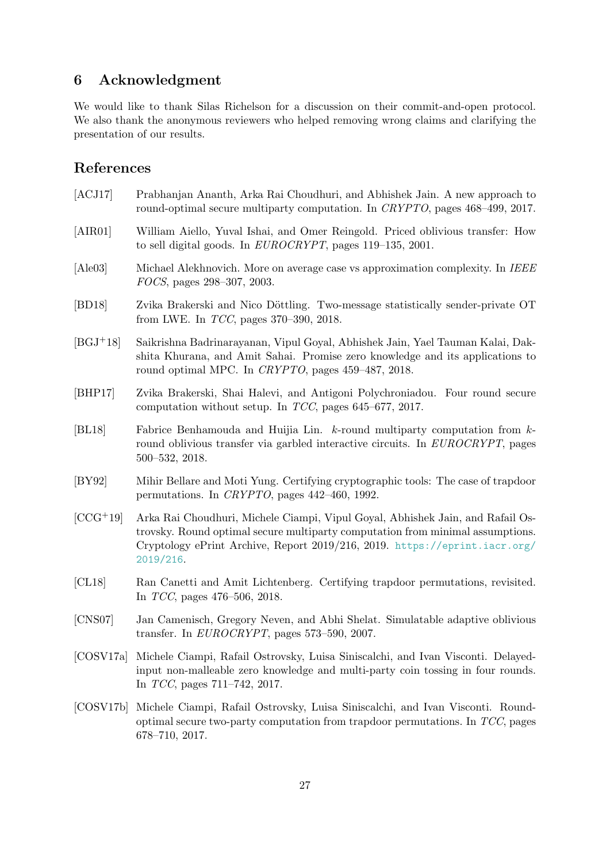## <span id="page-28-0"></span>6 Acknowledgment

We would like to thank Silas Richelson for a discussion on their commit-and-open protocol. We also thank the anonymous reviewers who helped removing wrong claims and clarifying the presentation of our results.

## References

<span id="page-28-11"></span><span id="page-28-9"></span><span id="page-28-8"></span><span id="page-28-7"></span><span id="page-28-5"></span><span id="page-28-2"></span><span id="page-28-1"></span>

| [ACJ17]    | Prabhanjan Ananth, Arka Rai Choudhuri, and Abhishek Jain. A new approach to<br>round-optimal secure multiparty computation. In CRYPTO, pages 468-499, 2017.                                                                                                 |
|------------|-------------------------------------------------------------------------------------------------------------------------------------------------------------------------------------------------------------------------------------------------------------|
| [AIR01]    | William Aiello, Yuval Ishai, and Omer Reingold. Priced oblivious transfer: How<br>to sell digital goods. In $EUROCRYPT$ , pages 119–135, 2001.                                                                                                              |
| [Ale03]    | Michael Alekhnovich. More on average case vs approximation complexity. In IEEE<br>FOCS, pages 298-307, 2003.                                                                                                                                                |
| [BD18]     | Zvika Brakerski and Nico Döttling. Two-message statistically sender-private OT<br>from LWE. In $TCC$ , pages 370–390, 2018.                                                                                                                                 |
| $[BGJ+18]$ | Saikrishna Badrinarayanan, Vipul Goyal, Abhishek Jain, Yael Tauman Kalai, Dak-<br>shita Khurana, and Amit Sahai. Promise zero knowledge and its applications to<br>round optimal MPC. In CRYPTO, pages 459-487, 2018.                                       |
| [BHP17]    | Zvika Brakerski, Shai Halevi, and Antigoni Polychroniadou. Four round secure<br>computation without setup. In $TCC$ , pages 645–677, 2017.                                                                                                                  |
| BL18       | Fabrice Benhamouda and Huijia Lin. $k$ -round multiparty computation from $k$ -<br>round oblivious transfer via garbled interactive circuits. In EUROCRYPT, pages<br>$500 - 532, 2018.$                                                                     |
| [BY92]     | Mihir Bellare and Moti Yung. Certifying cryptographic tools: The case of trapdoor<br>permutations. In CRYPTO, pages $442-460$ , 1992.                                                                                                                       |
| $[CCG+19]$ | Arka Rai Choudhuri, Michele Ciampi, Vipul Goyal, Abhishek Jain, and Rafail Os-<br>trovsky. Round optimal secure multiparty computation from minimal assumptions.<br>Cryptology ePrint Archive, Report 2019/216, 2019. https://eprint.iacr.org/<br>2019/216. |
| [CL18]     | Ran Canetti and Amit Lichtenberg. Certifying trapdoor permutations, revisited.<br>In $TCC$ , pages 476-506, 2018.                                                                                                                                           |
| [CNS07]    | Jan Camenisch, Gregory Neven, and Abhi Shelat. Simulatable adaptive oblivious<br>transfer. In $EUROCRYPT$ , pages 573-590, 2007.                                                                                                                            |
| [COSV17a]  | Michele Ciampi, Rafail Ostrovsky, Luisa Siniscalchi, and Ivan Visconti. Delayed-<br>input non-malleable zero knowledge and multi-party coin tossing in four rounds.<br>In $TCC$ , pages 711-742, 2017.                                                      |

<span id="page-28-13"></span><span id="page-28-12"></span><span id="page-28-10"></span><span id="page-28-6"></span><span id="page-28-4"></span><span id="page-28-3"></span>[COSV17b] Michele Ciampi, Rafail Ostrovsky, Luisa Siniscalchi, and Ivan Visconti. Roundoptimal secure two-party computation from trapdoor permutations. In TCC, pages 678–710, 2017.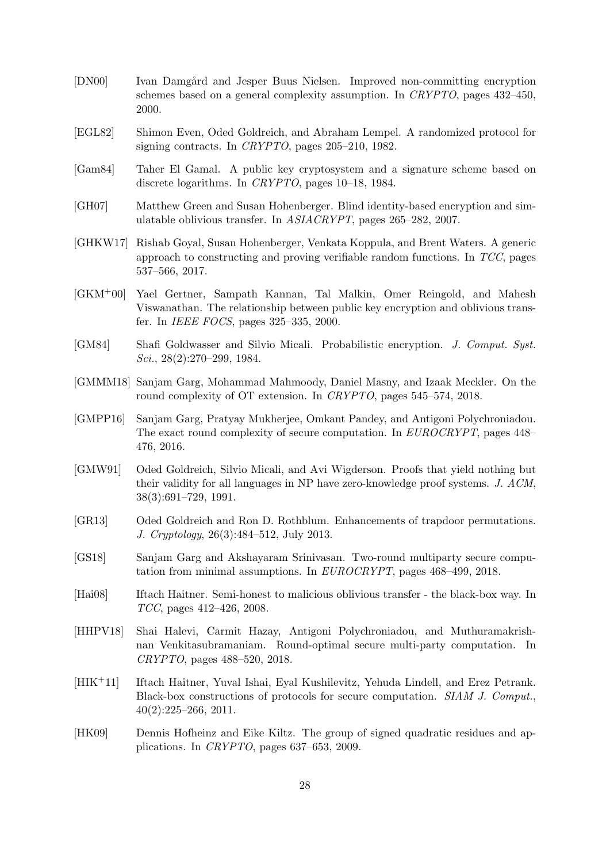- <span id="page-29-12"></span>[DN00] Ivan Damgård and Jesper Buus Nielsen. Improved non-committing encryption schemes based on a general complexity assumption. In CRYPTO, pages 432–450, 2000.
- <span id="page-29-0"></span>[EGL82] Shimon Even, Oded Goldreich, and Abraham Lempel. A randomized protocol for signing contracts. In CRYPTO, pages 205–210, 1982.
- <span id="page-29-8"></span>[Gam84] Taher El Gamal. A public key cryptosystem and a signature scheme based on discrete logarithms. In CRYPTO, pages 10–18, 1984.
- <span id="page-29-15"></span>[GH07] Matthew Green and Susan Hohenberger. Blind identity-based encryption and simulatable oblivious transfer. In ASIACRYPT, pages 265–282, 2007.
- <span id="page-29-7"></span>[GHKW17] Rishab Goyal, Susan Hohenberger, Venkata Koppula, and Brent Waters. A generic approach to constructing and proving verifiable random functions. In TCC, pages 537–566, 2017.
- <span id="page-29-4"></span>[GKM+00] Yael Gertner, Sampath Kannan, Tal Malkin, Omer Reingold, and Mahesh Viswanathan. The relationship between public key encryption and oblivious transfer. In IEEE FOCS, pages 325–335, 2000.
- <span id="page-29-9"></span>[GM84] Shafi Goldwasser and Silvio Micali. Probabilistic encryption. J. Comput. Syst.  $Sci., 28(2):270-299, 1984.$
- <span id="page-29-6"></span>[GMMM18] Sanjam Garg, Mohammad Mahmoody, Daniel Masny, and Izaak Meckler. On the round complexity of OT extension. In CRYPTO, pages 545–574, 2018.
- <span id="page-29-3"></span>[GMPP16] Sanjam Garg, Pratyay Mukherjee, Omkant Pandey, and Antigoni Polychroniadou. The exact round complexity of secure computation. In EUROCRYPT, pages 448– 476, 2016.
- <span id="page-29-5"></span>[GMW91] Oded Goldreich, Silvio Micali, and Avi Wigderson. Proofs that yield nothing but their validity for all languages in NP have zero-knowledge proof systems. J. ACM, 38(3):691–729, 1991.
- <span id="page-29-11"></span>[GR13] Oded Goldreich and Ron D. Rothblum. Enhancements of trapdoor permutations. J. Cryptology, 26(3):484–512, July 2013.
- <span id="page-29-1"></span>[GS18] Sanjam Garg and Akshayaram Srinivasan. Two-round multiparty secure computation from minimal assumptions. In EUROCRYPT, pages 468–499, 2018.
- <span id="page-29-2"></span>[Hai08] Iftach Haitner. Semi-honest to malicious oblivious transfer - the black-box way. In TCC, pages 412–426, 2008.
- <span id="page-29-13"></span>[HHPV18] Shai Halevi, Carmit Hazay, Antigoni Polychroniadou, and Muthuramakrishnan Venkitasubramaniam. Round-optimal secure multi-party computation. In CRYPTO, pages 488–520, 2018.
- <span id="page-29-14"></span>[HIK+11] Iftach Haitner, Yuval Ishai, Eyal Kushilevitz, Yehuda Lindell, and Erez Petrank. Black-box constructions of protocols for secure computation. SIAM J. Comput., 40(2):225–266, 2011.
- <span id="page-29-10"></span>[HK09] Dennis Hofheinz and Eike Kiltz. The group of signed quadratic residues and applications. In CRYPTO, pages 637–653, 2009.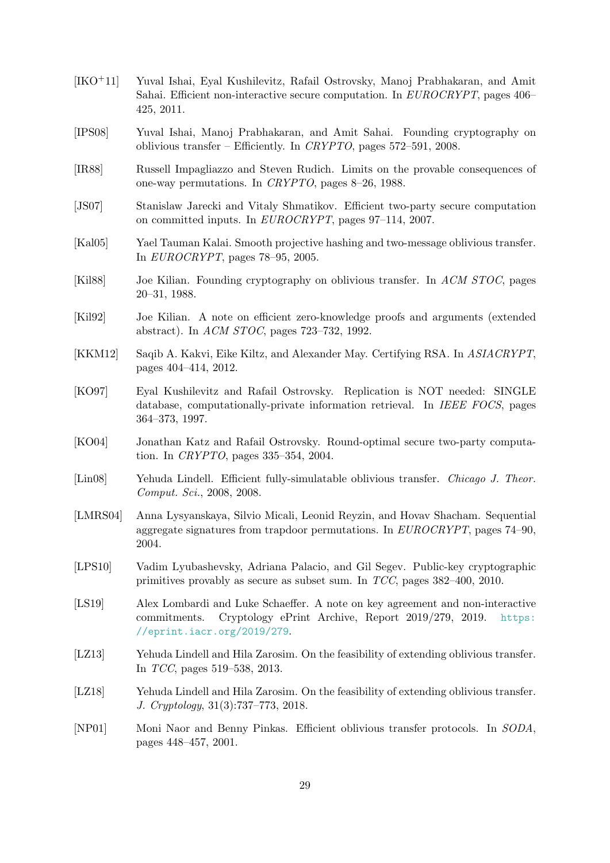- <span id="page-30-2"></span>[IKO+11] Yuval Ishai, Eyal Kushilevitz, Rafail Ostrovsky, Manoj Prabhakaran, and Amit Sahai. Efficient non-interactive secure computation. In EUROCRYPT, pages 406– 425, 2011.
- <span id="page-30-1"></span>[IPS08] Yuval Ishai, Manoj Prabhakaran, and Amit Sahai. Founding cryptography on oblivious transfer – Efficiently. In  $CRYPTO$ , pages 572–591, 2008.
- <span id="page-30-7"></span>[IR88] Russell Impagliazzo and Steven Rudich. Limits on the provable consequences of one-way permutations. In CRYPTO, pages 8–26, 1988.
- <span id="page-30-3"></span>[JS07] Stanislaw Jarecki and Vitaly Shmatikov. Efficient two-party secure computation on committed inputs. In EUROCRYPT, pages 97–114, 2007.
- <span id="page-30-14"></span>[Kal05] Yael Tauman Kalai. Smooth projective hashing and two-message oblivious transfer. In EUROCRYPT, pages 78–95, 2005.
- <span id="page-30-0"></span>[Kil88] Joe Kilian. Founding cryptography on oblivious transfer. In ACM STOC, pages 20–31, 1988.
- <span id="page-30-9"></span>[Kil92] Joe Kilian. A note on efficient zero-knowledge proofs and arguments (extended abstract). In ACM STOC, pages 723–732, 1992.
- <span id="page-30-6"></span>[KKM12] Saqib A. Kakvi, Eike Kiltz, and Alexander May. Certifying RSA. In ASIACRYPT, pages 404–414, 2012.
- <span id="page-30-12"></span>[KO97] Eyal Kushilevitz and Rafail Ostrovsky. Replication is NOT needed: SINGLE database, computationally-private information retrieval. In IEEE FOCS, pages 364–373, 1997.
- <span id="page-30-11"></span>[KO04] Jonathan Katz and Rafail Ostrovsky. Round-optimal secure two-party computation. In CRYPTO, pages 335–354, 2004.
- <span id="page-30-4"></span>[Lin08] Yehuda Lindell. Efficient fully-simulatable oblivious transfer. Chicago J. Theor. Comput. Sci., 2008, 2008.
- <span id="page-30-5"></span>[LMRS04] Anna Lysyanskaya, Silvio Micali, Leonid Reyzin, and Hovav Shacham. Sequential aggregate signatures from trapdoor permutations. In EUROCRYPT, pages 74–90, 2004.
- <span id="page-30-10"></span>[LPS10] Vadim Lyubashevsky, Adriana Palacio, and Gil Segev. Public-key cryptographic primitives provably as secure as subset sum. In TCC, pages 382–400, 2010.
- <span id="page-30-8"></span>[LS19] Alex Lombardi and Luke Schaeffer. A note on key agreement and non-interactive commitments. Cryptology ePrint Archive, Report 2019/279, 2019. [https:](https://eprint.iacr.org/2019/279) [//eprint.iacr.org/2019/279](https://eprint.iacr.org/2019/279).
- <span id="page-30-15"></span>[LZ13] Yehuda Lindell and Hila Zarosim. On the feasibility of extending oblivious transfer. In TCC, pages 519–538, 2013.
- <span id="page-30-16"></span>[LZ18] Yehuda Lindell and Hila Zarosim. On the feasibility of extending oblivious transfer. J. Cryptology, 31(3):737–773, 2018.
- <span id="page-30-13"></span>[NP01] Moni Naor and Benny Pinkas. Efficient oblivious transfer protocols. In SODA, pages 448–457, 2001.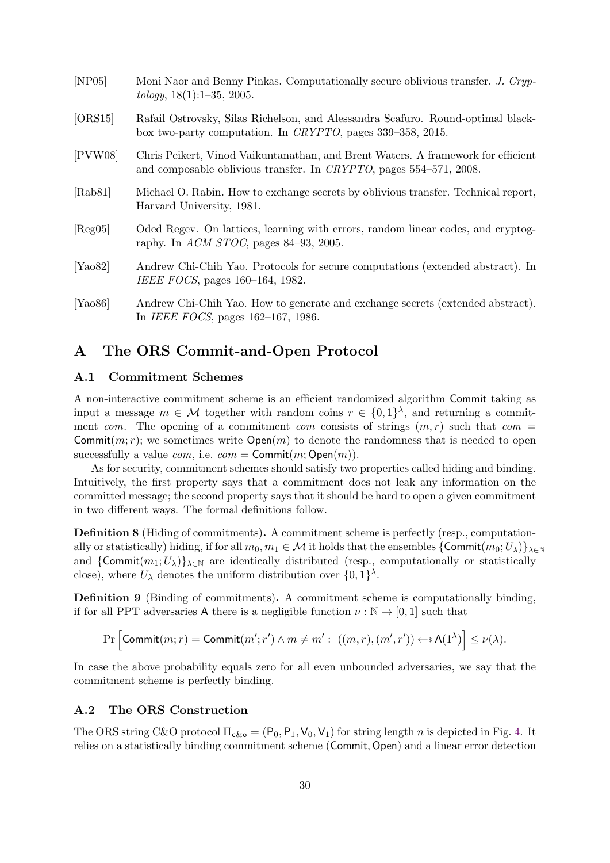<span id="page-31-9"></span><span id="page-31-7"></span><span id="page-31-6"></span><span id="page-31-3"></span>

| [NP05]               | Moni Naor and Benny Pinkas. Computationally secure oblivious transfer. J. Cryp-<br>$tology, 18(1):1-35, 2005.$                                         |
|----------------------|--------------------------------------------------------------------------------------------------------------------------------------------------------|
| [ORS15]              | Rafail Ostrovsky, Silas Richelson, and Alessandra Scafuro. Round-optimal black-<br>box two-party computation. In CRYPTO, pages $339-358$ , $2015$ .    |
| [PVW08]              | Chris Peikert, Vinod Vaikuntanathan, and Brent Waters. A framework for efficient<br>and composable oblivious transfer. In CRYPTO, pages 554-571, 2008. |
| [Rab81]              | Michael O. Rabin. How to exchange secrets by oblivious transfer. Technical report,<br>Harvard University, 1981.                                        |
| [Reg05]              | Oded Regev. On lattices, learning with errors, random linear codes, and cryptog-<br>raphy. In ACM STOC, pages 84–93, 2005.                             |
| [Ya <sub>0</sub> 82] | Andrew Chi-Chih Yao. Protocols for secure computations (extended abstract). In<br>IEEE FOCS, pages 160–164, 1982.                                      |
| [Ya <sub>0</sub> 86] | Andrew Chi-Chih Yao. How to generate and exchange secrets (extended abstract).<br>In <i>IEEE FOCS</i> , pages $162-167$ , 1986.                        |

## <span id="page-31-8"></span><span id="page-31-5"></span><span id="page-31-4"></span><span id="page-31-0"></span>A The ORS Commit-and-Open Protocol

#### <span id="page-31-1"></span>A.1 Commitment Schemes

A non-interactive commitment scheme is an efficient randomized algorithm Commit taking as input a message  $m \in \mathcal{M}$  together with random coins  $r \in \{0,1\}^{\lambda}$ , and returning a commitment com. The opening of a commitment com consists of strings  $(m, r)$  such that com = Commit $(m; r)$ ; we sometimes write  $Open(m)$  to denote the randomness that is needed to open successfully a value *com*, i.e.  $com = \text{Commit}(m; \text{Open}(m)).$ 

As for security, commitment schemes should satisfy two properties called hiding and binding. Intuitively, the first property says that a commitment does not leak any information on the committed message; the second property says that it should be hard to open a given commitment in two different ways. The formal definitions follow.

Definition 8 (Hiding of commitments). A commitment scheme is perfectly (resp., computationally or statistically) hiding, if for all  $m_0, m_1 \in \mathcal{M}$  it holds that the ensembles  $\{Commit(m_0; U_\lambda)\}_{\lambda \in \mathbb{N}}$ and  $\{Commit(m_1;U_\lambda)\}_{\lambda\in\mathbb{N}}$  are identically distributed (resp., computationally or statistically close), where  $U_{\lambda}$  denotes the uniform distribution over  $\{0,1\}^{\lambda}$ .

Definition 9 (Binding of commitments). A commitment scheme is computationally binding, if for all PPT adversaries A there is a negligible function  $\nu : \mathbb{N} \to [0,1]$  such that

$$
\Pr\Big[\mathsf{Commit}(m;r) = \mathsf{Commit}(m';r') \land m \neq m': ((m,r),(m',r')) \leftarrow \mathsf{sA}(1^{\lambda})\Big] \leq \nu(\lambda).
$$

In case the above probability equals zero for all even unbounded adversaries, we say that the commitment scheme is perfectly binding.

#### <span id="page-31-2"></span>A.2 The ORS Construction

The ORS string C&O protocol  $\Pi_{c&\sigma} = (\mathsf{P}_0, \mathsf{P}_1, \mathsf{V}_0, \mathsf{V}_1)$  for string length n is depicted in Fig. [4.](#page-32-0) It relies on a statistically binding commitment scheme (Commit, Open) and a linear error detection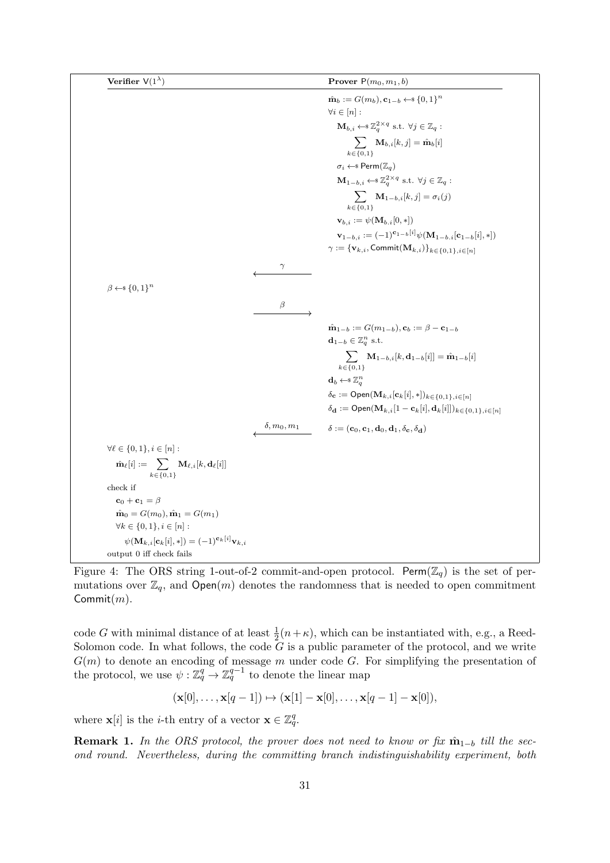<span id="page-32-0"></span>

| Verifier V(1 <sup>λ</sup> )                                                                                                                                                      | Prover P(m <sub>0</sub> , m <sub>1</sub> , b) |
|----------------------------------------------------------------------------------------------------------------------------------------------------------------------------------|-----------------------------------------------|
| \n $\hat{m}_{b} := G(m_{b}), e_{1-b} \leftarrow \textbf{8} \{0,1\}^{n}$ \n                                                                                                       |                                               |
| \n $\hat{m}_{b} := G(m_{b}), e_{1-b} \leftarrow \textbf{8} \{0,1\}^{n}$ \n                                                                                                       |                                               |
| \n $\hat{m}_{b,i} \leftarrow \textbf{3}^{2\times q} \text{ s.t. } \forall j \in \mathbb{Z}_{q}:$ \n                                                                              |                                               |
| \n $\sum_{k \in \{0,1\}} M_{b,i}[k,j] = \hat{m}_{b}[i]$ \n                                                                                                                       |                                               |
| \n $m_{i} \leftarrow \textbf{8} \text{Perm}(\mathbb{Z}_{q})$ \n                                                                                                                  |                                               |
| \n $M_{1-b,i} \leftarrow \textbf{3}^{2\times q} \text{ s.t. } \forall j \in \mathbb{Z}_{q}:$ \n                                                                                  |                                               |
| \n $\sum_{k \in \{0,1\}, i} M_{1-b,i}[k,j] = \sigma_{i}(j)$ \n                                                                                                                   |                                               |
| \n $\forall i, i := \psi(M_{b,i}[0,*))$ \n                                                                                                                                       |                                               |
| \n $\forall i, i := \{W_{b,i}, \text{Commit}(M_{k,i})\} \text{ k}_{\in \{0,1\},i \in [n]}$ \n                                                                                    |                                               |
| \n $\hat{\beta} \leftarrow \textbf{8} \{0,1\}^{n}$ \n                                                                                                                            |                                               |
| \n $\hat{\beta} \leftarrow \textbf{8} \{0,1\}^{n}$ \n                                                                                                                            |                                               |
| \n $\hat{\beta} \leftarrow \textbf{8} \text{term} \{0,1\} \text{ s.t. } \textbf{9} \text{ term} \{0,1\} \text{ s.t. } \textbf{1}_{\{0,1\}} \text{ for } \{0,1\} \text{ s.t. } \$ |                                               |

Figure 4: The ORS string 1-out-of-2 commit-and-open protocol. Perm $(\mathbb{Z}_q)$  is the set of permutations over  $\mathbb{Z}_q$ , and  $Open(m)$  denotes the randomness that is needed to open commitment Commit $(m)$ .

code G with minimal distance of at least  $\frac{1}{2}(n+\kappa)$ , which can be instantiated with, e.g., a Reed-Solomon code. In what follows, the code  $G$  is a public parameter of the protocol, and we write  $G(m)$  to denote an encoding of message m under code G. For simplifying the presentation of the protocol, we use  $\psi : \mathbb{Z}_q^q \to \mathbb{Z}_q^{q-1}$  to denote the linear map

$$
(\mathbf{x}[0],\ldots,\mathbf{x}[q-1]) \mapsto (\mathbf{x}[1]-\mathbf{x}[0],\ldots,\mathbf{x}[q-1]-\mathbf{x}[0]),
$$

where  $\mathbf{x}[i]$  is the *i*-th entry of a vector  $\mathbf{x} \in \mathbb{Z}_q^q$ .

**Remark 1.** In the ORS protocol, the prover does not need to know or fix  $\hat{\mathbf{m}}_{1-b}$  till the second round. Nevertheless, during the committing branch indistinguishability experiment, both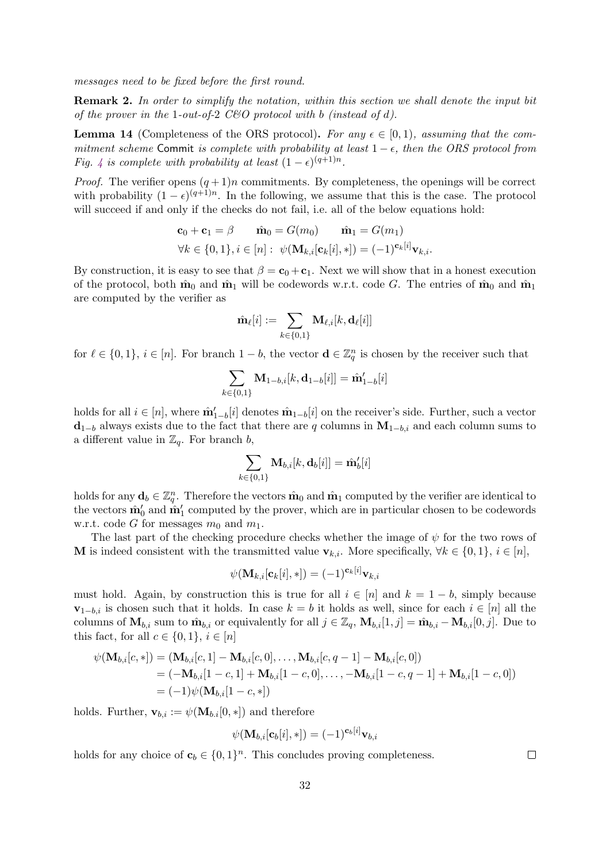messages need to be fixed before the first round.

Remark 2. In order to simplify the notation, within this section we shall denote the input bit of the prover in the 1-out-of-2 C&O protocol with b (instead of d).

**Lemma 14** (Completeness of the ORS protocol). For any  $\epsilon \in [0,1)$ , assuming that the commitment scheme Commit is complete with probability at least  $1 - \epsilon$ , then the ORS protocol from Fig. [4](#page-32-0) is complete with probability at least  $(1 - \epsilon)^{(q+1)n}$ .

*Proof.* The verifier opens  $(q + 1)n$  commitments. By completeness, the openings will be correct with probability  $(1 - \epsilon)^{(q+1)n}$ . In the following, we assume that this is the case. The protocol will succeed if and only if the checks do not fail, i.e. all of the below equations hold:

$$
\mathbf{c}_0 + \mathbf{c}_1 = \beta \qquad \hat{\mathbf{m}}_0 = G(m_0) \qquad \hat{\mathbf{m}}_1 = G(m_1)
$$
  

$$
\forall k \in \{0, 1\}, i \in [n] : \psi(\mathbf{M}_{k,i}[\mathbf{c}_k[i], *) ) = (-1)^{\mathbf{c}_k[i]} \mathbf{v}_{k,i}.
$$

By construction, it is easy to see that  $\beta = \mathbf{c}_0 + \mathbf{c}_1$ . Next we will show that in a honest execution of the protocol, both  $\hat{\mathbf{m}}_0$  and  $\hat{\mathbf{m}}_1$  will be codewords w.r.t. code G. The entries of  $\hat{\mathbf{m}}_0$  and  $\hat{\mathbf{m}}_1$ are computed by the verifier as

$$
\hat{\mathbf{m}}_{\ell}[i]:=\sum_{k\in\{0,1\}}\mathbf{M}_{\ell,i}[k,\mathbf{d}_{\ell}[i]]
$$

for  $\ell \in \{0, 1\}, i \in [n]$ . For branch  $1 - b$ , the vector  $\mathbf{d} \in \mathbb{Z}_q^n$  is chosen by the receiver such that

$$
\sum_{k \in \{0,1\}} \mathbf{M}_{1-b,i}[k,\mathbf{d}_{1-b}[i]] = \hat{\mathbf{m}}_{1-b}'[i]
$$

holds for all  $i \in [n]$ , where  $\hat{\mathbf{m}}'_{1-b}[i]$  denotes  $\hat{\mathbf{m}}_{1-b}[i]$  on the receiver's side. Further, such a vector  $\mathbf{d}_{1-b}$  always exists due to the fact that there are q columns in  $\mathbf{M}_{1-b,i}$  and each column sums to a different value in  $\mathbb{Z}_q$ . For branch b,

$$
\sum_{k\in\{0,1\}} \mathbf{M}_{b,i}[k,\mathbf{d}_b[i]] = \hat{\mathbf{m}}_b'[i]
$$

holds for any  $\mathbf{d}_b \in \mathbb{Z}_q^n$ . Therefore the vectors  $\hat{\mathbf{m}}_0$  and  $\hat{\mathbf{m}}_1$  computed by the verifier are identical to the vectors  $\hat{\mathbf{m}}'_0$  and  $\hat{\mathbf{m}}'_1$  computed by the prover, which are in particular chosen to be codewords w.r.t. code G for messages  $m_0$  and  $m_1$ .

The last part of the checking procedure checks whether the image of  $\psi$  for the two rows of M is indeed consistent with the transmitted value  $\mathbf{v}_{k,i}$ . More specifically,  $\forall k \in \{0,1\}, i \in [n],$ 

$$
\psi(\mathbf{M}_{k,i}[\mathbf{c}_k[i],*)] = (-1)^{\mathbf{c}_k[i]} \mathbf{v}_{k,i}
$$

must hold. Again, by construction this is true for all  $i \in [n]$  and  $k = 1 - b$ , simply because  $\mathbf{v}_{1-b,i}$  is chosen such that it holds. In case  $k = b$  it holds as well, since for each  $i \in [n]$  all the columns of  $\mathbf{M}_{b,i}$  sum to  $\hat{\mathbf{m}}_{b,i}$  or equivalently for all  $j \in \mathbb{Z}_q$ ,  $\mathbf{M}_{b,i}[1,j] = \hat{\mathbf{m}}_{b,i} - \mathbf{M}_{b,i}[0,j]$ . Due to this fact, for all  $c \in \{0, 1\}$ ,  $i \in [n]$ 

$$
\psi(\mathbf{M}_{b,i}[c,*]) = (\mathbf{M}_{b,i}[c,1] - \mathbf{M}_{b,i}[c,0], \dots, \mathbf{M}_{b,i}[c,q-1] - \mathbf{M}_{b,i}[c,0])
$$
  
= (-\mathbf{M}\_{b,i}[1-c,1] + \mathbf{M}\_{b,i}[1-c,0], \dots, -\mathbf{M}\_{b,i}[1-c,q-1] + \mathbf{M}\_{b,i}[1-c,0])  
= (-1)\psi(\mathbf{M}\_{b,i}[1-c,\*])

holds. Further,  $\mathbf{v}_{b,i} := \psi(\mathbf{M}_{b,i}[0,*])$  and therefore

$$
\psi(\mathbf{M}_{b,i}[\mathbf{c}_b[i],*]) = (-1)^{\mathbf{c}_b[i]} \mathbf{v}_{b,i}
$$

holds for any choice of  $\mathbf{c}_b \in \{0,1\}^n$ . This concludes proving completeness.

 $\Box$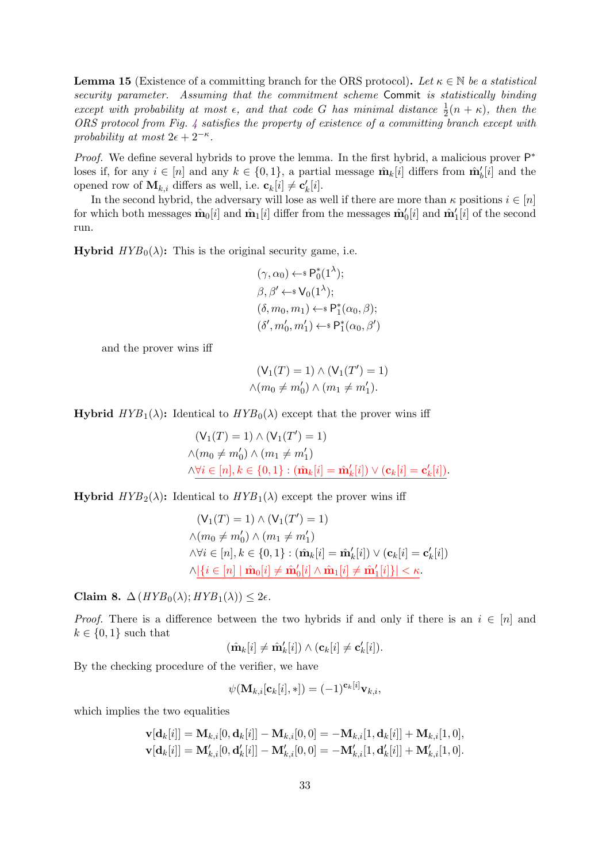**Lemma 15** (Existence of a committing branch for the ORS protocol). Let  $\kappa \in \mathbb{N}$  be a statistical security parameter. Assuming that the commitment scheme Commit is statistically binding except with probability at most  $\epsilon$ , and that code G has minimal distance  $\frac{1}{2}(n + \kappa)$ , then the ORS protocol from Fig. [4](#page-32-0) satisfies the property of existence of a committing branch except with probability at most  $2\epsilon + 2^{-\kappa}$ .

Proof. We define several hybrids to prove the lemma. In the first hybrid, a malicious prover  $\mathsf{P}^*$ loses if, for any  $i \in [n]$  and any  $k \in \{0,1\}$ , a partial message  $\hat{\mathbf{m}}_k[i]$  differs from  $\hat{\mathbf{m}}_b'[i]$  and the opened row of  $\mathbf{M}_{k,i}$  differs as well, i.e.  $\mathbf{c}_k[i] \neq \mathbf{c}'_k[i]$ .

In the second hybrid, the adversary will lose as well if there are more than  $\kappa$  positions  $i \in [n]$ for which both messages  $\hat{\mathbf{m}}_0[i]$  and  $\hat{\mathbf{m}}_1[i]$  differ from the messages  $\hat{\mathbf{m}}'_0[i]$  and  $\hat{\mathbf{m}}'_1[i]$  of the second run.

**Hybrid**  $HYB_0(\lambda)$ : This is the original security game, i.e.

$$
(\gamma, \alpha_0) \leftarrow \mathbf{s} \mathsf{P}_0^*(1^\lambda);
$$
  

$$
\beta, \beta' \leftarrow \mathbf{s} \mathsf{V}_0(1^\lambda);
$$
  

$$
(\delta, m_0, m_1) \leftarrow \mathbf{s} \mathsf{P}_1^*(\alpha_0, \beta);
$$
  

$$
(\delta', m'_0, m'_1) \leftarrow \mathbf{s} \mathsf{P}_1^*(\alpha_0, \beta')
$$

and the prover wins iff

$$
(\mathsf{V}_1(T) = 1) \land (\mathsf{V}_1(T') = 1)
$$

$$
\land (m_0 \neq m'_0) \land (m_1 \neq m'_1).
$$

**Hybrid**  $HYB_1(\lambda)$ : Identical to  $HYB_0(\lambda)$  except that the prover wins iff

$$
(\mathsf{V}_{1}(T) = 1) \land (\mathsf{V}_{1}(T') = 1)
$$
  
 
$$
\land (m_{0} \neq m'_{0}) \land (m_{1} \neq m'_{1})
$$
  
 
$$
\land \forall i \in [n], k \in \{0, 1\} : (\hat{\mathbf{m}}_{k}[i] = \hat{\mathbf{m}}'_{k}[i]) \lor (\mathbf{c}_{k}[i] = \mathbf{c}'_{k}[i]).
$$

**Hybrid**  $HYB_2(\lambda)$ : Identical to  $HYB_1(\lambda)$  except the prover wins iff

$$
(\mathsf{V}_{1}(T) = 1) \land (\mathsf{V}_{1}(T') = 1)
$$
  

$$
\land (m_{0} \neq m'_{0}) \land (m_{1} \neq m'_{1})
$$
  

$$
\land \forall i \in [n], k \in \{0, 1\} : (\hat{\mathbf{m}}_{k}[i] = \hat{\mathbf{m}}'_{k}[i]) \lor (\mathbf{c}_{k}[i] = \mathbf{c}'_{k}[i])
$$
  

$$
\land |\{i \in [n] \mid \hat{\mathbf{m}}_{0}[i] \neq \hat{\mathbf{m}}'_{0}[i] \land \hat{\mathbf{m}}_{1}[i] \neq \hat{\mathbf{m}}'_{1}[i]\}| < \kappa.
$$

Claim 8.  $\Delta(HYB_0(\lambda); HYB_1(\lambda)) \leq 2\epsilon$ .

*Proof.* There is a difference between the two hybrids if and only if there is an  $i \in [n]$  and  $k \in \{0,1\}$  such that

$$
(\hat{\mathbf{m}}_k[i] \neq \hat{\mathbf{m}}_k'[i]) \wedge (\mathbf{c}_k[i] \neq \mathbf{c}_k'[i]).
$$

By the checking procedure of the verifier, we have

$$
\psi(\mathbf{M}_{k,i}[\mathbf{c}_k[i],*)] = (-1)^{\mathbf{c}_k[i]} \mathbf{v}_{k,i},
$$

which implies the two equalities

$$
\begin{aligned} \mathbf{v}[\mathbf{d}_k[i]] &= \mathbf{M}_{k,i}[0,\mathbf{d}_k[i]] - \mathbf{M}_{k,i}[0,0] = -\mathbf{M}_{k,i}[1,\mathbf{d}_k[i]] + \mathbf{M}_{k,i}[1,0],\\ \mathbf{v}[\mathbf{d}_k[i]] &= \mathbf{M}_{k,i}^\prime[0,\mathbf{d}_k^\prime[i]] - \mathbf{M}_{k,i}^\prime[0,0] = -\mathbf{M}_{k,i}^\prime[1,\mathbf{d}_k^\prime[i]] + \mathbf{M}_{k,i}^\prime[1,0]. \end{aligned}
$$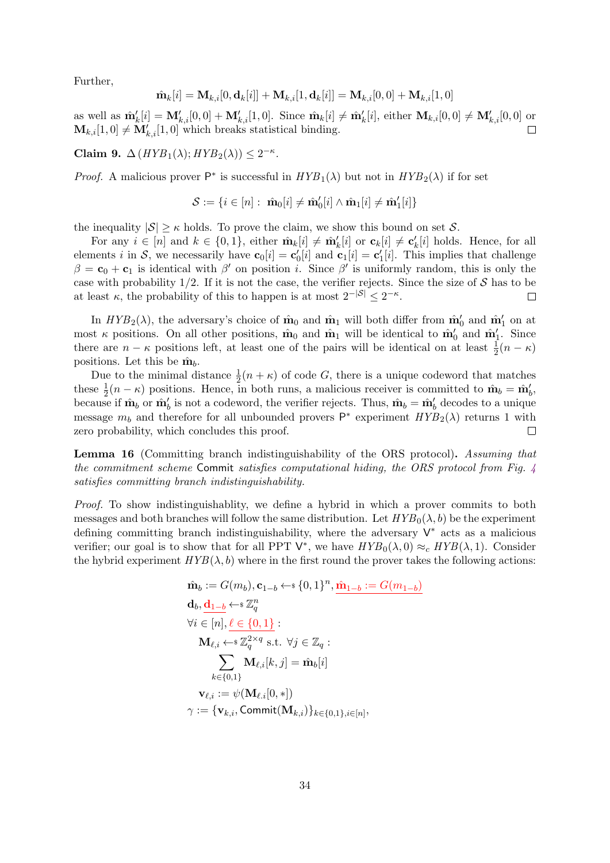Further,

$$
\hat{\mathbf{m}}_k[i] = \mathbf{M}_{k,i}[0,\mathbf{d}_k[i]] + \mathbf{M}_{k,i}[1,\mathbf{d}_k[i]] = \mathbf{M}_{k,i}[0,0] + \mathbf{M}_{k,i}[1,0]
$$

as well as  $\hat{\mathbf{m}}'_{k}[i] = \mathbf{M}'_{k,i}[0,0] + \mathbf{M}'_{k,i}[1,0]$ . Since  $\hat{\mathbf{m}}_{k}[i] \neq \hat{\mathbf{m}}'_{k}[i]$ , either  $\mathbf{M}_{k,i}[0,0] \neq \mathbf{M}'_{k,i}[0,0]$  or  $\mathbf{M}_{k,i}[1,0] \neq \mathbf{M}'_{k,i}[1,0]$  which breaks statistical binding.

Claim 9.  $\Delta(HYB_1(\lambda); HYB_2(\lambda)) \leq 2^{-\kappa}$ .

*Proof.* A malicious prover  $P^*$  is successful in  $HYB_1(\lambda)$  but not in  $HYB_2(\lambda)$  if for set

$$
\mathcal{S} := \{i \in [n]: \ \hat{\mathbf{m}}_0[i] \neq \hat{\mathbf{m}}'_0[i] \wedge \hat{\mathbf{m}}_1[i] \neq \hat{\mathbf{m}}'_1[i]\}
$$

the inequality  $|\mathcal{S}| \geq \kappa$  holds. To prove the claim, we show this bound on set  $\mathcal{S}$ .

For any  $i \in [n]$  and  $k \in \{0,1\}$ , either  $\hat{\mathbf{m}}_k[i] \neq \hat{\mathbf{m}}'_k[i]$  or  $\mathbf{c}_k[i] \neq \mathbf{c}'_k[i]$  holds. Hence, for all elements *i* in S, we necessarily have  $\mathbf{c}_0[i] = \mathbf{c}'_0[i]$  and  $\mathbf{c}_1[i] = \mathbf{c}'_1[i]$ . This implies that challenge  $\beta = \mathbf{c}_0 + \mathbf{c}_1$  is identical with  $\beta'$  on position *i*. Since  $\beta'$  is uniformly random, this is only the case with probability  $1/2$ . If it is not the case, the verifier rejects. Since the size of S has to be at least  $\kappa$ , the probability of this to happen is at most  $2^{-|\mathcal{S}|} \leq 2^{-\kappa}$ .  $\Box$ 

In  $HYB_2(\lambda)$ , the adversary's choice of  $\hat{\mathbf{m}}_0$  and  $\hat{\mathbf{m}}_1$  will both differ from  $\hat{\mathbf{m}}'_0$  and  $\hat{\mathbf{m}}'_1$  on at most  $\kappa$  positions. On all other positions,  $\hat{\mathbf{m}}_0$  and  $\hat{\mathbf{m}}_1$  will be identical to  $\hat{\mathbf{m}}'_0$  and  $\hat{\mathbf{m}}'_1$ . Since there are  $n - \kappa$  positions left, at least one of the pairs will be identical on at least  $\frac{1}{2}(n - \kappa)$ positions. Let this be  $\hat{\mathbf{m}}_b$ .

Due to the minimal distance  $\frac{1}{2}(n + \kappa)$  of code G, there is a unique codeword that matches these  $\frac{1}{2}(n - \kappa)$  positions. Hence, in both runs, a malicious receiver is committed to  $\hat{\mathbf{m}}_b = \hat{\mathbf{m}}'_b$ , because if  $\hat{\mathbf{m}}_b$  or  $\hat{\mathbf{m}}'_b$  is not a codeword, the verifier rejects. Thus,  $\hat{\mathbf{m}}_b = \hat{\mathbf{m}}'_b$  decodes to a unique message  $m_b$  and therefore for all unbounded provers  $P^*$  experiment  $HYP_2(\lambda)$  returns 1 with zero probability, which concludes this proof.  $\Box$ 

Lemma 16 (Committing branch indistinguishability of the ORS protocol). Assuming that the commitment scheme Commit satisfies computational hiding, the ORS protocol from Fig. [4](#page-32-0) satisfies committing branch indistinguishability.

Proof. To show indistinguishablity, we define a hybrid in which a prover commits to both messages and both branches will follow the same distribution. Let  $HYP_0(\lambda, b)$  be the experiment defining committing branch indistinguishability, where the adversary  $V^*$  acts as a malicious verifier; our goal is to show that for all PPT  $\mathsf{V}^*$ , we have  $HYP_0(\lambda,0) \approx_c HYP(\lambda,1)$ . Consider the hybrid experiment  $HYB(\lambda, b)$  where in the first round the prover takes the following actions:

$$
\hat{\mathbf{m}}_b := G(m_b), \mathbf{c}_{1-b} \leftarrow \{0, 1\}^n, \underline{\hat{\mathbf{m}}_{1-b}} := G(m_{1-b})
$$
\n
$$
\mathbf{d}_b, \underline{\mathbf{d}}_{1-b} \leftarrow \mathbf{F} \mathbb{Z}_q^n
$$
\n
$$
\forall i \in [n], \underline{\ell \in \{0, 1\}}:
$$
\n
$$
\mathbf{M}_{\ell, i} \leftarrow \mathbf{F} \mathbb{Z}_q^{2 \times q} \text{ s.t. } \forall j \in \mathbb{Z}_q : \sum_{k \in \{0, 1\}} \mathbf{M}_{\ell, i}[k, j] = \hat{\mathbf{m}}_b[i]
$$
\n
$$
\mathbf{v}_{\ell, i} := \psi(\mathbf{M}_{\ell, i}[0, *))
$$
\n
$$
\gamma := \{\mathbf{v}_{k, i}, \text{Commit}(\mathbf{M}_{k, i})\}_{k \in \{0, 1\}, i \in [n]},
$$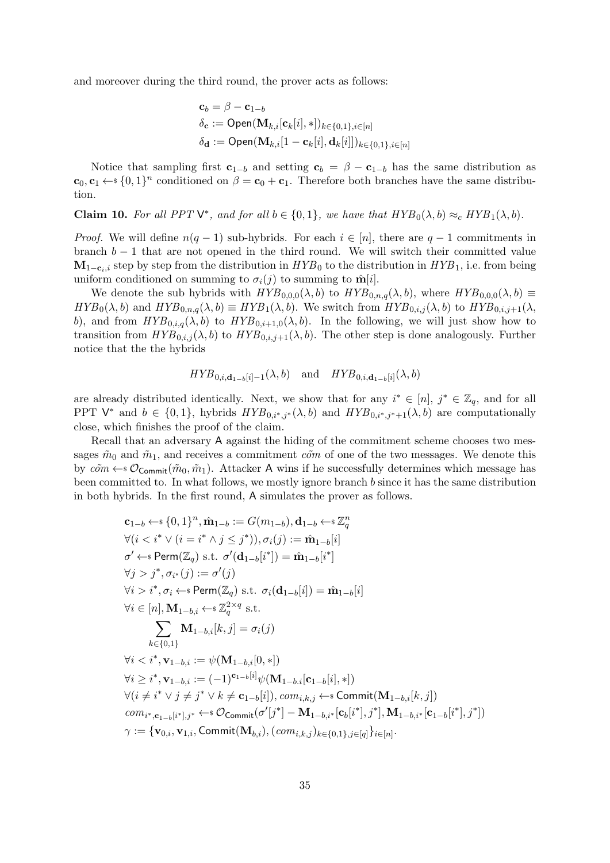and moreover during the third round, the prover acts as follows:

$$
\mathbf{c}_b = \beta - \mathbf{c}_{1-b}
$$
  
\n
$$
\delta_{\mathbf{c}} := \mathsf{Open}(\mathbf{M}_{k,i}[\mathbf{c}_k[i], *) )_{k \in \{0,1\}, i \in [n]}
$$
  
\n
$$
\delta_{\mathbf{d}} := \mathsf{Open}(\mathbf{M}_{k,i}[1 - \mathbf{c}_k[i], \mathbf{d}_k[i]])_{k \in \{0,1\}, i \in [n]}
$$

Notice that sampling first  $c_{1-b}$  and setting  $c_b = \beta - c_{1-b}$  has the same distribution as  $\mathbf{c}_0, \mathbf{c}_1 \leftarrow \{0,1\}^n$  conditioned on  $\beta = \mathbf{c}_0 + \mathbf{c}_1$ . Therefore both branches have the same distribution.

**Claim 10.** For all PPT  $V^*$ , and for all  $b \in \{0, 1\}$ , we have that  $HYB_0(\lambda, b) \approx_c HYB_1(\lambda, b)$ .

*Proof.* We will define  $n(q-1)$  sub-hybrids. For each  $i \in [n]$ , there are  $q-1$  commitments in branch  $b - 1$  that are not opened in the third round. We will switch their committed value  $M_{1-c_i,i}$  step by step from the distribution in  $HYB_0$  to the distribution in  $HYB_1$ , i.e. from being uniform conditioned on summing to  $\sigma_i(j)$  to summing to  $\hat{\mathbf{m}}[i]$ .

We denote the sub hybrids with  $HYB_{0,0,0}(\lambda, b)$  to  $HYB_{0,n,q}(\lambda, b)$ , where  $HYB_{0,0,0}(\lambda, b) \equiv$  $HYB_0(\lambda, b)$  and  $HYB_{0,n,q}(\lambda, b) \equiv HYB_1(\lambda, b)$ . We switch from  $HYB_{0,i,j}(\lambda, b)$  to  $HYB_{0,i,j+1}(\lambda, b)$ b), and from  $HYB_{0,i,q}(\lambda, b)$  to  $HYB_{0,i+1,0}(\lambda, b)$ . In the following, we will just show how to transition from  $HYB_{0,i,j}(\lambda, b)$  to  $HYB_{0,i,j+1}(\lambda, b)$ . The other step is done analogously. Further notice that the the hybrids

$$
HYB_{0,i,\mathbf{d}_{1-b}[i]-1}(\lambda,b) \quad \text{and} \quad HYB_{0,i,\mathbf{d}_{1-b}[i]}(\lambda,b)
$$

are already distributed identically. Next, we show that for any  $i^* \in [n], j^* \in \mathbb{Z}_q$ , and for all PPT  $\mathsf{V}^*$  and  $b \in \{0,1\}$ , hybrids  $HYP_{0,i^*,j^*}(\lambda, b)$  and  $HYP_{0,i^*,j^*+1}(\lambda, b)$  are computationally close, which finishes the proof of the claim.

Recall that an adversary A against the hiding of the commitment scheme chooses two messages  $\tilde{m}_0$  and  $\tilde{m}_1$ , and receives a commitment  $\tilde{c}$  one of the two messages. We denote this by  $c\tilde{\sigma}m \leftarrow s\mathcal{O}_{\text{Commit}}(\tilde{m}_0, \tilde{m}_1)$ . Attacker A wins if he successfully determines which message has been committed to. In what follows, we mostly ignore branch b since it has the same distribution in both hybrids. In the first round, A simulates the prover as follows.

$$
c_{1-b} \leftarrow s \{0, 1\}^{n}, \hat{m}_{1-b} := G(m_{1-b}), d_{1-b} \leftarrow s \mathbb{Z}_{q}^{n}
$$
\n
$$
\forall (i < i^* \lor (i = i^* \land j \leq j^*)), \sigma_i(j) := \hat{m}_{1-b}[i]
$$
\n
$$
\sigma' \leftarrow s \text{Perm}(\mathbb{Z}_{q}) \text{ s.t. } \sigma'(\mathbf{d}_{1-b}[i^*]) = \hat{m}_{1-b}[i^*]
$$
\n
$$
\forall j > j^*, \sigma_{i^*}(j) := \sigma'(j)
$$
\n
$$
\forall i > i^*, \sigma_i \leftarrow s \text{Perm}(\mathbb{Z}_{q}) \text{ s.t. } \sigma_i(\mathbf{d}_{1-b}[i]) = \hat{m}_{1-b}[i]
$$
\n
$$
\forall i \in [n], \mathbf{M}_{1-b,i} \leftarrow s \mathbb{Z}_{q}^{2 \times q} \text{ s.t.}
$$
\n
$$
\sum_{k \in \{0,1\}} \mathbf{M}_{1-b,i}[k, j] = \sigma_i(j)
$$
\n
$$
\forall i < i^*, \mathbf{v}_{1-b,i} := \psi(\mathbf{M}_{1-b,i}[0, *))
$$
\n
$$
\forall i \geq i^*, \mathbf{v}_{1-b,i} := (-1)^{c_{1-b}[i]} \psi(\mathbf{M}_{1-b,i}[\mathbf{c}_{1-b}[i], *))
$$
\n
$$
\forall (i \neq i^* \lor j \neq j^* \lor k \neq \mathbf{c}_{1-b}[i]), com_{i,k,j} \leftarrow s \text{ Commit}(\mathbf{M}_{1-b,i}[k, j])
$$
\n
$$
com_{i^*, \mathbf{c}_{1-b}[i^*], j^*} \leftarrow s \mathcal{O}_{\text{Commit}}(\sigma'[j^*] - \mathbf{M}_{1-b,i^*}[\mathbf{c}_b[i^*], j^*], \mathbf{M}_{1-b,i^*}[\mathbf{c}_{1-b}[i^*], j^*])
$$
\n
$$
\gamma := \{ \mathbf{v}_{0,i}, \mathbf{v}_{1,i}, \text{Commit}(\mathbf{M}_{b,i}), (\text{com}_{i,k,j})_{k \in \{0,1\}, j \in [q] } i \in [n].
$$